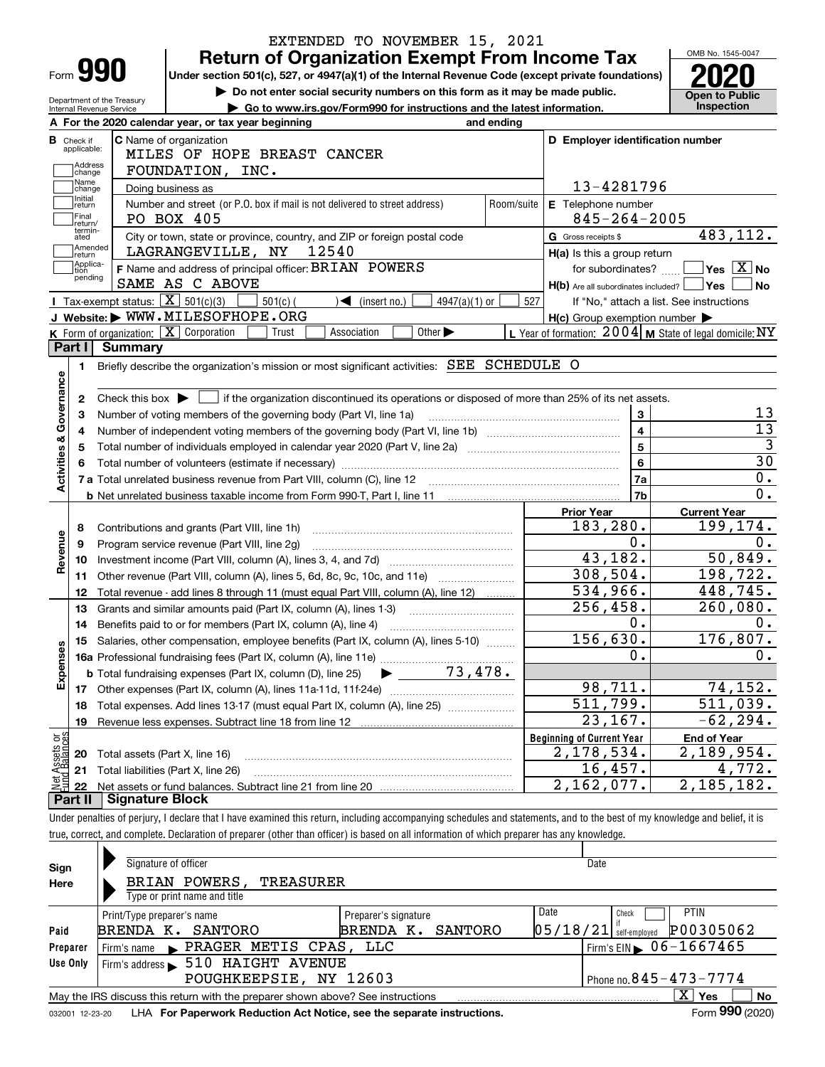|                                                                                                                                                                                     | EXTENDED TO NOVEMBER 15, 2021 |                                                           | OMB No. 1545-0047                                                                                                       |
|-------------------------------------------------------------------------------------------------------------------------------------------------------------------------------------|-------------------------------|-----------------------------------------------------------|-------------------------------------------------------------------------------------------------------------------------|
| <b>Return of Organization Exempt From Income Tax</b><br>Form 990<br>Under section 501(c), 527, or 4947(a)(1) of the Internal Revenue Code (except private foundations)              |                               |                                                           |                                                                                                                         |
| Do not enter social security numbers on this form as it may be made public.                                                                                                         |                               |                                                           | <b>Open to Public</b>                                                                                                   |
| Department of the Treasury<br>Go to www.irs.gov/Form990 for instructions and the latest information.<br>Internal Revenue Service                                                    |                               |                                                           | Inspection                                                                                                              |
| A For the 2020 calendar year, or tax year beginning                                                                                                                                 | and ending                    |                                                           |                                                                                                                         |
| C Name of organization<br><b>B</b> Check if                                                                                                                                         |                               | D Employer identification number                          |                                                                                                                         |
| applicable:<br>MILES OF HOPE BREAST CANCER                                                                                                                                          |                               |                                                           |                                                                                                                         |
| Address<br>FOUNDATION, INC.<br>change                                                                                                                                               |                               |                                                           |                                                                                                                         |
| Name<br>Doing business as<br>change                                                                                                                                                 |                               | 13-4281796                                                |                                                                                                                         |
| Initial<br>Number and street (or P.O. box if mail is not delivered to street address)<br>return                                                                                     | Room/suite                    | E Telephone number                                        |                                                                                                                         |
| Final<br>PO BOX 405<br>return/                                                                                                                                                      |                               | $845 - 264 - 2005$                                        |                                                                                                                         |
| termin-<br>City or town, state or province, country, and ZIP or foreign postal code<br>ated                                                                                         |                               | G Gross receipts \$                                       | 483, 112.                                                                                                               |
| Amended<br>LAGRANGEVILLE, NY 12540<br> return                                                                                                                                       |                               | H(a) Is this a group return                               |                                                                                                                         |
| Applica-<br>F Name and address of principal officer: BRIAN POWERS<br>tion<br>pending                                                                                                |                               | for subordinates?                                         | $\overline{\ }$ Yes $\overline{\ \text{X}}$ No                                                                          |
| SAME AS C ABOVE                                                                                                                                                                     |                               | $H(b)$ Are all subordinates included? $\Box$ Yes          | No                                                                                                                      |
| <b>I</b> Tax-exempt status: $\boxed{\mathbf{X}}$ 501(c)(3)<br>$501(c)$ (<br>$\blacktriangleleft$ (insert no.)<br>$4947(a)(1)$ or                                                    |                               | 527<br>If "No," attach a list. See instructions           |                                                                                                                         |
| J Website: WWW.MILESOFHOPE.ORG                                                                                                                                                      |                               | $H(c)$ Group exemption number $\blacktriangleright$       |                                                                                                                         |
| K Form of organization: X Corporation<br>Trust<br>Association<br>Other $\blacktriangleright$                                                                                        |                               | L Year of formation: $2004$ M State of legal domicile: NY |                                                                                                                         |
| Part I<br><b>Summary</b>                                                                                                                                                            |                               |                                                           |                                                                                                                         |
| Briefly describe the organization's mission or most significant activities: SEE SCHEDULE O<br>1.                                                                                    |                               |                                                           |                                                                                                                         |
|                                                                                                                                                                                     |                               |                                                           |                                                                                                                         |
| Check this box $\blacktriangleright$ $\Box$ if the organization discontinued its operations or disposed of more than 25% of its net assets.<br>2                                    |                               |                                                           |                                                                                                                         |
| Number of voting members of the governing body (Part VI, line 1a)                                                                                                                   |                               | 3                                                         |                                                                                                                         |
|                                                                                                                                                                                     |                               | $\overline{\mathbf{4}}$                                   |                                                                                                                         |
| Activities & Governance<br>Total number of individuals employed in calendar year 2020 (Part V, line 2a) manufacture of individuals employed in calendar year 2020 (Part V, line 2a) |                               | $\overline{5}$                                            |                                                                                                                         |
|                                                                                                                                                                                     |                               | $6\phantom{a}$                                            | $\overline{30}$                                                                                                         |
|                                                                                                                                                                                     |                               | 7a                                                        | $\overline{0}$ .                                                                                                        |
|                                                                                                                                                                                     |                               | 7 <sub>b</sub>                                            | $\overline{0}$ .                                                                                                        |
|                                                                                                                                                                                     |                               | <b>Prior Year</b>                                         | <b>Current Year</b>                                                                                                     |
| Contributions and grants (Part VIII, line 1h)<br>8                                                                                                                                  |                               | 183,280.                                                  | 199,174.                                                                                                                |
| Revenue<br>Program service revenue (Part VIII, line 2g)<br>9                                                                                                                        |                               | 0.                                                        | 0.                                                                                                                      |
| 10                                                                                                                                                                                  |                               | 43,182.                                                   | 50,849.                                                                                                                 |
| Other revenue (Part VIII, column (A), lines 5, 6d, 8c, 9c, 10c, and 11e)<br>11                                                                                                      |                               | 308,504.                                                  |                                                                                                                         |
| Total revenue - add lines 8 through 11 (must equal Part VIII, column (A), line 12)<br>12                                                                                            |                               |                                                           |                                                                                                                         |
|                                                                                                                                                                                     |                               | 534,966.                                                  |                                                                                                                         |
| 13<br>Grants and similar amounts paid (Part IX, column (A), lines 1-3)                                                                                                              |                               | 256,458.                                                  |                                                                                                                         |
| Benefits paid to or for members (Part IX, column (A), line 4)<br>14                                                                                                                 |                               | 0.                                                        |                                                                                                                         |
| 15 Salaries, other compensation, employee benefits (Part IX, column (A), lines 5-10)                                                                                                |                               | 156,630.                                                  |                                                                                                                         |
|                                                                                                                                                                                     |                               | 0.                                                        |                                                                                                                         |
|                                                                                                                                                                                     |                               |                                                           |                                                                                                                         |
|                                                                                                                                                                                     |                               | 98,711.                                                   |                                                                                                                         |
| Total expenses. Add lines 13-17 (must equal Part IX, column (A), line 25)<br>18                                                                                                     |                               | 511,799.                                                  |                                                                                                                         |
| 19                                                                                                                                                                                  |                               | 23,167.                                                   |                                                                                                                         |
|                                                                                                                                                                                     |                               | <b>Beginning of Current Year</b>                          | <b>End of Year</b>                                                                                                      |
| Total assets (Part X, line 16)<br>20                                                                                                                                                |                               | 2,178,534.                                                |                                                                                                                         |
| Total liabilities (Part X, line 26)<br>21                                                                                                                                           |                               | 16,457.                                                   | 198,722.<br>448,745.<br>260,080.<br>0.<br>176,807.<br>0.<br>74, 152.<br>511,039.<br>$-62, 294.$<br>2,189,954.<br>4,772. |
| 22                                                                                                                                                                                  |                               | 2,162,077.                                                | 2,185,182.                                                                                                              |
| Expenses<br>: Assets or<br>dBalances<br>鲳<br><b>Signature Block</b><br>Part II                                                                                                      |                               |                                                           |                                                                                                                         |
| Under penalties of perjury, I declare that I have examined this return, including accompanying schedules and statements, and to the best of my knowledge and belief, it is          |                               |                                                           |                                                                                                                         |

| Sign<br>Here | Signature of officer<br>BRIAN POWERS,<br>TREASURER                                                              |                      | Date                                       |    |
|--------------|-----------------------------------------------------------------------------------------------------------------|----------------------|--------------------------------------------|----|
|              | Type or print name and title                                                                                    |                      |                                            |    |
|              | Print/Type preparer's name                                                                                      | Preparer's signature | Date<br><b>PTIN</b><br>Check               |    |
| Paid         | SANTORO<br>BRENDA K.                                                                                            | SANTORO<br>BRENDA K. | P00305062<br>$05/18/21$ self-employed      |    |
| Preparer     | Firm's name FRAGER METIS CPAS, LLC                                                                              |                      | $1$ Firm's EIN $\triangleright$ 06-1667465 |    |
| Use Only     | 510 HAIGHT AVENUE<br>Firm's address                                                                             |                      |                                            |    |
|              | POUGHKEEPSIE, NY 12603                                                                                          |                      | Phone no. $845 - 473 - 7774$               |    |
|              | May the IRS discuss this return with the preparer shown above? See instructions                                 |                      | x<br>Yes                                   | No |
|              | t de la componenta de la componenta de la componenta de la componenta de la componenta de la componenta de la c |                      | $F = 000$ (2000)                           |    |

032001 12-23-20 LHA **For Paperwork Reduction Act Notice, see the separate instructions.** Form 990 (2020)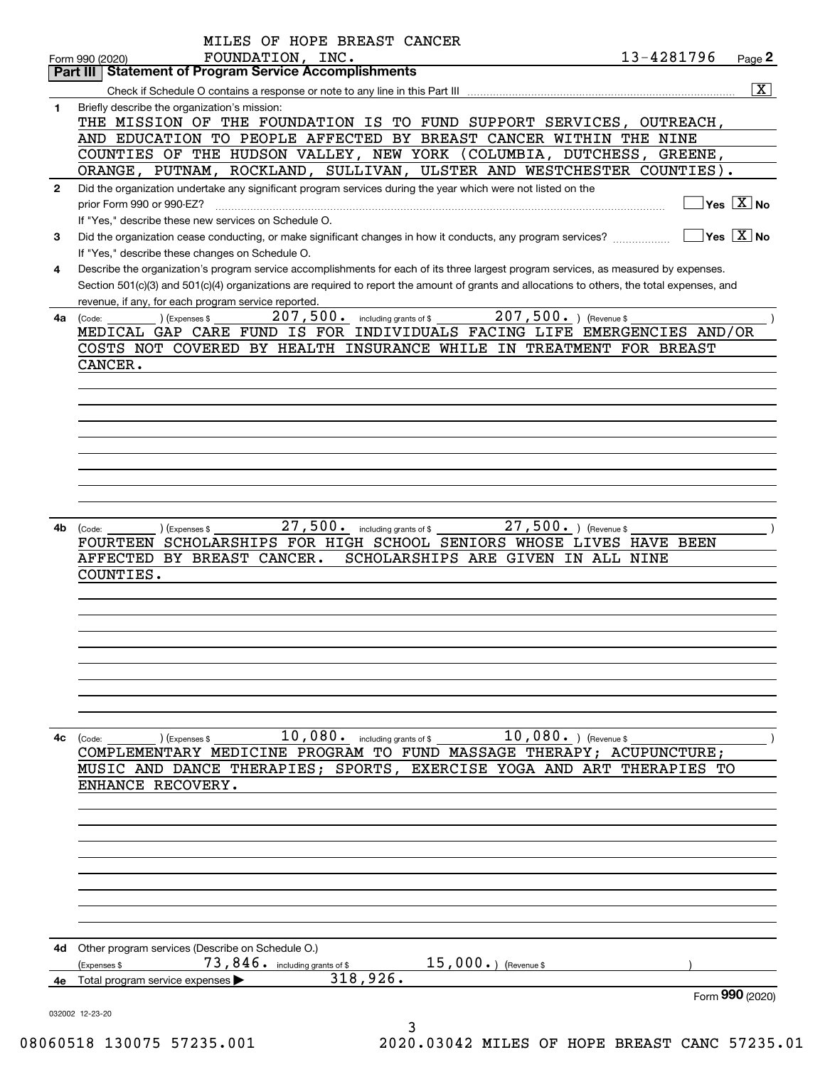|              | MILES OF HOPE BREAST CANCER                                                                                                                  |                             |                                       |
|--------------|----------------------------------------------------------------------------------------------------------------------------------------------|-----------------------------|---------------------------------------|
|              | 13-4281796<br>FOUNDATION, INC.<br>Form 990 (2020)                                                                                            |                             | Page 2                                |
|              | <b>Part III   Statement of Program Service Accomplishments</b>                                                                               |                             |                                       |
|              |                                                                                                                                              |                             | $\boxed{\text{X}}$                    |
| 1            | Briefly describe the organization's mission:                                                                                                 |                             |                                       |
|              | THE MISSION OF THE FOUNDATION IS TO FUND SUPPORT SERVICES, OUTREACH,                                                                         |                             |                                       |
|              | AND EDUCATION TO PEOPLE AFFECTED BY BREAST CANCER WITHIN THE NINE                                                                            |                             |                                       |
|              | COUNTIES OF THE HUDSON VALLEY, NEW YORK (COLUMBIA, DUTCHESS, GREENE,                                                                         |                             |                                       |
|              | ORANGE, PUTNAM, ROCKLAND, SULLIVAN, ULSTER AND WESTCHESTER COUNTIES).                                                                        |                             |                                       |
| $\mathbf{2}$ | Did the organization undertake any significant program services during the year which were not listed on the                                 |                             |                                       |
|              | prior Form 990 or 990-EZ?                                                                                                                    |                             | $\exists$ Yes $\boxed{\mathrm{X}}$ No |
|              | If "Yes," describe these new services on Schedule O.                                                                                         | $\sqrt{}$ Yes $\sqrt{X}$ No |                                       |
| 3            | Did the organization cease conducting, or make significant changes in how it conducts, any program services?                                 |                             |                                       |
|              | If "Yes," describe these changes on Schedule O.                                                                                              |                             |                                       |
| 4            | Describe the organization's program service accomplishments for each of its three largest program services, as measured by expenses.         |                             |                                       |
|              | Section 501(c)(3) and 501(c)(4) organizations are required to report the amount of grants and allocations to others, the total expenses, and |                             |                                       |
|              | revenue, if any, for each program service reported.<br>207,500. including grants of \$ 207,500. ) (Revenue \$<br>) (Expenses \$              |                             |                                       |
|              | 4a (Code:<br>MEDICAL GAP CARE FUND IS FOR INDIVIDUALS FACING LIFE EMERGENCIES AND/OR                                                         |                             |                                       |
|              | COSTS NOT COVERED BY HEALTH INSURANCE WHILE IN TREATMENT FOR BREAST                                                                          |                             |                                       |
|              | CANCER.                                                                                                                                      |                             |                                       |
|              |                                                                                                                                              |                             |                                       |
|              |                                                                                                                                              |                             |                                       |
|              |                                                                                                                                              |                             |                                       |
|              |                                                                                                                                              |                             |                                       |
|              |                                                                                                                                              |                             |                                       |
|              |                                                                                                                                              |                             |                                       |
|              |                                                                                                                                              |                             |                                       |
|              |                                                                                                                                              |                             |                                       |
|              |                                                                                                                                              |                             |                                       |
| 4b           | 27,500. including grants of \$<br>$27,500.$ (Revenue \$<br>(Expenses \$<br>(Code:                                                            |                             |                                       |
|              | FOURTEEN SCHOLARSHIPS FOR HIGH SCHOOL SENIORS WHOSE LIVES HAVE BEEN                                                                          |                             |                                       |
|              | AFFECTED BY BREAST CANCER.<br>SCHOLARSHIPS ARE GIVEN IN ALL NINE                                                                             |                             |                                       |
|              | COUNTIES.                                                                                                                                    |                             |                                       |
|              |                                                                                                                                              |                             |                                       |
|              |                                                                                                                                              |                             |                                       |
|              |                                                                                                                                              |                             |                                       |
|              |                                                                                                                                              |                             |                                       |
|              |                                                                                                                                              |                             |                                       |
|              |                                                                                                                                              |                             |                                       |
|              |                                                                                                                                              |                             |                                       |
|              |                                                                                                                                              |                             |                                       |
|              |                                                                                                                                              |                             |                                       |
| 4с           | 10,080. including grants of \$<br>$10,080.$ ) (Revenue \$<br>(Expenses \$<br>(Code:                                                          |                             |                                       |
|              | COMPLEMENTARY MEDICINE PROGRAM TO FUND MASSAGE THERAPY; ACUPUNCTURE;                                                                         |                             |                                       |
|              | MUSIC AND DANCE THERAPIES; SPORTS, EXERCISE YOGA AND ART THERAPIES TO                                                                        |                             |                                       |
|              | ENHANCE RECOVERY.                                                                                                                            |                             |                                       |
|              |                                                                                                                                              |                             |                                       |
|              |                                                                                                                                              |                             |                                       |
|              |                                                                                                                                              |                             |                                       |
|              |                                                                                                                                              |                             |                                       |
|              |                                                                                                                                              |                             |                                       |
|              |                                                                                                                                              |                             |                                       |
|              |                                                                                                                                              |                             |                                       |
|              |                                                                                                                                              |                             |                                       |
| 4d           | Other program services (Describe on Schedule O.)                                                                                             |                             |                                       |
|              | 15,000. (Revenue \$<br>$73,846$ $\cdot$ including grants of \$<br>(Expenses \$                                                               |                             |                                       |
| 4е           | 318,926.<br>Total program service expenses                                                                                                   |                             |                                       |
|              |                                                                                                                                              | Form 990 (2020)             |                                       |
|              | 032002 12-23-20                                                                                                                              |                             |                                       |
|              |                                                                                                                                              |                             |                                       |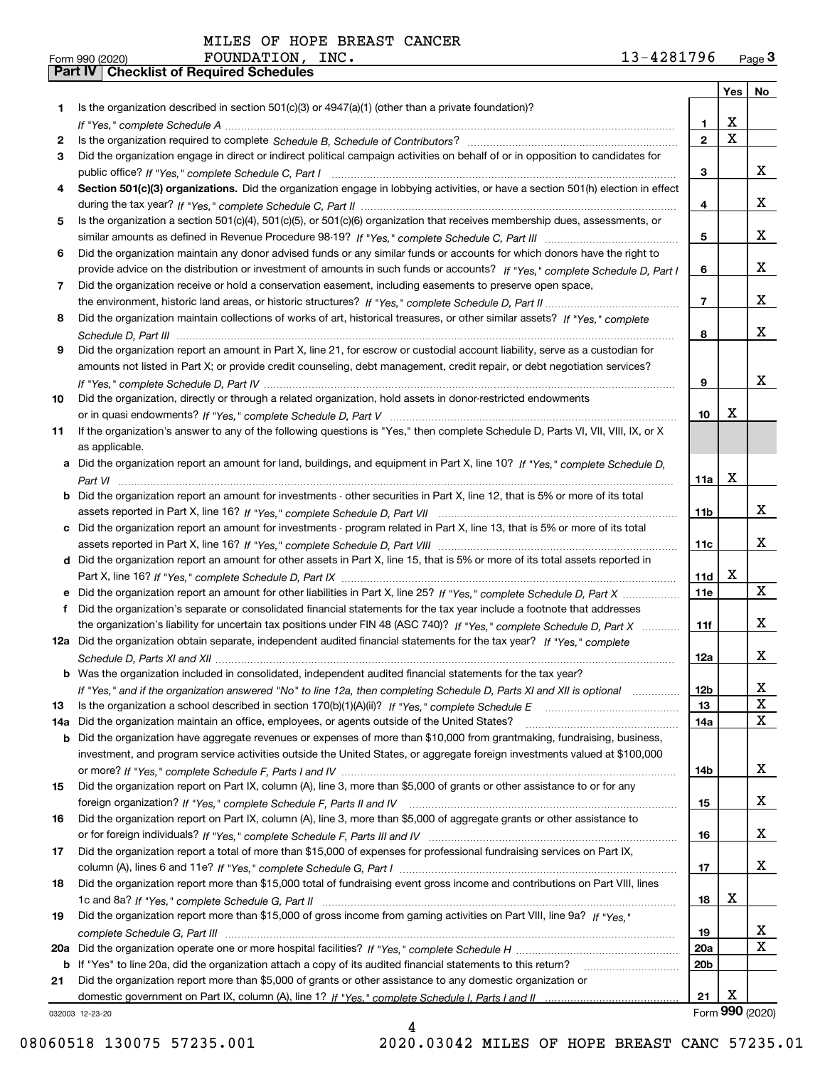| Form 990 (2020) | <b>FOUNDATION</b>                                | INC. | 13-4281796 | Page $3$ |
|-----------------|--------------------------------------------------|------|------------|----------|
|                 | <b>Part IV   Checklist of Required Schedules</b> |      |            |          |

|         |                                                                                                                                                                                                                             |                 | Yes | No              |
|---------|-----------------------------------------------------------------------------------------------------------------------------------------------------------------------------------------------------------------------------|-----------------|-----|-----------------|
| 1.      | Is the organization described in section $501(c)(3)$ or $4947(a)(1)$ (other than a private foundation)?                                                                                                                     |                 |     |                 |
|         |                                                                                                                                                                                                                             | 1.              | X   |                 |
| 2       |                                                                                                                                                                                                                             | $\mathbf{2}$    | X   |                 |
| 3       | Did the organization engage in direct or indirect political campaign activities on behalf of or in opposition to candidates for                                                                                             |                 |     |                 |
|         |                                                                                                                                                                                                                             | 3               |     | X.              |
| 4       | Section 501(c)(3) organizations. Did the organization engage in lobbying activities, or have a section 501(h) election in effect                                                                                            |                 |     |                 |
|         |                                                                                                                                                                                                                             | 4               |     | x               |
| 5       | Is the organization a section 501(c)(4), 501(c)(5), or 501(c)(6) organization that receives membership dues, assessments, or                                                                                                |                 |     |                 |
|         |                                                                                                                                                                                                                             | 5               |     | x               |
| 6       | Did the organization maintain any donor advised funds or any similar funds or accounts for which donors have the right to                                                                                                   |                 |     | x               |
|         | provide advice on the distribution or investment of amounts in such funds or accounts? If "Yes," complete Schedule D, Part I                                                                                                | 6               |     |                 |
| 7       | Did the organization receive or hold a conservation easement, including easements to preserve open space,                                                                                                                   | $\overline{7}$  |     | x               |
| 8       | Did the organization maintain collections of works of art, historical treasures, or other similar assets? If "Yes," complete                                                                                                |                 |     |                 |
|         |                                                                                                                                                                                                                             | 8               |     | x               |
| 9       | Did the organization report an amount in Part X, line 21, for escrow or custodial account liability, serve as a custodian for                                                                                               |                 |     |                 |
|         | amounts not listed in Part X; or provide credit counseling, debt management, credit repair, or debt negotiation services?                                                                                                   |                 |     |                 |
|         |                                                                                                                                                                                                                             | 9               |     | x               |
| 10      | Did the organization, directly or through a related organization, hold assets in donor-restricted endowments                                                                                                                |                 |     |                 |
|         |                                                                                                                                                                                                                             | 10              | X   |                 |
| 11      | If the organization's answer to any of the following questions is "Yes," then complete Schedule D, Parts VI, VII, VIII, IX, or X                                                                                            |                 |     |                 |
|         | as applicable.                                                                                                                                                                                                              |                 |     |                 |
|         | a Did the organization report an amount for land, buildings, and equipment in Part X, line 10? If "Yes," complete Schedule D,                                                                                               |                 |     |                 |
|         |                                                                                                                                                                                                                             | 11a             | X   |                 |
|         | <b>b</b> Did the organization report an amount for investments - other securities in Part X, line 12, that is 5% or more of its total                                                                                       |                 |     |                 |
|         |                                                                                                                                                                                                                             | 11 <sub>b</sub> |     | x               |
|         | c Did the organization report an amount for investments - program related in Part X, line 13, that is 5% or more of its total                                                                                               |                 |     |                 |
|         |                                                                                                                                                                                                                             | 11c             |     | X.              |
|         | d Did the organization report an amount for other assets in Part X, line 15, that is 5% or more of its total assets reported in                                                                                             |                 |     |                 |
|         |                                                                                                                                                                                                                             | 11d             | Х   |                 |
|         |                                                                                                                                                                                                                             | 11e             |     | X               |
| f       | Did the organization's separate or consolidated financial statements for the tax year include a footnote that addresses                                                                                                     |                 |     | x               |
|         | the organization's liability for uncertain tax positions under FIN 48 (ASC 740)? If "Yes," complete Schedule D, Part X                                                                                                      | 11f             |     |                 |
|         | 12a Did the organization obtain separate, independent audited financial statements for the tax year? If "Yes," complete                                                                                                     | 12a             |     | x               |
|         | <b>b</b> Was the organization included in consolidated, independent audited financial statements for the tax year?                                                                                                          |                 |     |                 |
|         |                                                                                                                                                                                                                             | 12 <sub>b</sub> |     | X.              |
| 13      | If "Yes," and if the organization answered "No" to line 12a, then completing Schedule D, Parts XI and XII is optional                                                                                                       | 13              |     | X               |
| 14a     | Did the organization maintain an office, employees, or agents outside of the United States?                                                                                                                                 | 14a             |     | X               |
| b       | Did the organization have aggregate revenues or expenses of more than \$10,000 from grantmaking, fundraising, business,                                                                                                     |                 |     |                 |
|         | investment, and program service activities outside the United States, or aggregate foreign investments valued at \$100,000                                                                                                  |                 |     |                 |
|         |                                                                                                                                                                                                                             | 14b             |     | x               |
| 15      | Did the organization report on Part IX, column (A), line 3, more than \$5,000 of grants or other assistance to or for any                                                                                                   |                 |     |                 |
|         |                                                                                                                                                                                                                             | 15              |     | x               |
| 16      | Did the organization report on Part IX, column (A), line 3, more than \$5,000 of aggregate grants or other assistance to                                                                                                    |                 |     |                 |
|         |                                                                                                                                                                                                                             | 16              |     | x               |
| 17      | Did the organization report a total of more than \$15,000 of expenses for professional fundraising services on Part IX,                                                                                                     |                 |     |                 |
|         |                                                                                                                                                                                                                             | 17              |     | x               |
| 18      | Did the organization report more than \$15,000 total of fundraising event gross income and contributions on Part VIII, lines                                                                                                |                 |     |                 |
|         |                                                                                                                                                                                                                             | 18              | х   |                 |
| 19      | Did the organization report more than \$15,000 of gross income from gaming activities on Part VIII, line 9a? If "Yes."                                                                                                      |                 |     |                 |
|         |                                                                                                                                                                                                                             | 19              |     | X<br>X          |
| 20a     |                                                                                                                                                                                                                             | <b>20a</b>      |     |                 |
| b<br>21 | If "Yes" to line 20a, did the organization attach a copy of its audited financial statements to this return?<br>Did the organization report more than \$5,000 of grants or other assistance to any domestic organization or | 20 <sub>b</sub> |     |                 |
|         |                                                                                                                                                                                                                             | 21              | Х   |                 |
|         | 032003 12-23-20                                                                                                                                                                                                             |                 |     | Form 990 (2020) |

032003 12-23-20

08060518 130075 57235.001 2020.03042 MILES OF HOPE BREAST CANC 57235.01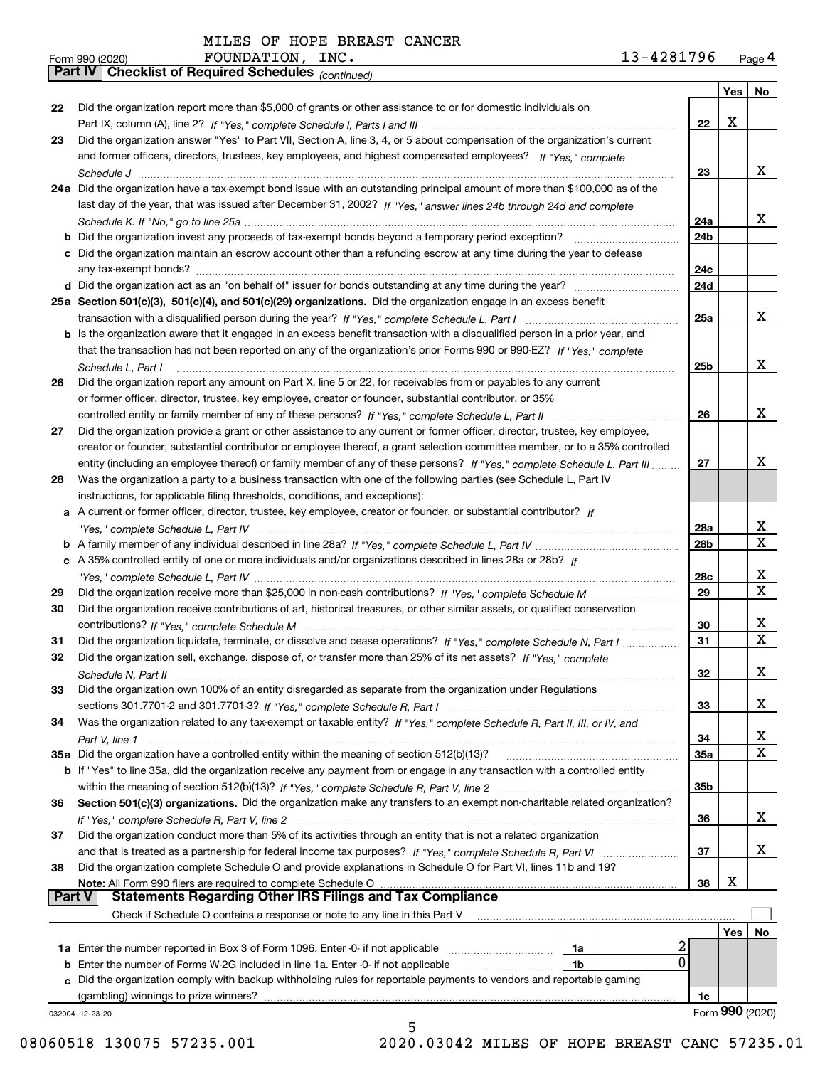|               | FOUNDATION, INC.<br>Form 990 (2020)                                                                                          | 13-4281796 |            |                 | Page 4      |
|---------------|------------------------------------------------------------------------------------------------------------------------------|------------|------------|-----------------|-------------|
|               | <b>Checklist of Required Schedules (continued)</b><br>Part IV                                                                |            |            |                 |             |
|               |                                                                                                                              |            |            | Yes             | No          |
| 22            | Did the organization report more than \$5,000 of grants or other assistance to or for domestic individuals on                |            |            |                 |             |
|               |                                                                                                                              |            | 22         | х               |             |
| 23            | Did the organization answer "Yes" to Part VII, Section A, line 3, 4, or 5 about compensation of the organization's current   |            |            |                 |             |
|               | and former officers, directors, trustees, key employees, and highest compensated employees? If "Yes," complete               |            |            |                 |             |
|               |                                                                                                                              |            | 23         |                 | x           |
|               | 24a Did the organization have a tax-exempt bond issue with an outstanding principal amount of more than \$100,000 as of the  |            |            |                 |             |
|               | last day of the year, that was issued after December 31, 2002? If "Yes," answer lines 24b through 24d and complete           |            |            |                 |             |
|               |                                                                                                                              |            | 24a        |                 | x           |
|               |                                                                                                                              |            | 24b        |                 |             |
|               | c Did the organization maintain an escrow account other than a refunding escrow at any time during the year to defease       |            |            |                 |             |
|               |                                                                                                                              |            | 24c        |                 |             |
|               |                                                                                                                              |            | 24d        |                 |             |
|               | 25a Section 501(c)(3), 501(c)(4), and 501(c)(29) organizations. Did the organization engage in an excess benefit             |            |            |                 |             |
|               |                                                                                                                              |            |            |                 | x           |
|               |                                                                                                                              |            | 25a        |                 |             |
|               | b Is the organization aware that it engaged in an excess benefit transaction with a disqualified person in a prior year, and |            |            |                 |             |
|               | that the transaction has not been reported on any of the organization's prior Forms 990 or 990-EZ? If "Yes," complete        |            |            |                 |             |
|               | Schedule L, Part I                                                                                                           |            | 25b        |                 | x           |
| 26            | Did the organization report any amount on Part X, line 5 or 22, for receivables from or payables to any current              |            |            |                 |             |
|               | or former officer, director, trustee, key employee, creator or founder, substantial contributor, or 35%                      |            |            |                 |             |
|               |                                                                                                                              |            | 26         |                 | X           |
| 27            | Did the organization provide a grant or other assistance to any current or former officer, director, trustee, key employee,  |            |            |                 |             |
|               | creator or founder, substantial contributor or employee thereof, a grant selection committee member, or to a 35% controlled  |            |            |                 |             |
|               | entity (including an employee thereof) or family member of any of these persons? If "Yes," complete Schedule L, Part III     |            | 27         |                 | x           |
| 28            | Was the organization a party to a business transaction with one of the following parties (see Schedule L, Part IV            |            |            |                 |             |
|               | instructions, for applicable filing thresholds, conditions, and exceptions):                                                 |            |            |                 |             |
|               | a A current or former officer, director, trustee, key employee, creator or founder, or substantial contributor? If           |            |            |                 |             |
|               |                                                                                                                              |            | 28a        |                 | x           |
|               |                                                                                                                              |            | 28b        |                 | $\mathbf x$ |
|               | c A 35% controlled entity of one or more individuals and/or organizations described in lines 28a or 28b? If                  |            |            |                 |             |
|               |                                                                                                                              |            | 28c        |                 | x           |
| 29            |                                                                                                                              |            | 29         |                 | $\mathbf x$ |
| 30            | Did the organization receive contributions of art, historical treasures, or other similar assets, or qualified conservation  |            |            |                 |             |
|               |                                                                                                                              |            | 30         |                 | x           |
| 31            | Did the organization liquidate, terminate, or dissolve and cease operations? If "Yes," complete Schedule N, Part I           |            | 31         |                 | X           |
|               | Did the organization sell, exchange, dispose of, or transfer more than 25% of its net assets? If "Yes," complete             |            |            |                 |             |
|               |                                                                                                                              |            | 32         |                 | x           |
| 33            | Did the organization own 100% of an entity disregarded as separate from the organization under Regulations                   |            |            |                 |             |
|               |                                                                                                                              |            | 33         |                 | x           |
| 34            | Was the organization related to any tax-exempt or taxable entity? If "Yes," complete Schedule R, Part II, III, or IV, and    |            |            |                 |             |
|               |                                                                                                                              |            | 34         |                 | х           |
|               | 35a Did the organization have a controlled entity within the meaning of section 512(b)(13)?                                  |            | <b>35a</b> |                 | $\mathbf X$ |
|               | b If "Yes" to line 35a, did the organization receive any payment from or engage in any transaction with a controlled entity  |            |            |                 |             |
|               |                                                                                                                              |            |            |                 |             |
|               |                                                                                                                              |            | 35b        |                 |             |
| 36            | Section 501(c)(3) organizations. Did the organization make any transfers to an exempt non-charitable related organization?   |            |            |                 | x           |
|               |                                                                                                                              |            | 36         |                 |             |
| 37            | Did the organization conduct more than 5% of its activities through an entity that is not a related organization             |            |            |                 |             |
|               |                                                                                                                              |            | 37         |                 | x           |
| 38            | Did the organization complete Schedule O and provide explanations in Schedule O for Part VI, lines 11b and 19?               |            |            |                 |             |
| <b>Part V</b> | Note: All Form 990 filers are required to complete Schedule O                                                                |            | 38         | X               |             |
|               | <b>Statements Regarding Other IRS Filings and Tax Compliance</b>                                                             |            |            |                 |             |
|               | Check if Schedule O contains a response or note to any line in this Part V                                                   |            |            |                 |             |
|               |                                                                                                                              |            |            | Yes             | No          |
|               | 1a                                                                                                                           | 2          |            |                 |             |
|               | 1 <sub>b</sub><br><b>b</b> Enter the number of Forms W-2G included in line 1a. Enter -0- if not applicable                   | 0          |            |                 |             |
|               | c Did the organization comply with backup withholding rules for reportable payments to vendors and reportable gaming         |            |            |                 |             |
|               | (gambling) winnings to prize winners?                                                                                        |            | 1c         |                 |             |
|               | 032004 12-23-20                                                                                                              |            |            | Form 990 (2020) |             |
|               |                                                                                                                              |            |            |                 |             |

08060518 130075 57235.001 2020.03042 MILES OF HOPE BREAST CANC 57235.01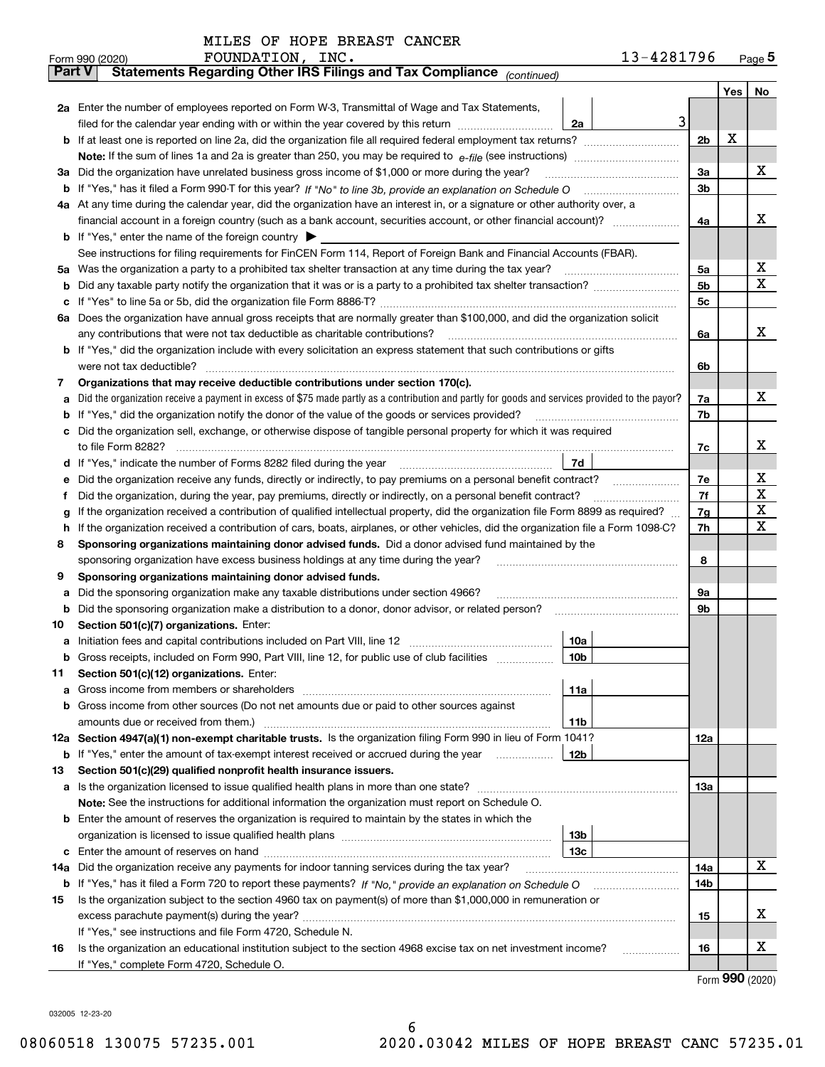|               | 13-4281796<br>FOUNDATION, INC.<br>Form 990 (2020)                                                                                               |                |         | $Page$ <sup>5</sup> |  |  |  |  |  |  |  |  |
|---------------|-------------------------------------------------------------------------------------------------------------------------------------------------|----------------|---------|---------------------|--|--|--|--|--|--|--|--|
| <b>Part V</b> | Statements Regarding Other IRS Filings and Tax Compliance (continued)                                                                           |                |         |                     |  |  |  |  |  |  |  |  |
|               |                                                                                                                                                 |                | Yes $ $ | No                  |  |  |  |  |  |  |  |  |
|               | 2a Enter the number of employees reported on Form W-3, Transmittal of Wage and Tax Statements,                                                  |                |         |                     |  |  |  |  |  |  |  |  |
|               | 3<br>filed for the calendar year ending with or within the year covered by this return <i>manumumumum</i><br>2a                                 |                |         |                     |  |  |  |  |  |  |  |  |
|               |                                                                                                                                                 | 2 <sub>b</sub> | Х       |                     |  |  |  |  |  |  |  |  |
|               |                                                                                                                                                 |                |         |                     |  |  |  |  |  |  |  |  |
| За            | Did the organization have unrelated business gross income of \$1,000 or more during the year?                                                   | 3a             |         | х                   |  |  |  |  |  |  |  |  |
|               |                                                                                                                                                 |                |         |                     |  |  |  |  |  |  |  |  |
|               | 4a At any time during the calendar year, did the organization have an interest in, or a signature or other authority over, a                    | 3b             |         |                     |  |  |  |  |  |  |  |  |
|               | financial account in a foreign country (such as a bank account, securities account, or other financial account)?                                |                |         |                     |  |  |  |  |  |  |  |  |
|               | <b>b</b> If "Yes," enter the name of the foreign country $\blacktriangleright$                                                                  |                |         |                     |  |  |  |  |  |  |  |  |
|               |                                                                                                                                                 |                |         |                     |  |  |  |  |  |  |  |  |
|               | See instructions for filing requirements for FinCEN Form 114, Report of Foreign Bank and Financial Accounts (FBAR).                             |                |         |                     |  |  |  |  |  |  |  |  |
|               |                                                                                                                                                 | 5a<br>5b       |         | х<br>х              |  |  |  |  |  |  |  |  |
|               |                                                                                                                                                 | 5c             |         |                     |  |  |  |  |  |  |  |  |
|               | 6a Does the organization have annual gross receipts that are normally greater than \$100,000, and did the organization solicit                  |                |         |                     |  |  |  |  |  |  |  |  |
|               |                                                                                                                                                 | 6a             |         | х                   |  |  |  |  |  |  |  |  |
|               | <b>b</b> If "Yes," did the organization include with every solicitation an express statement that such contributions or gifts                   |                |         |                     |  |  |  |  |  |  |  |  |
|               |                                                                                                                                                 |                |         |                     |  |  |  |  |  |  |  |  |
|               |                                                                                                                                                 | 6b             |         |                     |  |  |  |  |  |  |  |  |
| 7             | Organizations that may receive deductible contributions under section 170(c).                                                                   |                |         | х                   |  |  |  |  |  |  |  |  |
| а             | Did the organization receive a payment in excess of \$75 made partly as a contribution and partly for goods and services provided to the payor? | 7a             |         |                     |  |  |  |  |  |  |  |  |
|               | <b>b</b> If "Yes," did the organization notify the donor of the value of the goods or services provided?                                        | 7b             |         |                     |  |  |  |  |  |  |  |  |
|               | c Did the organization sell, exchange, or otherwise dispose of tangible personal property for which it was required                             |                |         |                     |  |  |  |  |  |  |  |  |
|               |                                                                                                                                                 | 7c             |         | x                   |  |  |  |  |  |  |  |  |
|               | 7d                                                                                                                                              |                |         |                     |  |  |  |  |  |  |  |  |
| е             | Did the organization receive any funds, directly or indirectly, to pay premiums on a personal benefit contract?                                 | 7e             |         | х<br>Х              |  |  |  |  |  |  |  |  |
| f             | Did the organization, during the year, pay premiums, directly or indirectly, on a personal benefit contract?                                    | 7f             |         |                     |  |  |  |  |  |  |  |  |
| g             | If the organization received a contribution of qualified intellectual property, did the organization file Form 8899 as required?                | 7g             |         | X                   |  |  |  |  |  |  |  |  |
| h.            | If the organization received a contribution of cars, boats, airplanes, or other vehicles, did the organization file a Form 1098-C?              | 7h             |         | Х                   |  |  |  |  |  |  |  |  |
| 8             | Sponsoring organizations maintaining donor advised funds. Did a donor advised fund maintained by the                                            |                |         |                     |  |  |  |  |  |  |  |  |
|               | sponsoring organization have excess business holdings at any time during the year?                                                              | 8              |         |                     |  |  |  |  |  |  |  |  |
| 9             | Sponsoring organizations maintaining donor advised funds.                                                                                       |                |         |                     |  |  |  |  |  |  |  |  |
| а             | Did the sponsoring organization make any taxable distributions under section 4966?                                                              | 9а             |         |                     |  |  |  |  |  |  |  |  |
|               | <b>b</b> Did the sponsoring organization make a distribution to a donor, donor advisor, or related person?                                      | 9b             |         |                     |  |  |  |  |  |  |  |  |
| 10            | Section 501(c)(7) organizations. Enter:                                                                                                         |                |         |                     |  |  |  |  |  |  |  |  |
|               | 10a                                                                                                                                             |                |         |                     |  |  |  |  |  |  |  |  |
|               | 10 <sub>b</sub><br>Gross receipts, included on Form 990, Part VIII, line 12, for public use of club facilities                                  |                |         |                     |  |  |  |  |  |  |  |  |
| 11            | Section 501(c)(12) organizations. Enter:                                                                                                        |                |         |                     |  |  |  |  |  |  |  |  |
|               | 11a                                                                                                                                             |                |         |                     |  |  |  |  |  |  |  |  |
|               | b Gross income from other sources (Do not net amounts due or paid to other sources against                                                      |                |         |                     |  |  |  |  |  |  |  |  |
|               | 11b                                                                                                                                             |                |         |                     |  |  |  |  |  |  |  |  |
|               | 12a Section 4947(a)(1) non-exempt charitable trusts. Is the organization filing Form 990 in lieu of Form 1041?                                  | 12a            |         |                     |  |  |  |  |  |  |  |  |
|               | 12b<br><b>b</b> If "Yes," enter the amount of tax-exempt interest received or accrued during the year <i>manument</i>                           |                |         |                     |  |  |  |  |  |  |  |  |
| 13            | Section 501(c)(29) qualified nonprofit health insurance issuers.                                                                                |                |         |                     |  |  |  |  |  |  |  |  |
|               | <b>a</b> Is the organization licensed to issue qualified health plans in more than one state?                                                   | 13а            |         |                     |  |  |  |  |  |  |  |  |
|               | Note: See the instructions for additional information the organization must report on Schedule O.                                               |                |         |                     |  |  |  |  |  |  |  |  |
|               | <b>b</b> Enter the amount of reserves the organization is required to maintain by the states in which the                                       |                |         |                     |  |  |  |  |  |  |  |  |
|               | 13b                                                                                                                                             |                |         |                     |  |  |  |  |  |  |  |  |
|               | 13с                                                                                                                                             |                |         |                     |  |  |  |  |  |  |  |  |
| 14a           | Did the organization receive any payments for indoor tanning services during the tax year?                                                      | 14a            |         | х                   |  |  |  |  |  |  |  |  |
|               | <b>b</b> If "Yes," has it filed a Form 720 to report these payments? If "No," provide an explanation on Schedule O                              | 14b            |         |                     |  |  |  |  |  |  |  |  |
| 15            | Is the organization subject to the section 4960 tax on payment(s) of more than \$1,000,000 in remuneration or                                   |                |         |                     |  |  |  |  |  |  |  |  |
|               |                                                                                                                                                 | 15             |         | X                   |  |  |  |  |  |  |  |  |
|               | If "Yes," see instructions and file Form 4720, Schedule N.                                                                                      |                |         |                     |  |  |  |  |  |  |  |  |
| 16            | Is the organization an educational institution subject to the section 4968 excise tax on net investment income?                                 | 16             |         | X                   |  |  |  |  |  |  |  |  |
|               | If "Yes," complete Form 4720, Schedule O.                                                                                                       |                |         |                     |  |  |  |  |  |  |  |  |

6

Form (2020) **990**

032005 12-23-20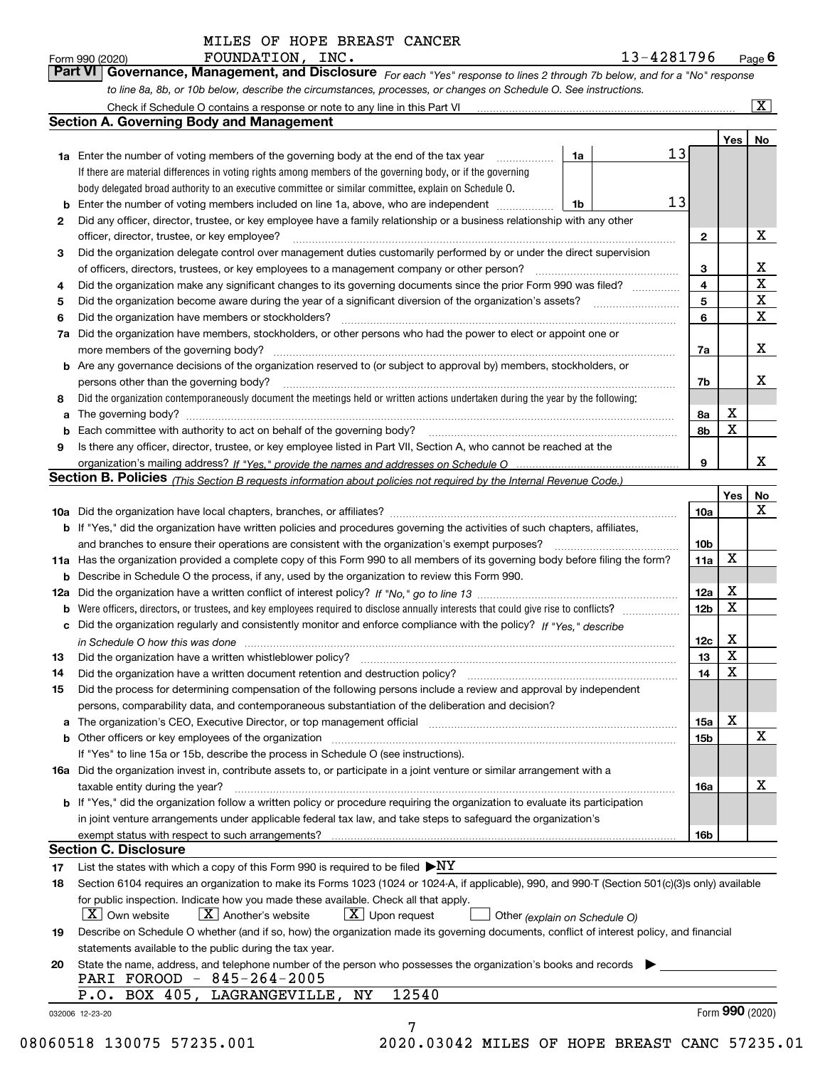*For each "Yes" response to lines 2 through 7b below, and for a "No" response*

|              |                                                                                                                                                  |                 | Yes | No                |
|--------------|--------------------------------------------------------------------------------------------------------------------------------------------------|-----------------|-----|-------------------|
|              | 13<br>1a Enter the number of voting members of the governing body at the end of the tax year<br>1a                                               |                 |     |                   |
|              | If there are material differences in voting rights among members of the governing body, or if the governing                                      |                 |     |                   |
|              | body delegated broad authority to an executive committee or similar committee, explain on Schedule O.                                            |                 |     |                   |
| b            | 13<br>Enter the number of voting members included on line 1a, above, who are independent<br>1b                                                   |                 |     |                   |
| $\mathbf{2}$ | Did any officer, director, trustee, or key employee have a family relationship or a business relationship with any other                         |                 |     |                   |
|              | officer, director, trustee, or key employee?                                                                                                     | $\mathbf{2}$    |     | X                 |
|              |                                                                                                                                                  |                 |     |                   |
| 3            | Did the organization delegate control over management duties customarily performed by or under the direct supervision                            |                 |     |                   |
|              | of officers, directors, trustees, or key employees to a management company or other person?                                                      | 3               |     |                   |
| 4            | Did the organization make any significant changes to its governing documents since the prior Form 990 was filed?                                 | 4               |     |                   |
| 5            |                                                                                                                                                  | 5               |     | $\frac{X}{X}}{X}$ |
| 6            | Did the organization have members or stockholders?                                                                                               | 6               |     |                   |
| 7a           | Did the organization have members, stockholders, or other persons who had the power to elect or appoint one or                                   |                 |     |                   |
|              |                                                                                                                                                  | 7a              |     | X                 |
|              | <b>b</b> Are any governance decisions of the organization reserved to (or subject to approval by) members, stockholders, or                      |                 |     |                   |
|              | persons other than the governing body?                                                                                                           | 7b              |     | x                 |
| 8            | Did the organization contemporaneously document the meetings held or written actions undertaken during the year by the following:                |                 |     |                   |
| a            |                                                                                                                                                  | 8а              | Х   |                   |
| b            |                                                                                                                                                  | 8b              | X   |                   |
| 9            | Is there any officer, director, trustee, or key employee listed in Part VII, Section A, who cannot be reached at the                             |                 |     |                   |
|              |                                                                                                                                                  | 9               |     | $\mathbf X$       |
|              | Section B. Policies (This Section B requests information about policies not required by the Internal Revenue Code.)                              |                 |     |                   |
|              |                                                                                                                                                  |                 | Yes | No                |
|              |                                                                                                                                                  | 10a             |     | X                 |
|              |                                                                                                                                                  |                 |     |                   |
|              | b If "Yes," did the organization have written policies and procedures governing the activities of such chapters, affiliates,                     |                 |     |                   |
|              | and branches to ensure their operations are consistent with the organization's exempt purposes?                                                  | 10 <sub>b</sub> |     |                   |
|              | 11a Has the organization provided a complete copy of this Form 990 to all members of its governing body before filing the form?                  | 11a             | x   |                   |
|              | <b>b</b> Describe in Schedule O the process, if any, used by the organization to review this Form 990.                                           |                 |     |                   |
|              |                                                                                                                                                  | 12a             | Х   |                   |
| b            |                                                                                                                                                  | 12 <sub>b</sub> | X   |                   |
| c            | Did the organization regularly and consistently monitor and enforce compliance with the policy? If "Yes," describe                               |                 |     |                   |
|              | in Schedule O how this was done manufactured and contain an account of the state of the state of the state of                                    | 12c             | Х   |                   |
| 13           |                                                                                                                                                  | 13              | X   |                   |
| 14           |                                                                                                                                                  | 14              | X   |                   |
| 15           | Did the process for determining compensation of the following persons include a review and approval by independent                               |                 |     |                   |
|              | persons, comparability data, and contemporaneous substantiation of the deliberation and decision?                                                |                 |     |                   |
|              |                                                                                                                                                  | 15a             | Х   |                   |
|              |                                                                                                                                                  | 15b             |     | X                 |
|              | If "Yes" to line 15a or 15b, describe the process in Schedule O (see instructions).                                                              |                 |     |                   |
|              |                                                                                                                                                  |                 |     |                   |
|              | 16a Did the organization invest in, contribute assets to, or participate in a joint venture or similar arrangement with a                        |                 |     | х                 |
|              | taxable entity during the year?                                                                                                                  | 16a             |     |                   |
|              | <b>b</b> If "Yes," did the organization follow a written policy or procedure requiring the organization to evaluate its participation            |                 |     |                   |
|              | in joint venture arrangements under applicable federal tax law, and take steps to safeguard the organization's                                   |                 |     |                   |
|              |                                                                                                                                                  | 16b             |     |                   |
|              | <b>Section C. Disclosure</b>                                                                                                                     |                 |     |                   |
| 17           | List the states with which a copy of this Form 990 is required to be filed $\blacktriangleright$ NY                                              |                 |     |                   |
| 18           | Section 6104 requires an organization to make its Forms 1023 (1024 or 1024-A, if applicable), 990, and 990-T (Section 501(c)(3)s only) available |                 |     |                   |
|              | for public inspection. Indicate how you made these available. Check all that apply.                                                              |                 |     |                   |
|              | $X$ Another's website<br>$\lfloor x \rfloor$ Upon request<br>$\mid$ $\rm X\mid$ Own website<br>Other (explain on Schedule O)                     |                 |     |                   |
| 19           | Describe on Schedule O whether (and if so, how) the organization made its governing documents, conflict of interest policy, and financial        |                 |     |                   |
|              | statements available to the public during the tax year.                                                                                          |                 |     |                   |
| 20           | State the name, address, and telephone number of the person who possesses the organization's books and records                                   |                 |     |                   |
|              | PARI FOROOD - 845-264-2005                                                                                                                       |                 |     |                   |
|              | 12540<br>P.O. BOX 405, LAGRANGEVILLE, NY                                                                                                         |                 |     |                   |
|              |                                                                                                                                                  |                 |     |                   |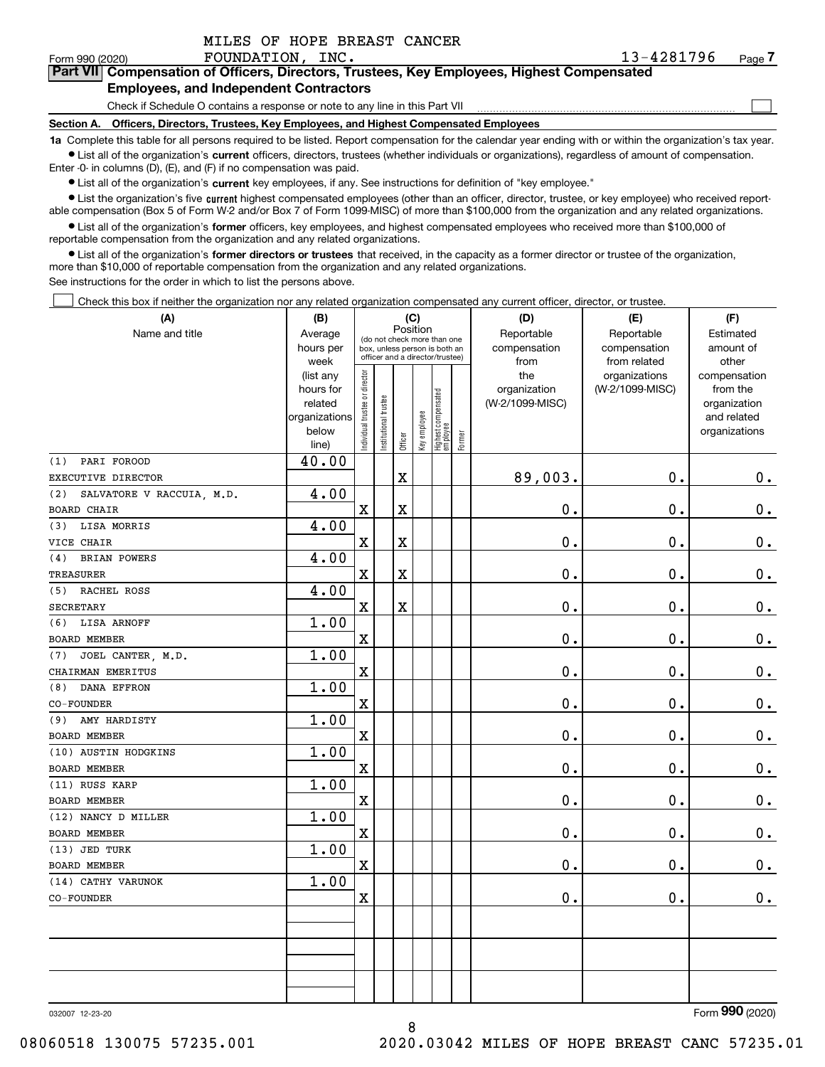|  |  |  |  | MILES OF HOPE BREAST CANCER |  |
|--|--|--|--|-----------------------------|--|
|--|--|--|--|-----------------------------|--|

 $\mathcal{L}^{\text{max}}$ 

| Form 990 (2020) | INC.<br>FOUNDATION,                                                                        | 13-4281796 | Page 7 |
|-----------------|--------------------------------------------------------------------------------------------|------------|--------|
|                 | Part VII Compensation of Officers, Directors, Trustees, Key Employees, Highest Compensated |            |        |

### **Employees, and Independent Contractors**

Check if Schedule O contains a response or note to any line in this Part VII

**Section A. Officers, Directors, Trustees, Key Employees, and Highest Compensated Employees**

**1a**  Complete this table for all persons required to be listed. Report compensation for the calendar year ending with or within the organization's tax year. **•** List all of the organization's current officers, directors, trustees (whether individuals or organizations), regardless of amount of compensation.

Enter -0- in columns (D), (E), and (F) if no compensation was paid.

 $\bullet$  List all of the organization's  $\,$ current key employees, if any. See instructions for definition of "key employee."

**•** List the organization's five current highest compensated employees (other than an officer, director, trustee, or key employee) who received reportable compensation (Box 5 of Form W-2 and/or Box 7 of Form 1099-MISC) of more than \$100,000 from the organization and any related organizations.

**•** List all of the organization's former officers, key employees, and highest compensated employees who received more than \$100,000 of reportable compensation from the organization and any related organizations.

**former directors or trustees**  ¥ List all of the organization's that received, in the capacity as a former director or trustee of the organization, more than \$10,000 of reportable compensation from the organization and any related organizations.

See instructions for the order in which to list the persons above.

Check this box if neither the organization nor any related organization compensated any current officer, director, or trustee.  $\mathcal{L}^{\text{max}}$ 

| (A)                              | (B)                               |                               |                                                                  | (C)      |              |                                   |        | (D)                                    | (E)                              | (F)                                      |
|----------------------------------|-----------------------------------|-------------------------------|------------------------------------------------------------------|----------|--------------|-----------------------------------|--------|----------------------------------------|----------------------------------|------------------------------------------|
| Name and title                   | Average                           |                               | (do not check more than one                                      | Position |              |                                   |        | Reportable                             | Reportable                       | Estimated<br>amount of                   |
|                                  | hours per<br>week                 |                               | box, unless person is both an<br>officer and a director/trustee) |          |              |                                   |        | compensation<br>from                   | compensation<br>from related     | other                                    |
|                                  | (list any<br>hours for<br>related |                               |                                                                  |          |              |                                   |        | the<br>organization<br>(W-2/1099-MISC) | organizations<br>(W-2/1099-MISC) | compensation<br>from the<br>organization |
|                                  | organizations<br>below<br>line)   | ndividual trustee or director | In stitutional trustee                                           | Officer  | Key employee | Highest compensated<br>  employee | Former |                                        |                                  | and related<br>organizations             |
| PARI FOROOD<br>(1)               | 40.00                             |                               |                                                                  |          |              |                                   |        |                                        |                                  |                                          |
| EXECUTIVE DIRECTOR               |                                   |                               |                                                                  | X        |              |                                   |        | 89,003.                                | $\mathbf 0$ .                    | $0_{\cdot}$                              |
| (2)<br>SALVATORE V RACCUIA, M.D. | 4.00                              |                               |                                                                  |          |              |                                   |        |                                        |                                  |                                          |
| <b>BOARD CHAIR</b>               |                                   | $\mathbf X$                   |                                                                  | X        |              |                                   |        | $\mathbf 0$ .                          | 0.                               | $\mathbf 0$ .                            |
| LISA MORRIS<br>(3)               | 4.00                              |                               |                                                                  |          |              |                                   |        |                                        |                                  |                                          |
| VICE CHAIR                       |                                   | $\mathbf X$                   |                                                                  | X        |              |                                   |        | $\mathbf 0$ .                          | $\mathbf 0$ .                    | $\mathbf 0$ .                            |
| (4)<br><b>BRIAN POWERS</b>       | 4.00                              |                               |                                                                  |          |              |                                   |        |                                        |                                  |                                          |
| <b>TREASURER</b>                 |                                   | $\mathbf X$                   |                                                                  | X        |              |                                   |        | $\mathbf 0$ .                          | 0.                               | $\mathbf 0$ .                            |
| (5) RACHEL ROSS                  | 4.00                              |                               |                                                                  |          |              |                                   |        |                                        |                                  |                                          |
| <b>SECRETARY</b>                 |                                   | $\mathbf X$                   |                                                                  | X        |              |                                   |        | 0.                                     | $\mathbf 0$ .                    | $0_{.}$                                  |
| <b>LISA ARNOFF</b><br>(6)        | 1.00                              |                               |                                                                  |          |              |                                   |        |                                        |                                  |                                          |
| <b>BOARD MEMBER</b>              |                                   | $\mathbf X$                   |                                                                  |          |              |                                   |        | $\mathbf 0$ .                          | $\mathbf 0$ .                    | $\mathbf 0$ .                            |
| (7)<br>JOEL CANTER, M.D.         | 1.00                              |                               |                                                                  |          |              |                                   |        |                                        |                                  |                                          |
| CHAIRMAN EMERITUS                |                                   | $\mathbf x$                   |                                                                  |          |              |                                   |        | 0.                                     | $\mathbf 0$ .                    | $0_{.}$                                  |
| (8)<br><b>DANA EFFRON</b>        | 1.00                              |                               |                                                                  |          |              |                                   |        |                                        |                                  |                                          |
| CO-FOUNDER                       |                                   | $\mathbf X$                   |                                                                  |          |              |                                   |        | $0$ .                                  | 0.                               | $\mathbf 0$ .                            |
| (9) AMY HARDISTY                 | 1.00                              |                               |                                                                  |          |              |                                   |        |                                        |                                  |                                          |
| <b>BOARD MEMBER</b>              |                                   | $\mathbf x$                   |                                                                  |          |              |                                   |        | $\mathbf 0$ .                          | 0.                               | 0.                                       |
| (10) AUSTIN HODGKINS             | 1.00                              |                               |                                                                  |          |              |                                   |        |                                        |                                  |                                          |
| <b>BOARD MEMBER</b>              |                                   | $\mathbf X$                   |                                                                  |          |              |                                   |        | $\mathbf 0$ .                          | 0.                               | $\mathbf 0$ .                            |
| (11) RUSS KARP                   | 1.00                              |                               |                                                                  |          |              |                                   |        |                                        |                                  |                                          |
| <b>BOARD MEMBER</b>              |                                   | $\mathbf x$                   |                                                                  |          |              |                                   |        | $\mathbf 0$ .                          | $\mathbf 0$ .                    | $\mathbf 0$ .                            |
| (12) NANCY D MILLER              | 1.00                              |                               |                                                                  |          |              |                                   |        |                                        |                                  |                                          |
| <b>BOARD MEMBER</b>              |                                   | $\mathbf X$                   |                                                                  |          |              |                                   |        | $\mathbf 0$ .                          | 0.                               | $0_{.}$                                  |
| (13) JED TURK                    | 1.00                              |                               |                                                                  |          |              |                                   |        |                                        |                                  |                                          |
| <b>BOARD MEMBER</b>              |                                   | $\mathbf x$                   |                                                                  |          |              |                                   |        | $\mathbf 0$ .                          | $\mathbf 0$ .                    | $\mathbf 0$ .                            |
| (14) CATHY VARUNOK               | 1.00                              |                               |                                                                  |          |              |                                   |        |                                        |                                  |                                          |
| CO-FOUNDER                       |                                   | $\mathbf X$                   |                                                                  |          |              |                                   |        | $\mathbf 0$ .                          | 0.                               | 0.                                       |
|                                  |                                   |                               |                                                                  |          |              |                                   |        |                                        |                                  |                                          |
|                                  |                                   |                               |                                                                  |          |              |                                   |        |                                        |                                  |                                          |
|                                  |                                   |                               |                                                                  |          |              |                                   |        |                                        |                                  |                                          |
|                                  |                                   |                               |                                                                  |          |              |                                   |        |                                        |                                  |                                          |

032007 12-23-20

Form (2020) **990**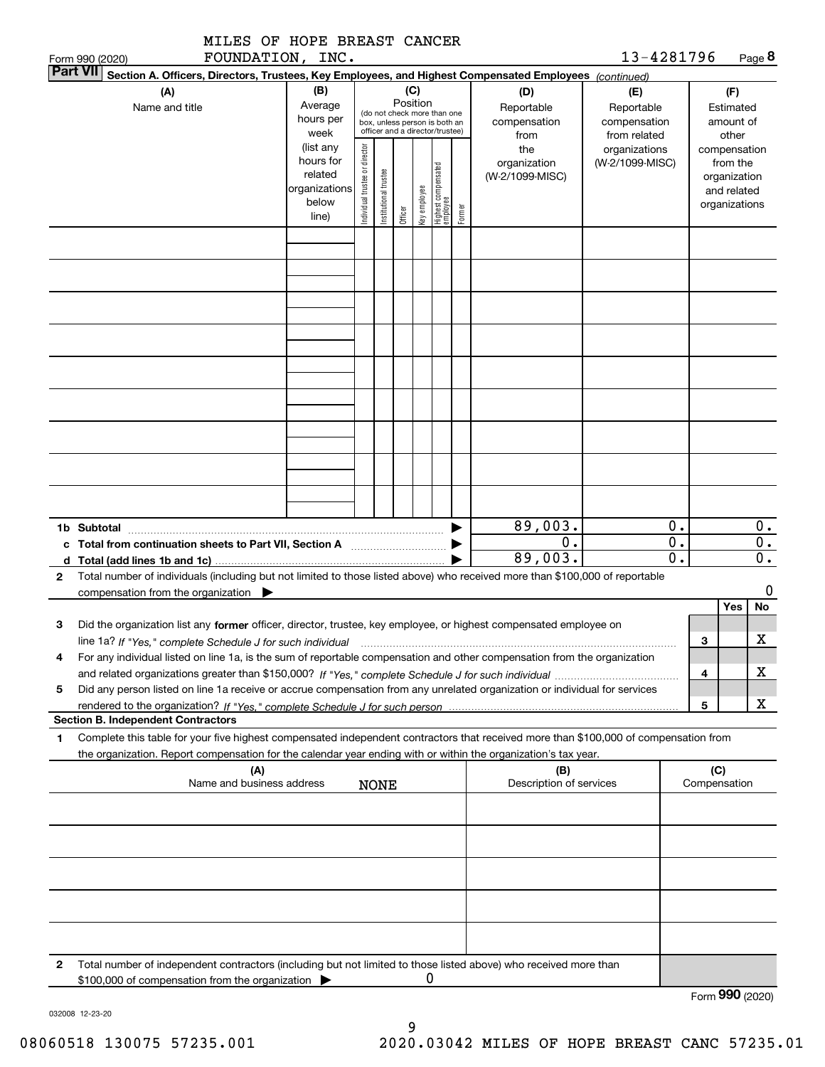|                   | FOUNDATION, INC.<br>Form 990 (2020)                                                                                                                                                                                                                                                                 |                                                                                                             |                                |                       |                     |                     |                                                                                                                                    |        |                                                                                     | 13-4281796                                                                            |                                      |                                                                                                                    | Page 8                                        |
|-------------------|-----------------------------------------------------------------------------------------------------------------------------------------------------------------------------------------------------------------------------------------------------------------------------------------------------|-------------------------------------------------------------------------------------------------------------|--------------------------------|-----------------------|---------------------|---------------------|------------------------------------------------------------------------------------------------------------------------------------|--------|-------------------------------------------------------------------------------------|---------------------------------------------------------------------------------------|--------------------------------------|--------------------------------------------------------------------------------------------------------------------|-----------------------------------------------|
|                   | <b>Part VII</b><br>Section A. Officers, Directors, Trustees, Key Employees, and Highest Compensated Employees (continued)                                                                                                                                                                           |                                                                                                             |                                |                       |                     |                     |                                                                                                                                    |        |                                                                                     |                                                                                       |                                      |                                                                                                                    |                                               |
|                   | (A)<br>Name and title                                                                                                                                                                                                                                                                               | (B)<br>Average<br>hours per<br>week<br>(list any<br>hours for<br>related<br>organizations<br>below<br>line) | Individual trustee or director | Institutional trustee | Position<br>Officer | (C)<br>Key employee | (do not check more than one<br>box, unless person is both an<br>officer and a director/trustee)<br>Highest compensated<br>employee | Former | (D)<br>Reportable<br>compensation<br>from<br>the<br>organization<br>(W-2/1099-MISC) | (E)<br>Reportable<br>compensation<br>from related<br>organizations<br>(W-2/1099-MISC) |                                      | (F)<br>Estimated<br>amount of<br>other<br>compensation<br>from the<br>organization<br>and related<br>organizations |                                               |
|                   |                                                                                                                                                                                                                                                                                                     |                                                                                                             |                                |                       |                     |                     |                                                                                                                                    |        |                                                                                     |                                                                                       |                                      |                                                                                                                    |                                               |
|                   |                                                                                                                                                                                                                                                                                                     |                                                                                                             |                                |                       |                     |                     |                                                                                                                                    |        |                                                                                     |                                                                                       |                                      |                                                                                                                    |                                               |
|                   |                                                                                                                                                                                                                                                                                                     |                                                                                                             |                                |                       |                     |                     |                                                                                                                                    |        |                                                                                     |                                                                                       |                                      |                                                                                                                    |                                               |
|                   |                                                                                                                                                                                                                                                                                                     |                                                                                                             |                                |                       |                     |                     |                                                                                                                                    |        |                                                                                     |                                                                                       |                                      |                                                                                                                    |                                               |
|                   | 1b Subtotal                                                                                                                                                                                                                                                                                         |                                                                                                             |                                |                       |                     |                     |                                                                                                                                    |        | 89,003.                                                                             |                                                                                       | 0.                                   |                                                                                                                    | 0.                                            |
| d<br>$\mathbf{2}$ | Total number of individuals (including but not limited to those listed above) who received more than \$100,000 of reportable                                                                                                                                                                        |                                                                                                             |                                |                       |                     |                     |                                                                                                                                    |        | $\overline{0}$ .<br>89,003.                                                         |                                                                                       | $\overline{0}$ .<br>$\overline{0}$ . |                                                                                                                    | $\overline{0}$ .<br>$\overline{\mathbf{0}}$ . |
| 3                 | compensation from the organization<br>Did the organization list any former officer, director, trustee, key employee, or highest compensated employee on                                                                                                                                             |                                                                                                             |                                |                       |                     |                     |                                                                                                                                    |        |                                                                                     |                                                                                       |                                      | Yes                                                                                                                | 0<br>No                                       |
| 4                 | line 1a? If "Yes," complete Schedule J for such individual manufactured contained and the Yes," complete Schedule J for such individual<br>For any individual listed on line 1a, is the sum of reportable compensation and other compensation from the organization                                 |                                                                                                             |                                |                       |                     |                     |                                                                                                                                    |        |                                                                                     |                                                                                       |                                      | 3                                                                                                                  | x                                             |
| 5                 | Did any person listed on line 1a receive or accrue compensation from any unrelated organization or individual for services                                                                                                                                                                          |                                                                                                             |                                |                       |                     |                     |                                                                                                                                    |        |                                                                                     |                                                                                       |                                      | 4<br>5                                                                                                             | х<br>x                                        |
| 1                 | <b>Section B. Independent Contractors</b><br>Complete this table for your five highest compensated independent contractors that received more than \$100,000 of compensation from<br>the organization. Report compensation for the calendar year ending with or within the organization's tax year. |                                                                                                             |                                |                       |                     |                     |                                                                                                                                    |        |                                                                                     |                                                                                       |                                      |                                                                                                                    |                                               |
|                   | (A)<br>Name and business address                                                                                                                                                                                                                                                                    |                                                                                                             |                                | <b>NONE</b>           |                     |                     |                                                                                                                                    |        | (B)<br>Description of services                                                      |                                                                                       |                                      | (C)<br>Compensation                                                                                                |                                               |
|                   |                                                                                                                                                                                                                                                                                                     |                                                                                                             |                                |                       |                     |                     |                                                                                                                                    |        |                                                                                     |                                                                                       |                                      |                                                                                                                    |                                               |
|                   |                                                                                                                                                                                                                                                                                                     |                                                                                                             |                                |                       |                     |                     |                                                                                                                                    |        |                                                                                     |                                                                                       |                                      |                                                                                                                    |                                               |
|                   |                                                                                                                                                                                                                                                                                                     |                                                                                                             |                                |                       |                     |                     |                                                                                                                                    |        |                                                                                     |                                                                                       |                                      |                                                                                                                    |                                               |
| 2                 | Total number of independent contractors (including but not limited to those listed above) who received more than<br>\$100,000 of compensation from the organization                                                                                                                                 |                                                                                                             |                                |                       |                     | 0                   |                                                                                                                                    |        |                                                                                     |                                                                                       |                                      | Form 990 (2020)                                                                                                    |                                               |
|                   |                                                                                                                                                                                                                                                                                                     |                                                                                                             |                                |                       |                     |                     |                                                                                                                                    |        |                                                                                     |                                                                                       |                                      |                                                                                                                    |                                               |

032008 12-23-20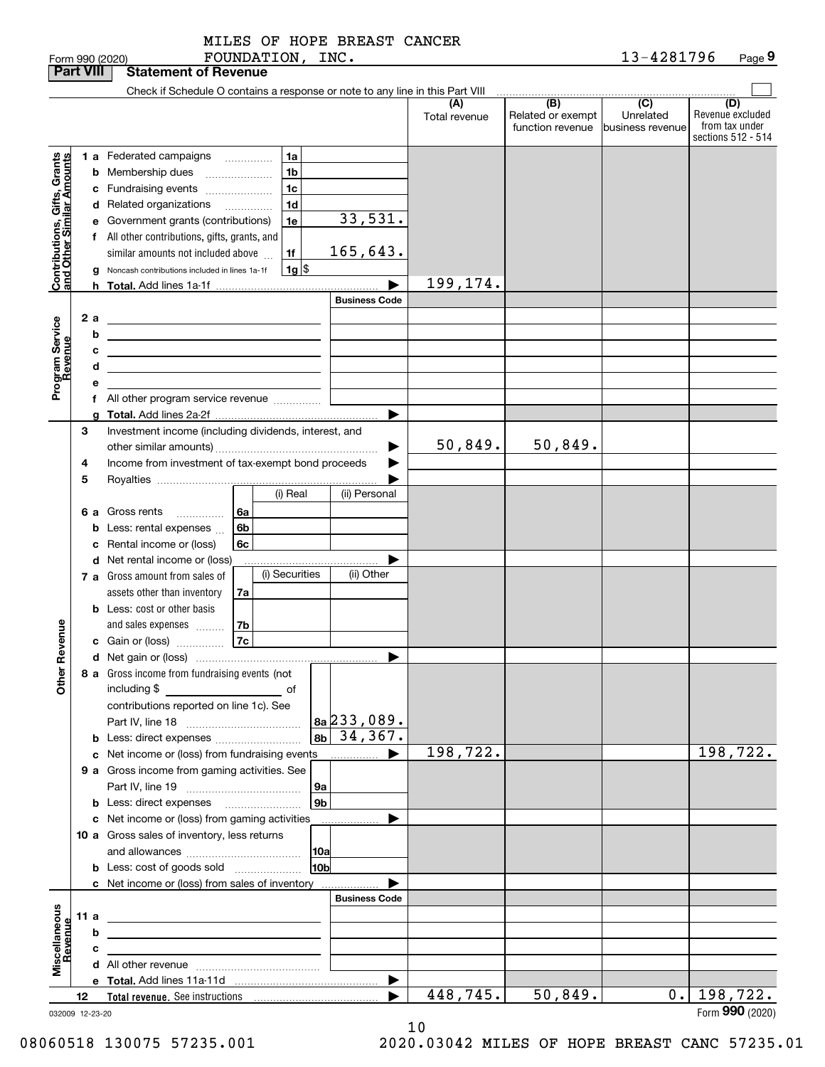|                                                           | <b>Part VIII</b><br><b>Statement of Revenue</b> |    |                                                                                                                       |                          |                |                             |               |                   |                  |                                    |  |
|-----------------------------------------------------------|-------------------------------------------------|----|-----------------------------------------------------------------------------------------------------------------------|--------------------------|----------------|-----------------------------|---------------|-------------------|------------------|------------------------------------|--|
|                                                           |                                                 |    | Check if Schedule O contains a response or note to any line in this Part VIII                                         |                          |                |                             |               |                   |                  |                                    |  |
|                                                           |                                                 |    |                                                                                                                       |                          |                |                             | (A)           | (B)               | $\overline{C}$   | (D)                                |  |
|                                                           |                                                 |    |                                                                                                                       |                          |                |                             | Total revenue | Related or exempt | Unrelated        | Revenue excluded<br>from tax under |  |
|                                                           |                                                 |    |                                                                                                                       |                          |                |                             |               | function revenue  | business revenue | sections 512 - 514                 |  |
|                                                           |                                                 |    | 1 a Federated campaigns                                                                                               |                          | 1a             |                             |               |                   |                  |                                    |  |
|                                                           |                                                 |    |                                                                                                                       |                          |                |                             |               |                   |                  |                                    |  |
|                                                           |                                                 | b  | Membership dues                                                                                                       |                          | 1b             |                             |               |                   |                  |                                    |  |
| Contributions, Gifts, Grants<br>and Other Similar Amounts |                                                 | с  | Fundraising events                                                                                                    |                          | 1 <sub>c</sub> |                             |               |                   |                  |                                    |  |
|                                                           |                                                 | d  | Related organizations                                                                                                 | $\overline{\phantom{a}}$ | 1 <sub>d</sub> |                             |               |                   |                  |                                    |  |
|                                                           |                                                 | е  | Government grants (contributions)                                                                                     |                          | 1e             | 33,531.                     |               |                   |                  |                                    |  |
|                                                           |                                                 | f  | All other contributions, gifts, grants, and                                                                           |                          |                |                             |               |                   |                  |                                    |  |
|                                                           |                                                 |    | similar amounts not included above                                                                                    |                          | 1f             | <u>165,643.</u>             |               |                   |                  |                                    |  |
|                                                           |                                                 | a  | Noncash contributions included in lines 1a-1f                                                                         |                          | $1g$ \$        |                             |               |                   |                  |                                    |  |
|                                                           |                                                 | h. |                                                                                                                       |                          |                |                             | 199,174.      |                   |                  |                                    |  |
|                                                           |                                                 |    |                                                                                                                       |                          |                | <b>Business Code</b>        |               |                   |                  |                                    |  |
|                                                           | 2a                                              |    | <u> 1989 - Johann Barn, amerikansk politiker (</u>                                                                    |                          |                |                             |               |                   |                  |                                    |  |
|                                                           |                                                 | b  | <u> 1989 - Johann Stein, marwolaethau a bhann an t-Amhainn an t-Amhainn an t-Amhainn an t-Amhainn an t-Amhainn an</u> |                          |                |                             |               |                   |                  |                                    |  |
|                                                           |                                                 | c  | the contract of the contract of the contract of the contract of the contract of                                       |                          |                |                             |               |                   |                  |                                    |  |
|                                                           |                                                 | d  | <u> 1989 - Johann Barn, mars ann an t-Amhain an t-Amhain an t-Amhain an t-Amhain an t-Amhain an t-Amhain an t-Amh</u> |                          |                |                             |               |                   |                  |                                    |  |
| Program Service<br>Revenue                                |                                                 | е  |                                                                                                                       |                          |                |                             |               |                   |                  |                                    |  |
|                                                           |                                                 | f  | All other program service revenue                                                                                     |                          |                |                             |               |                   |                  |                                    |  |
|                                                           |                                                 | a  |                                                                                                                       |                          |                |                             |               |                   |                  |                                    |  |
|                                                           | З                                               |    | Investment income (including dividends, interest, and                                                                 |                          |                |                             |               |                   |                  |                                    |  |
|                                                           |                                                 |    |                                                                                                                       |                          |                |                             | 50,849.       | 50, 849.          |                  |                                    |  |
|                                                           | 4                                               |    | Income from investment of tax-exempt bond proceeds                                                                    |                          |                |                             |               |                   |                  |                                    |  |
|                                                           |                                                 |    |                                                                                                                       |                          |                |                             |               |                   |                  |                                    |  |
|                                                           | 5                                               |    |                                                                                                                       |                          | (i) Real       | (ii) Personal               |               |                   |                  |                                    |  |
|                                                           |                                                 |    |                                                                                                                       |                          |                |                             |               |                   |                  |                                    |  |
|                                                           | 6а                                              |    | Gross rents<br>.                                                                                                      | 6a                       |                |                             |               |                   |                  |                                    |  |
|                                                           |                                                 | b  | Less: rental expenses                                                                                                 | 6b                       |                |                             |               |                   |                  |                                    |  |
|                                                           |                                                 |    | Rental income or (loss)                                                                                               | 6с                       |                |                             |               |                   |                  |                                    |  |
|                                                           |                                                 | d  | Net rental income or (loss)                                                                                           |                          |                |                             |               |                   |                  |                                    |  |
|                                                           |                                                 |    | 7 a Gross amount from sales of                                                                                        |                          | (i) Securities | (ii) Other                  |               |                   |                  |                                    |  |
|                                                           |                                                 |    | assets other than inventory                                                                                           | 7a                       |                |                             |               |                   |                  |                                    |  |
|                                                           |                                                 |    | <b>b</b> Less: cost or other basis                                                                                    |                          |                |                             |               |                   |                  |                                    |  |
|                                                           |                                                 |    | and sales expenses                                                                                                    | l 7b                     |                |                             |               |                   |                  |                                    |  |
| Revenue                                                   |                                                 |    |                                                                                                                       |                          |                |                             |               |                   |                  |                                    |  |
|                                                           |                                                 |    |                                                                                                                       |                          |                |                             |               |                   |                  |                                    |  |
| Other                                                     |                                                 |    | 8 a Gross income from fundraising events (not                                                                         |                          |                |                             |               |                   |                  |                                    |  |
|                                                           |                                                 |    | including \$<br><u>of</u> of                                                                                          |                          |                |                             |               |                   |                  |                                    |  |
|                                                           |                                                 |    | contributions reported on line 1c). See                                                                               |                          |                |                             |               |                   |                  |                                    |  |
|                                                           |                                                 |    |                                                                                                                       |                          |                | $ a_{\mathsf{a}} $ 233,089. |               |                   |                  |                                    |  |
|                                                           |                                                 |    | <b>b</b> Less: direct expenses                                                                                        |                          |                | 34,367.<br>8 <sub>b</sub>   |               |                   |                  |                                    |  |
|                                                           |                                                 |    | c Net income or (loss) from fundraising events                                                                        |                          |                | ▶                           | 198,722.      |                   |                  | 198,722.                           |  |
|                                                           |                                                 |    | 9 a Gross income from gaming activities. See                                                                          |                          |                |                             |               |                   |                  |                                    |  |
|                                                           |                                                 |    |                                                                                                                       |                          |                | 9a                          |               |                   |                  |                                    |  |
|                                                           |                                                 |    | <b>b</b> Less: direct expenses <b>manually</b>                                                                        |                          |                | 9 <sub>b</sub>              |               |                   |                  |                                    |  |
|                                                           |                                                 |    | c Net income or (loss) from gaming activities                                                                         |                          |                |                             |               |                   |                  |                                    |  |
|                                                           |                                                 |    | 10 a Gross sales of inventory, less returns                                                                           |                          |                |                             |               |                   |                  |                                    |  |
|                                                           |                                                 |    |                                                                                                                       |                          |                | 10a                         |               |                   |                  |                                    |  |
|                                                           |                                                 |    | <b>b</b> Less: cost of goods sold                                                                                     |                          |                | 10b                         |               |                   |                  |                                    |  |
|                                                           |                                                 |    | c Net income or (loss) from sales of inventory                                                                        |                          |                |                             |               |                   |                  |                                    |  |
|                                                           |                                                 |    |                                                                                                                       |                          |                | <b>Business Code</b>        |               |                   |                  |                                    |  |
|                                                           | 11a                                             |    |                                                                                                                       |                          |                |                             |               |                   |                  |                                    |  |
| Miscellaneous<br>Revenue                                  |                                                 |    | the contract of the contract of the contract of the contract of the contract of                                       |                          |                |                             |               |                   |                  |                                    |  |
|                                                           |                                                 | b  |                                                                                                                       |                          |                |                             |               |                   |                  |                                    |  |
|                                                           |                                                 | с  | the control of the control of the control of the control of the control of                                            |                          |                |                             |               |                   |                  |                                    |  |
|                                                           |                                                 |    |                                                                                                                       |                          |                |                             |               |                   |                  |                                    |  |
|                                                           |                                                 |    |                                                                                                                       |                          |                |                             |               |                   |                  |                                    |  |
|                                                           | 12                                              |    |                                                                                                                       |                          |                |                             | 448,745.      | 50,849.           |                  | $0.$   198,722.                    |  |

10

08060518 130075 57235.001 2020.03042 MILES OF HOPE BREAST CANC 57235.01

Form (2020) **990**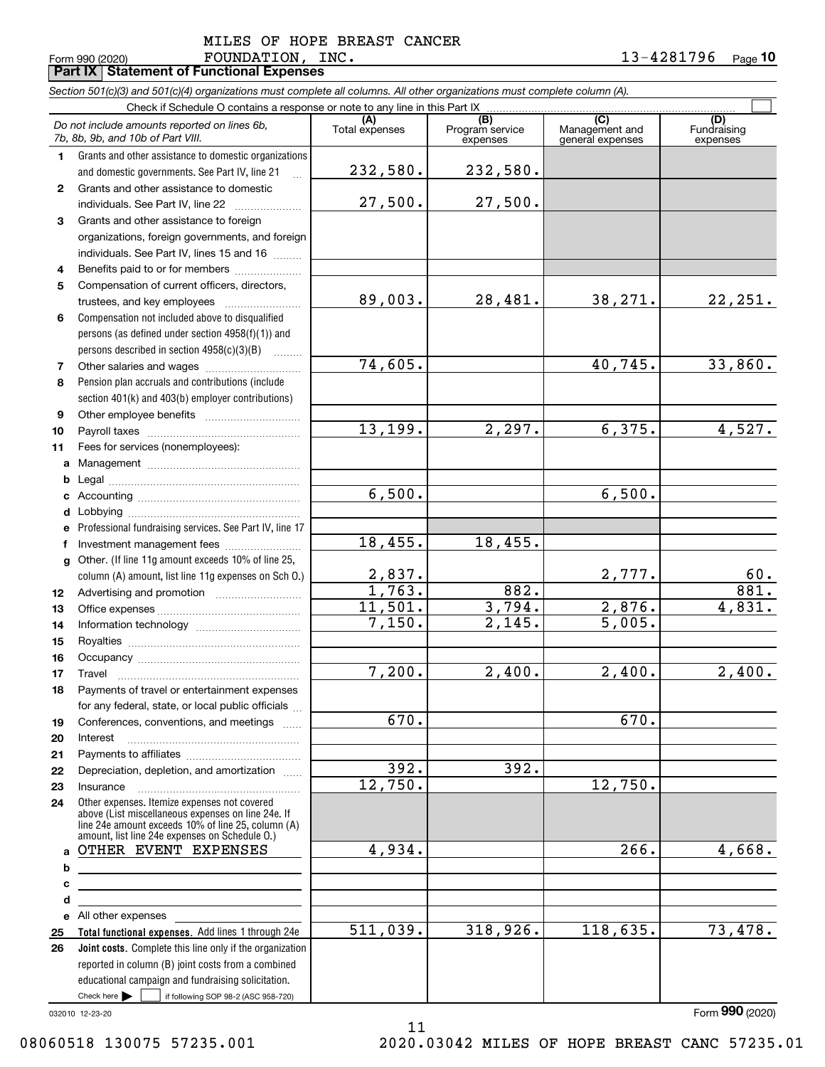#### FOUNDATION, INC. MILES OF HOPE BREAST CANCER

**Part IX Statement of Functional Expenses**

Form 990 (2020) **FOUNDATION, INC.** 1 3-4 2 8 1 7 9 6 <sub>Page</sub> 10

Check here  $\bullet$  if following SOP 98-2 (ASC 958-720) **Total functional expenses.**  Add lines 1 through 24e **Joint costs.** Complete this line only if the organization **(A)**<br>Total expenses **(C)** (C) (C)<br>
penses Program service Management and Fundrai<br>
expenses general expenses expen **1234567891011abcdefg12131415161718192021222324abcde2526***Section 501(c)(3) and 501(c)(4) organizations must complete all columns. All other organizations must complete column (A).* Grants and other assistance to domestic organizations and domestic governments. See Part IV, line 21 Compensation not included above to disqualified persons (as defined under section 4958(f)(1)) and persons described in section 4958(c)(3)(B)  $\quad \ldots \ldots \ldots$ Pension plan accruals and contributions (include section 401(k) and 403(b) employer contributions) Professional fundraising services. See Part IV, line 17 Other. (If line 11g amount exceeds 10% of line 25, column (A) amount, list line 11g expenses on Sch O.) Other expenses. Itemize expenses not covered above (List miscellaneous expenses on line 24e. If line 24e amount exceeds 10% of line 25, column (A) amount, list line 24e expenses on Schedule O.) reported in column (B) joint costs from a combined educational campaign and fundraising solicitation. Check if Schedule O contains a response or note to any line in this Part IX (C) (C) (C) (C) (C) (C) Program service expensesFundraising expensesGrants and other assistance to domestic  $individuals. See Part IV, line 22    
~~...  
~~...  
~~...$ Grants and other assistance to foreign organizations, foreign governments, and foreign individuals. See Part IV, lines 15 and 16  $\ldots$ Benefits paid to or for members ..................... Compensation of current officers, directors, trustees, and key employees  $\ldots$   $\ldots$   $\ldots$   $\ldots$   $\ldots$ Other salaries and wages ~~~~~~~~~~ Other employee benefits ~~~~~~~~~~ Payroll taxes ~~~~~~~~~~~~~~~~ Fees for services (nonemployees): Management ~~~~~~~~~~~~~~~~ Legal ~~~~~~~~~~~~~~~~~~~~Accounting ~~~~~~~~~~~~~~~~~ Lobbying ~~~~~~~~~~~~~~~~~~ lnvestment management fees ....................... Advertising and promotion www.communication Office expenses ~~~~~~~~~~~~~~~ Information technology ~~~~~~~~~~~ Royalties ~~~~~~~~~~~~~~~~~~ Occupancy ~~~~~~~~~~~~~~~~~ Travel ……………………………………………… Payments of travel or entertainment expenses for any federal, state, or local public officials ... Conferences, conventions, and meetings Interest Payments to affiliates ~~~~~~~~~~~~ Depreciation, depletion, and amortization  $\,\,\ldots\,\,$ Insurance~~~~~~~~~~~~~~~~~All other expenses Check here  $\blacktriangleright$ *Do not include amounts reported on lines 6b, 7b, 8b, 9b, and 10b of Part VIII.*  $\mathcal{L}^{\text{max}}$ 232,580. 27,500. 89,003. 74,605. 13,199. 6,500. 2,837. 1,763. 11,501. 7,150. 7,200. 670. 392. 12,750. 4,934. 511,039. 18,455. 232,580. 27,500. 28,481. 38,271. 22,251. 40,745. 33,860. 2,297. 6,375. 4,527. 6,500. 18,455. 2,777. 60. 882. 3,794. 2,876. 4,831. 2,145. 5,005. 2,400. 2,400. 2,400. 670. 392. 12,750.  $266.$  4,668. 318,926. 118,635. 73,478. OTHER EVENT EXPENSES

11

032010 12-23-20

Form (2020) **990**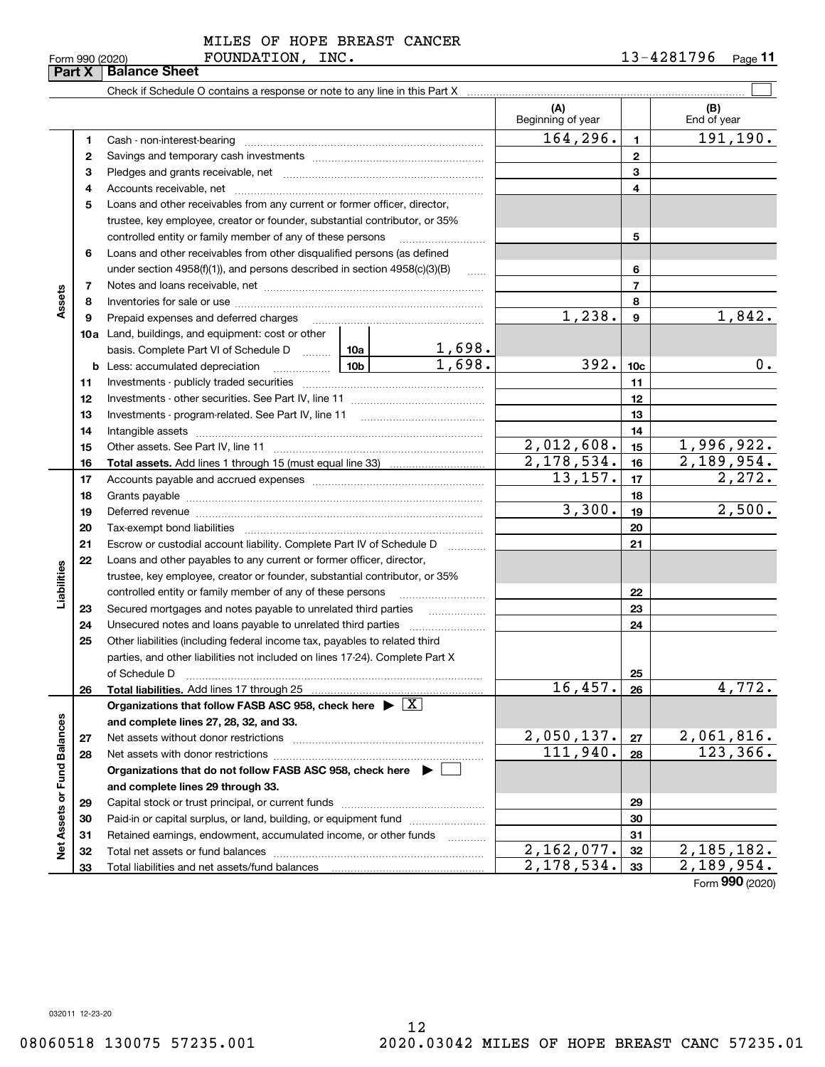|  | Form 990 (2020) |
|--|-----------------|
|  |                 |

# MILES OF HOPE BREAST CANCER

|                             | Part X | <b>Balance Sheet</b>                                                                                              |  |               |                          |                 |                         |
|-----------------------------|--------|-------------------------------------------------------------------------------------------------------------------|--|---------------|--------------------------|-----------------|-------------------------|
|                             |        |                                                                                                                   |  |               |                          |                 |                         |
|                             |        |                                                                                                                   |  |               | (A)<br>Beginning of year |                 | (B)<br>End of year      |
|                             | 1      |                                                                                                                   |  |               | 164, 296.                | $\mathbf{1}$    | 191, 190.               |
|                             | 2      |                                                                                                                   |  |               |                          | $\mathbf{2}$    |                         |
|                             | 3      |                                                                                                                   |  |               |                          | 3               |                         |
|                             | 4      |                                                                                                                   |  |               |                          | 4               |                         |
|                             | 5      | Loans and other receivables from any current or former officer, director,                                         |  |               |                          |                 |                         |
|                             |        | trustee, key employee, creator or founder, substantial contributor, or 35%                                        |  |               |                          |                 |                         |
|                             |        |                                                                                                                   |  |               |                          | 5               |                         |
|                             | 6      | Loans and other receivables from other disqualified persons (as defined                                           |  |               |                          |                 |                         |
|                             |        | under section $4958(f)(1)$ , and persons described in section $4958(c)(3)(B)$                                     |  | $\ldots$      |                          | 6               |                         |
|                             | 7      |                                                                                                                   |  |               |                          | $\overline{7}$  |                         |
| Assets                      | 8      |                                                                                                                   |  |               | 8                        |                 |                         |
|                             | 9      | Prepaid expenses and deferred charges [11] [11] prepaid expenses and deferred charges [11] [11] minimum materials |  |               | 1,238.                   | 9               | 1,842.                  |
|                             |        | <b>10a</b> Land, buildings, and equipment: cost or other                                                          |  |               |                          |                 |                         |
|                             |        | basis. Complete Part VI of Schedule D  10a                                                                        |  | <u>1,698.</u> |                          |                 |                         |
|                             |        |                                                                                                                   |  | 1,698.        | 392.                     | 10 <sub>c</sub> | $0$ .                   |
|                             | 11     |                                                                                                                   |  |               | 11                       |                 |                         |
|                             | 12     |                                                                                                                   |  | 12            |                          |                 |                         |
|                             | 13     |                                                                                                                   |  |               | 13                       |                 |                         |
|                             | 14     |                                                                                                                   |  |               |                          | 14              |                         |
|                             | 15     |                                                                                                                   |  |               | 2,012,608.               | 15              | 1,996,922.              |
|                             | 16     |                                                                                                                   |  |               | 2, 178, 534.             | 16              | <u>2,189,954.</u>       |
|                             | 17     |                                                                                                                   |  |               | 13, 157.                 | 17              | 2,272.                  |
|                             | 18     |                                                                                                                   |  | 18            |                          |                 |                         |
|                             | 19     | Deferred revenue manual contracts and contracts are all the contracts and contracts are contracted and contracts  |  |               | 3,300.                   | 19              | 2,500.                  |
|                             | 20     |                                                                                                                   |  |               | 20                       |                 |                         |
|                             | 21     | Escrow or custodial account liability. Complete Part IV of Schedule D                                             |  |               |                          | 21              |                         |
|                             | 22     | Loans and other payables to any current or former officer, director,                                              |  |               |                          |                 |                         |
|                             |        | trustee, key employee, creator or founder, substantial contributor, or 35%                                        |  |               |                          |                 |                         |
| Liabilities                 |        |                                                                                                                   |  |               |                          | 22              |                         |
|                             | 23     | Secured mortgages and notes payable to unrelated third parties                                                    |  |               |                          | 23              |                         |
|                             | 24     |                                                                                                                   |  |               |                          | 24              |                         |
|                             | 25     | Other liabilities (including federal income tax, payables to related third                                        |  |               |                          |                 |                         |
|                             |        | parties, and other liabilities not included on lines 17-24). Complete Part X                                      |  |               |                          |                 |                         |
|                             |        | of Schedule D                                                                                                     |  |               |                          | 25              |                         |
|                             | 26     | Total liabilities. Add lines 17 through 25                                                                        |  |               | 16,457.                  | 26              | 4,772.                  |
|                             |        | Organizations that follow FASB ASC 958, check here $\blacktriangleright \boxed{X}$                                |  |               |                          |                 |                         |
|                             |        | and complete lines 27, 28, 32, and 33.                                                                            |  |               |                          |                 |                         |
|                             | 27     |                                                                                                                   |  |               | 2,050,137.<br>111,940.   | 27              | 2,061,816.<br>123, 366. |
|                             | 28     |                                                                                                                   |  |               |                          | 28              |                         |
|                             |        | Organizations that do not follow FASB ASC 958, check here $\blacktriangleright$                                   |  |               |                          |                 |                         |
|                             |        | and complete lines 29 through 33.                                                                                 |  |               |                          |                 |                         |
| Net Assets or Fund Balances | 29     |                                                                                                                   |  |               |                          | 29              |                         |
|                             | 30     | Paid-in or capital surplus, or land, building, or equipment fund                                                  |  |               |                          | 30              |                         |
|                             | 31     | Retained earnings, endowment, accumulated income, or other funds                                                  |  |               | $\overline{2,162,077}$ . | 31              | 2,185,182.              |
|                             | 32     |                                                                                                                   |  |               | 2,178,534.               | 32              | 2,189,954.              |
|                             | 33     |                                                                                                                   |  |               |                          | 33              |                         |

Form (2020) **990**

032011 12-23-20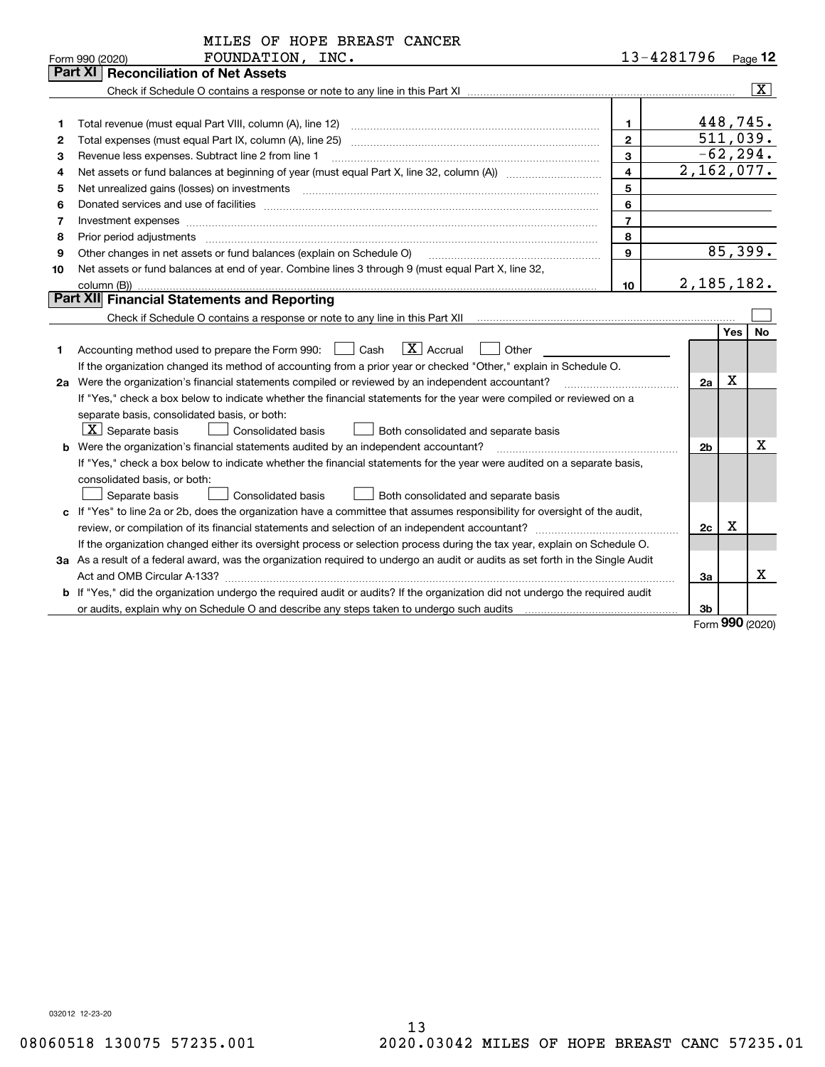|    | MILES OF HOPE BREAST CANCER                                                                                                     |                         |                |            |                         |  |  |
|----|---------------------------------------------------------------------------------------------------------------------------------|-------------------------|----------------|------------|-------------------------|--|--|
|    | FOUNDATION, INC.<br>Form 990 (2020)                                                                                             |                         | 13-4281796     |            | Page 12                 |  |  |
|    | Part XI   Reconciliation of Net Assets                                                                                          |                         |                |            |                         |  |  |
|    |                                                                                                                                 |                         |                |            | $\overline{\mathbf{X}}$ |  |  |
|    |                                                                                                                                 |                         |                |            |                         |  |  |
| 1  |                                                                                                                                 | $\mathbf{1}$            |                |            | 448,745.                |  |  |
| 2  |                                                                                                                                 | $\overline{2}$          |                |            | 511,039.<br>$-62, 294.$ |  |  |
| з  | 3<br>Revenue less expenses. Subtract line 2 from line 1                                                                         |                         |                |            |                         |  |  |
| 4  |                                                                                                                                 | $\overline{\mathbf{4}}$ | 2,162,077.     |            |                         |  |  |
| 5  |                                                                                                                                 | 5                       |                |            |                         |  |  |
| 6  |                                                                                                                                 | 6                       |                |            |                         |  |  |
| 7  | Investment expenses www.communication.com/www.communication.com/www.communication.com/www.com                                   | $\overline{7}$          |                |            |                         |  |  |
| 8  | Prior period adjustments                                                                                                        | 8                       |                |            |                         |  |  |
| 9  | Other changes in net assets or fund balances (explain on Schedule O)                                                            | $\mathbf{q}$            |                |            | 85,399.                 |  |  |
| 10 | Net assets or fund balances at end of year. Combine lines 3 through 9 (must equal Part X, line 32,                              |                         |                |            |                         |  |  |
|    | column (B))                                                                                                                     | 10                      | 2, 185, 182.   |            |                         |  |  |
|    | Part XII Financial Statements and Reporting                                                                                     |                         |                |            |                         |  |  |
|    |                                                                                                                                 |                         |                |            |                         |  |  |
|    |                                                                                                                                 |                         |                | <b>Yes</b> | <b>No</b>               |  |  |
| 1  | $X$ Accrual<br>Accounting method used to prepare the Form 990: <u>I</u> Cash<br>Other                                           |                         |                |            |                         |  |  |
|    | If the organization changed its method of accounting from a prior year or checked "Other," explain in Schedule O.               |                         |                |            |                         |  |  |
|    | 2a Were the organization's financial statements compiled or reviewed by an independent accountant?                              |                         | 2a             | X          |                         |  |  |
|    | If "Yes," check a box below to indicate whether the financial statements for the year were compiled or reviewed on a            |                         |                |            |                         |  |  |
|    | separate basis, consolidated basis, or both:                                                                                    |                         |                |            |                         |  |  |
|    | $ \mathbf{X} $ Separate basis<br>Consolidated basis<br>Both consolidated and separate basis                                     |                         |                |            |                         |  |  |
|    | <b>b</b> Were the organization's financial statements audited by an independent accountant?                                     |                         | 2 <sub>b</sub> |            | x                       |  |  |
|    | If "Yes," check a box below to indicate whether the financial statements for the year were audited on a separate basis,         |                         |                |            |                         |  |  |
|    | consolidated basis, or both:                                                                                                    |                         |                |            |                         |  |  |
|    | Both consolidated and separate basis<br>Separate basis<br><b>Consolidated basis</b>                                             |                         |                |            |                         |  |  |
|    | c If "Yes" to line 2a or 2b, does the organization have a committee that assumes responsibility for oversight of the audit,     |                         |                |            |                         |  |  |
|    |                                                                                                                                 |                         | 2c             | X          |                         |  |  |
|    | If the organization changed either its oversight process or selection process during the tax year, explain on Schedule O.       |                         |                |            |                         |  |  |
|    | 3a As a result of a federal award, was the organization required to undergo an audit or audits as set forth in the Single Audit |                         |                |            |                         |  |  |
|    |                                                                                                                                 |                         | За             |            | x                       |  |  |
|    | b If "Yes," did the organization undergo the required audit or audits? If the organization did not undergo the required audit   |                         |                |            |                         |  |  |
|    |                                                                                                                                 |                         | 3 <sub>b</sub> |            |                         |  |  |

Form (2020) **990**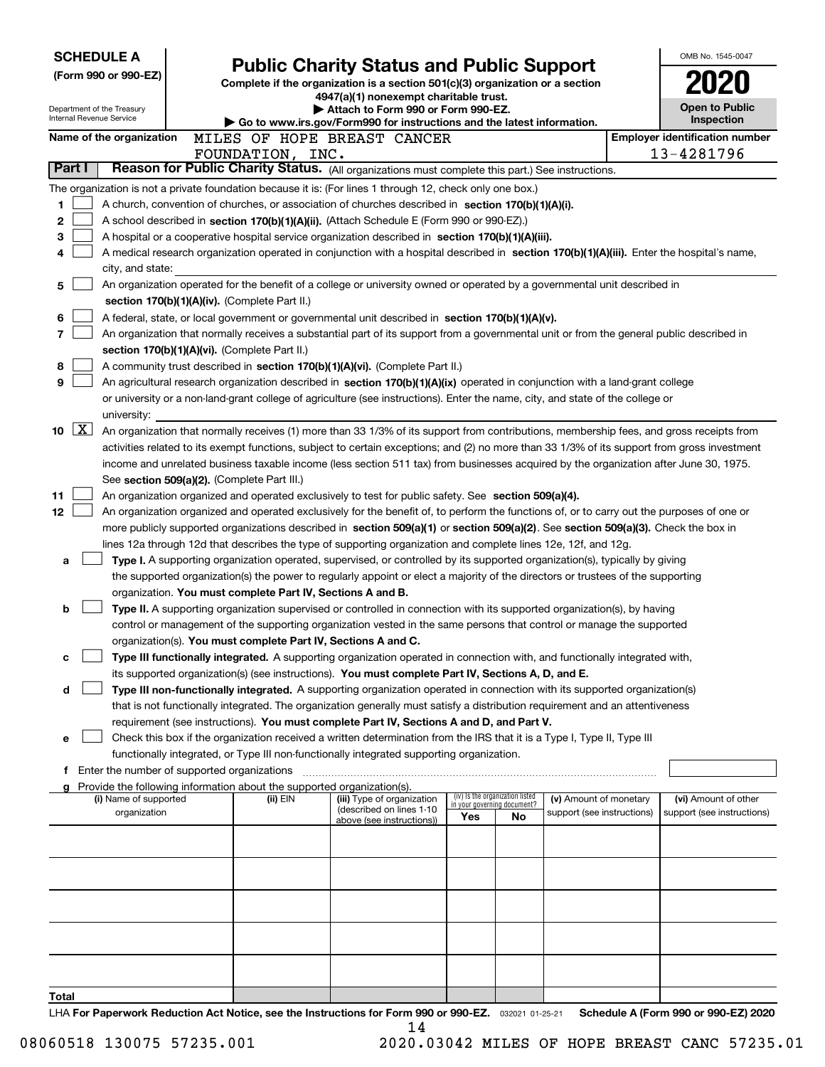| <b>SCHEDULE A</b>    |                                                      |                                               |                  |                                                                                                                                                                   |     |                                   |                            | OMB No. 1545-0047                     |
|----------------------|------------------------------------------------------|-----------------------------------------------|------------------|-------------------------------------------------------------------------------------------------------------------------------------------------------------------|-----|-----------------------------------|----------------------------|---------------------------------------|
| (Form 990 or 990-EZ) |                                                      |                                               |                  | <b>Public Charity Status and Public Support</b>                                                                                                                   |     |                                   |                            |                                       |
|                      |                                                      |                                               |                  | Complete if the organization is a section 501(c)(3) organization or a section<br>4947(a)(1) nonexempt charitable trust.                                           |     |                                   |                            |                                       |
|                      | Department of the Treasury                           |                                               |                  | Attach to Form 990 or Form 990-EZ.                                                                                                                                |     |                                   |                            | <b>Open to Public</b>                 |
|                      | Internal Revenue Service                             |                                               |                  | Go to www.irs.gov/Form990 for instructions and the latest information.                                                                                            |     |                                   |                            | Inspection                            |
|                      | Name of the organization                             |                                               |                  | MILES OF HOPE BREAST CANCER                                                                                                                                       |     |                                   |                            | <b>Employer identification number</b> |
|                      |                                                      |                                               | FOUNDATION, INC. |                                                                                                                                                                   |     |                                   |                            | 13-4281796                            |
| Part I               |                                                      |                                               |                  | Reason for Public Charity Status. (All organizations must complete this part.) See instructions.                                                                  |     |                                   |                            |                                       |
|                      |                                                      |                                               |                  | The organization is not a private foundation because it is: (For lines 1 through 12, check only one box.)                                                         |     |                                   |                            |                                       |
| 1                    |                                                      |                                               |                  | A church, convention of churches, or association of churches described in section 170(b)(1)(A)(i).                                                                |     |                                   |                            |                                       |
| 2                    |                                                      |                                               |                  | A school described in section 170(b)(1)(A)(ii). (Attach Schedule E (Form 990 or 990-EZ).)                                                                         |     |                                   |                            |                                       |
| 3                    |                                                      |                                               |                  | A hospital or a cooperative hospital service organization described in section 170(b)(1)(A)(iii).                                                                 |     |                                   |                            |                                       |
| 4                    |                                                      |                                               |                  | A medical research organization operated in conjunction with a hospital described in section 170(b)(1)(A)(iii). Enter the hospital's name,                        |     |                                   |                            |                                       |
|                      | city, and state:                                     |                                               |                  |                                                                                                                                                                   |     |                                   |                            |                                       |
| 5                    |                                                      |                                               |                  | An organization operated for the benefit of a college or university owned or operated by a governmental unit described in                                         |     |                                   |                            |                                       |
|                      |                                                      | section 170(b)(1)(A)(iv). (Complete Part II.) |                  |                                                                                                                                                                   |     |                                   |                            |                                       |
| 6                    |                                                      |                                               |                  | A federal, state, or local government or governmental unit described in section 170(b)(1)(A)(v).                                                                  |     |                                   |                            |                                       |
| 7                    |                                                      |                                               |                  | An organization that normally receives a substantial part of its support from a governmental unit or from the general public described in                         |     |                                   |                            |                                       |
|                      |                                                      | section 170(b)(1)(A)(vi). (Complete Part II.) |                  |                                                                                                                                                                   |     |                                   |                            |                                       |
| 8                    |                                                      |                                               |                  | A community trust described in section 170(b)(1)(A)(vi). (Complete Part II.)                                                                                      |     |                                   |                            |                                       |
| 9                    |                                                      |                                               |                  | An agricultural research organization described in section 170(b)(1)(A)(ix) operated in conjunction with a land-grant college                                     |     |                                   |                            |                                       |
|                      |                                                      |                                               |                  | or university or a non-land-grant college of agriculture (see instructions). Enter the name, city, and state of the college or                                    |     |                                   |                            |                                       |
| $10 \quad \boxed{X}$ | university:                                          |                                               |                  | An organization that normally receives (1) more than 33 1/3% of its support from contributions, membership fees, and gross receipts from                          |     |                                   |                            |                                       |
|                      |                                                      |                                               |                  | activities related to its exempt functions, subject to certain exceptions; and (2) no more than 33 1/3% of its support from gross investment                      |     |                                   |                            |                                       |
|                      |                                                      |                                               |                  | income and unrelated business taxable income (less section 511 tax) from businesses acquired by the organization after June 30, 1975.                             |     |                                   |                            |                                       |
|                      |                                                      | See section 509(a)(2). (Complete Part III.)   |                  |                                                                                                                                                                   |     |                                   |                            |                                       |
| 11                   |                                                      |                                               |                  | An organization organized and operated exclusively to test for public safety. See section 509(a)(4).                                                              |     |                                   |                            |                                       |
| 12                   |                                                      |                                               |                  | An organization organized and operated exclusively for the benefit of, to perform the functions of, or to carry out the purposes of one or                        |     |                                   |                            |                                       |
|                      |                                                      |                                               |                  | more publicly supported organizations described in section 509(a)(1) or section 509(a)(2). See section 509(a)(3). Check the box in                                |     |                                   |                            |                                       |
|                      |                                                      |                                               |                  | lines 12a through 12d that describes the type of supporting organization and complete lines 12e, 12f, and 12g.                                                    |     |                                   |                            |                                       |
| a                    |                                                      |                                               |                  | Type I. A supporting organization operated, supervised, or controlled by its supported organization(s), typically by giving                                       |     |                                   |                            |                                       |
|                      |                                                      |                                               |                  | the supported organization(s) the power to regularly appoint or elect a majority of the directors or trustees of the supporting                                   |     |                                   |                            |                                       |
|                      |                                                      |                                               |                  | organization. You must complete Part IV, Sections A and B.                                                                                                        |     |                                   |                            |                                       |
| b                    |                                                      |                                               |                  | Type II. A supporting organization supervised or controlled in connection with its supported organization(s), by having                                           |     |                                   |                            |                                       |
|                      |                                                      |                                               |                  | control or management of the supporting organization vested in the same persons that control or manage the supported                                              |     |                                   |                            |                                       |
|                      |                                                      |                                               |                  | organization(s). You must complete Part IV, Sections A and C.                                                                                                     |     |                                   |                            |                                       |
| с                    |                                                      |                                               |                  | Type III functionally integrated. A supporting organization operated in connection with, and functionally integrated with,                                        |     |                                   |                            |                                       |
|                      |                                                      |                                               |                  | its supported organization(s) (see instructions). You must complete Part IV, Sections A, D, and E.                                                                |     |                                   |                            |                                       |
| d                    |                                                      |                                               |                  | Type III non-functionally integrated. A supporting organization operated in connection with its supported organization(s)                                         |     |                                   |                            |                                       |
|                      |                                                      |                                               |                  | that is not functionally integrated. The organization generally must satisfy a distribution requirement and an attentiveness                                      |     |                                   |                            |                                       |
|                      |                                                      |                                               |                  | requirement (see instructions). You must complete Part IV, Sections A and D, and Part V.                                                                          |     |                                   |                            |                                       |
| е                    |                                                      |                                               |                  | Check this box if the organization received a written determination from the IRS that it is a Type I, Type II, Type III                                           |     |                                   |                            |                                       |
|                      |                                                      |                                               |                  | functionally integrated, or Type III non-functionally integrated supporting organization.                                                                         |     |                                   |                            |                                       |
|                      | <b>f</b> Enter the number of supported organizations |                                               |                  |                                                                                                                                                                   |     |                                   |                            |                                       |
|                      | (i) Name of supported                                |                                               | (ii) EIN         | Provide the following information about the supported organization(s).<br>(iii) Type of organization                                                              |     | (iv) Is the organization listed   | (v) Amount of monetary     | (vi) Amount of other                  |
|                      | organization                                         |                                               |                  | (described on lines 1-10<br>above (see instructions))                                                                                                             | Yes | in your governing document?<br>No | support (see instructions) | support (see instructions)            |
|                      |                                                      |                                               |                  |                                                                                                                                                                   |     |                                   |                            |                                       |
|                      |                                                      |                                               |                  |                                                                                                                                                                   |     |                                   |                            |                                       |
|                      |                                                      |                                               |                  |                                                                                                                                                                   |     |                                   |                            |                                       |
|                      |                                                      |                                               |                  |                                                                                                                                                                   |     |                                   |                            |                                       |
|                      |                                                      |                                               |                  |                                                                                                                                                                   |     |                                   |                            |                                       |
|                      |                                                      |                                               |                  |                                                                                                                                                                   |     |                                   |                            |                                       |
|                      |                                                      |                                               |                  |                                                                                                                                                                   |     |                                   |                            |                                       |
|                      |                                                      |                                               |                  |                                                                                                                                                                   |     |                                   |                            |                                       |
|                      |                                                      |                                               |                  |                                                                                                                                                                   |     |                                   |                            |                                       |
|                      |                                                      |                                               |                  |                                                                                                                                                                   |     |                                   |                            |                                       |
| Total                |                                                      |                                               |                  |                                                                                                                                                                   |     |                                   |                            |                                       |
|                      |                                                      |                                               |                  | $1 \mu\Lambda$ For Danorucrk Poduction Act Notice, see the Instructions for Form 000 or 000-F7 $\sim$ 00001 01.05.01 $\sim$ Schodule A (Form 000 or 000-F7) 2020. |     |                                   |                            |                                       |

or 990-EZ. 032021 01-25-21 Schedule A (Form 990 or 990-EZ) 2020 LHA For Paperwork Reduction Act Notice, see the Instructions for Form 990 or 990-EZ. <sub>032021</sub> o1-25-21 Schedule A (Form 990 or 990-EZ) 2020 14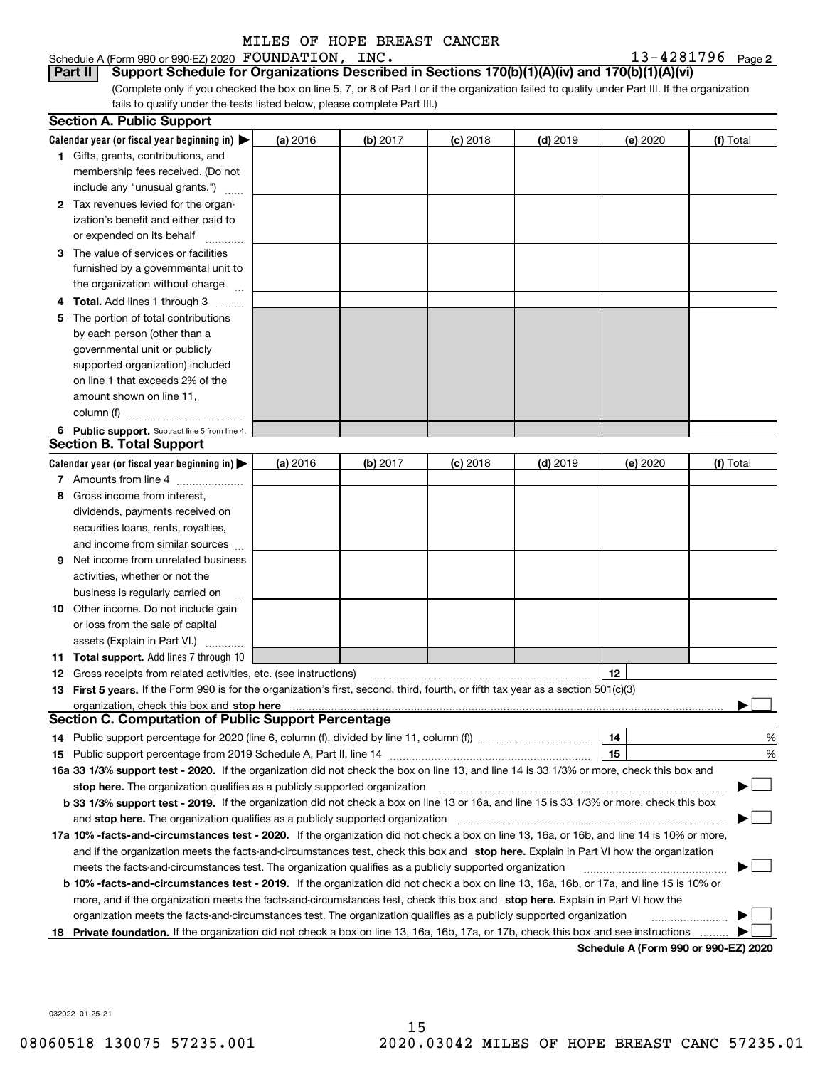#### Schedule A (Form 990 or 990-EZ) 2020 Page FOUNDATION, INC. 13-4281796

13-4281796 Page 2

(Complete only if you checked the box on line 5, 7, or 8 of Part I or if the organization failed to qualify under Part III. If the organization fails to qualify under the tests listed below, please complete Part III.) **Part II Support Schedule for Organizations Described in Sections 170(b)(1)(A)(iv) and 170(b)(1)(A)(vi)**

|   | <b>Section A. Public Support</b>                                                                                                               |          |          |            |            |                                      |           |
|---|------------------------------------------------------------------------------------------------------------------------------------------------|----------|----------|------------|------------|--------------------------------------|-----------|
|   | Calendar year (or fiscal year beginning in) $\blacktriangleright$                                                                              | (a) 2016 | (b) 2017 | $(c)$ 2018 | $(d)$ 2019 | (e) 2020                             | (f) Total |
|   | 1 Gifts, grants, contributions, and                                                                                                            |          |          |            |            |                                      |           |
|   | membership fees received. (Do not                                                                                                              |          |          |            |            |                                      |           |
|   | include any "unusual grants.")                                                                                                                 |          |          |            |            |                                      |           |
|   | 2 Tax revenues levied for the organ-                                                                                                           |          |          |            |            |                                      |           |
|   | ization's benefit and either paid to                                                                                                           |          |          |            |            |                                      |           |
|   | or expended on its behalf                                                                                                                      |          |          |            |            |                                      |           |
|   | 3 The value of services or facilities                                                                                                          |          |          |            |            |                                      |           |
|   | furnished by a governmental unit to                                                                                                            |          |          |            |            |                                      |           |
|   | the organization without charge                                                                                                                |          |          |            |            |                                      |           |
|   | <b>Total.</b> Add lines 1 through 3                                                                                                            |          |          |            |            |                                      |           |
| 5 | The portion of total contributions                                                                                                             |          |          |            |            |                                      |           |
|   | by each person (other than a                                                                                                                   |          |          |            |            |                                      |           |
|   | governmental unit or publicly                                                                                                                  |          |          |            |            |                                      |           |
|   | supported organization) included                                                                                                               |          |          |            |            |                                      |           |
|   | on line 1 that exceeds 2% of the                                                                                                               |          |          |            |            |                                      |           |
|   | amount shown on line 11,                                                                                                                       |          |          |            |            |                                      |           |
|   | column (f)                                                                                                                                     |          |          |            |            |                                      |           |
|   | 6 Public support. Subtract line 5 from line 4.                                                                                                 |          |          |            |            |                                      |           |
|   | <b>Section B. Total Support</b>                                                                                                                |          |          |            |            |                                      |           |
|   | Calendar year (or fiscal year beginning in)                                                                                                    | (a) 2016 | (b) 2017 | $(c)$ 2018 | $(d)$ 2019 | (e) 2020                             | (f) Total |
|   | 7 Amounts from line 4                                                                                                                          |          |          |            |            |                                      |           |
| 8 | Gross income from interest.                                                                                                                    |          |          |            |            |                                      |           |
|   | dividends, payments received on                                                                                                                |          |          |            |            |                                      |           |
|   | securities loans, rents, royalties,                                                                                                            |          |          |            |            |                                      |           |
|   | and income from similar sources                                                                                                                |          |          |            |            |                                      |           |
| 9 | Net income from unrelated business                                                                                                             |          |          |            |            |                                      |           |
|   | activities, whether or not the                                                                                                                 |          |          |            |            |                                      |           |
|   | business is regularly carried on                                                                                                               |          |          |            |            |                                      |           |
|   | <b>10</b> Other income. Do not include gain                                                                                                    |          |          |            |            |                                      |           |
|   | or loss from the sale of capital                                                                                                               |          |          |            |            |                                      |           |
|   | assets (Explain in Part VI.)                                                                                                                   |          |          |            |            |                                      |           |
|   | 11 Total support. Add lines 7 through 10                                                                                                       |          |          |            |            |                                      |           |
|   | <b>12</b> Gross receipts from related activities, etc. (see instructions)                                                                      |          |          |            |            | 12                                   |           |
|   | 13 First 5 years. If the Form 990 is for the organization's first, second, third, fourth, or fifth tax year as a section 501(c)(3)             |          |          |            |            |                                      |           |
|   |                                                                                                                                                |          |          |            |            |                                      |           |
|   | <b>Section C. Computation of Public Support Percentage</b>                                                                                     |          |          |            |            |                                      |           |
|   |                                                                                                                                                |          |          |            |            | 14                                   | %         |
|   |                                                                                                                                                |          |          |            |            | 15                                   | %         |
|   | 16a 33 1/3% support test - 2020. If the organization did not check the box on line 13, and line 14 is 33 1/3% or more, check this box and      |          |          |            |            |                                      |           |
|   | stop here. The organization qualifies as a publicly supported organization                                                                     |          |          |            |            |                                      |           |
|   | b 33 1/3% support test - 2019. If the organization did not check a box on line 13 or 16a, and line 15 is 33 1/3% or more, check this box       |          |          |            |            |                                      |           |
|   | and stop here. The organization qualifies as a publicly supported organization                                                                 |          |          |            |            |                                      |           |
|   | 17a 10% -facts-and-circumstances test - 2020. If the organization did not check a box on line 13, 16a, or 16b, and line 14 is 10% or more,     |          |          |            |            |                                      |           |
|   | and if the organization meets the facts-and-circumstances test, check this box and stop here. Explain in Part VI how the organization          |          |          |            |            |                                      |           |
|   | meets the facts-and-circumstances test. The organization qualifies as a publicly supported organization                                        |          |          |            |            |                                      |           |
|   | <b>b 10% -facts-and-circumstances test - 2019.</b> If the organization did not check a box on line 13, 16a, 16b, or 17a, and line 15 is 10% or |          |          |            |            |                                      |           |
|   | more, and if the organization meets the facts-and-circumstances test, check this box and stop here. Explain in Part VI how the                 |          |          |            |            |                                      |           |
|   | organization meets the facts-and-circumstances test. The organization qualifies as a publicly supported organization                           |          |          |            |            |                                      |           |
|   | 18 Private foundation. If the organization did not check a box on line 13, 16a, 16b, 17a, or 17b, check this box and see instructions          |          |          |            |            |                                      |           |
|   |                                                                                                                                                |          |          |            |            | Cahadula A (Faum 000 av 000 EZ) 0000 |           |

**Schedule A (Form 990 or 990-EZ) 2020**

032022 01-25-21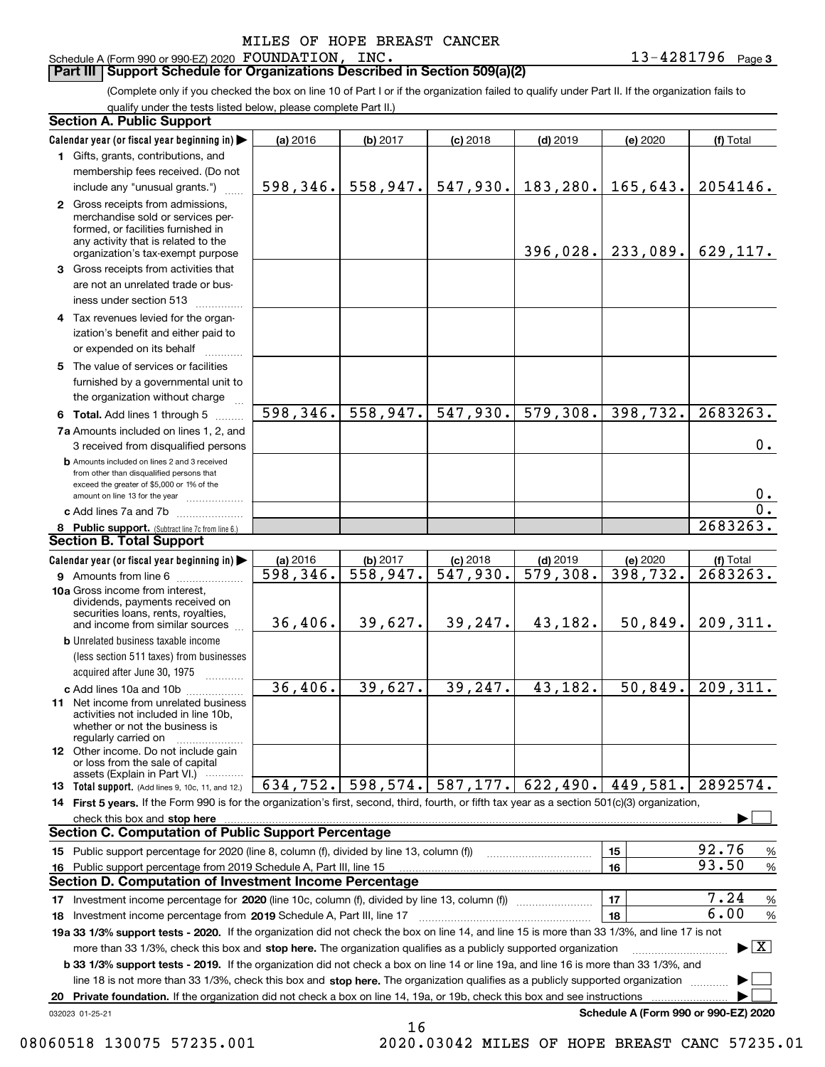# **Part III Support Schedule for Organizations Described in Section 509(a)(2)**

(Complete only if you checked the box on line 10 of Part I or if the organization failed to qualify under Part II. If the organization fails to qualify under the tests listed below, please complete Part II.)

| <b>Section A. Public Support</b>                                                                                                                                                                                              |                                    |                                    |            |                       |                                      |                                          |
|-------------------------------------------------------------------------------------------------------------------------------------------------------------------------------------------------------------------------------|------------------------------------|------------------------------------|------------|-----------------------|--------------------------------------|------------------------------------------|
| Calendar year (or fiscal year beginning in)                                                                                                                                                                                   | (a) 2016                           | (b) 2017                           | $(c)$ 2018 | $(d)$ 2019            | (e) 2020                             | (f) Total                                |
| 1 Gifts, grants, contributions, and                                                                                                                                                                                           |                                    |                                    |            |                       |                                      |                                          |
| membership fees received. (Do not                                                                                                                                                                                             |                                    |                                    |            |                       |                                      |                                          |
| include any "unusual grants.")                                                                                                                                                                                                | 598, 346.                          | 558, 947.                          | 547,930.   | 183,280.              | 165,643.                             | 2054146.                                 |
| 2 Gross receipts from admissions,<br>merchandise sold or services per-<br>formed, or facilities furnished in                                                                                                                  |                                    |                                    |            |                       |                                      |                                          |
| any activity that is related to the<br>organization's tax-exempt purpose                                                                                                                                                      |                                    |                                    |            | 396,028.              | 233,089.                             | 629, 117.                                |
| 3 Gross receipts from activities that<br>are not an unrelated trade or bus-                                                                                                                                                   |                                    |                                    |            |                       |                                      |                                          |
| iness under section 513                                                                                                                                                                                                       |                                    |                                    |            |                       |                                      |                                          |
| 4 Tax revenues levied for the organ-<br>ization's benefit and either paid to                                                                                                                                                  |                                    |                                    |            |                       |                                      |                                          |
| or expended on its behalf                                                                                                                                                                                                     |                                    |                                    |            |                       |                                      |                                          |
| 5 The value of services or facilities<br>furnished by a governmental unit to                                                                                                                                                  |                                    |                                    |            |                       |                                      |                                          |
| the organization without charge                                                                                                                                                                                               |                                    |                                    |            |                       |                                      |                                          |
| 6 Total. Add lines 1 through 5                                                                                                                                                                                                | 598, 346.                          | $\overline{558, 947.}$             | 547,930.   | 579,308.              | 398,732.                             | 2683263.                                 |
| 7a Amounts included on lines 1, 2, and                                                                                                                                                                                        |                                    |                                    |            |                       |                                      |                                          |
| 3 received from disqualified persons                                                                                                                                                                                          |                                    |                                    |            |                       |                                      | 0.                                       |
| <b>b</b> Amounts included on lines 2 and 3 received<br>from other than disqualified persons that                                                                                                                              |                                    |                                    |            |                       |                                      |                                          |
| exceed the greater of \$5,000 or 1% of the                                                                                                                                                                                    |                                    |                                    |            |                       |                                      |                                          |
| amount on line 13 for the year                                                                                                                                                                                                |                                    |                                    |            |                       |                                      | 0.                                       |
| c Add lines 7a and 7b                                                                                                                                                                                                         |                                    |                                    |            |                       |                                      | $\overline{0}$ .<br>2683263.             |
| 8 Public support. (Subtract line 7c from line 6.)<br><b>Section B. Total Support</b>                                                                                                                                          |                                    |                                    |            |                       |                                      |                                          |
| Calendar year (or fiscal year beginning in)                                                                                                                                                                                   |                                    |                                    | $(c)$ 2018 | $(d)$ 2019            | (e) 2020                             |                                          |
| <b>9</b> Amounts from line 6                                                                                                                                                                                                  | (a) 2016<br>$\overline{598,346}$ . | (b) 2017<br>$\overline{558,947}$ . | 547,930.   | 579,308.              | 398,732.                             | (f) Total<br>2683263.                    |
| 10a Gross income from interest,                                                                                                                                                                                               |                                    |                                    |            |                       |                                      |                                          |
| dividends, payments received on<br>securities loans, rents, royalties,<br>and income from similar sources                                                                                                                     | 36,406.                            | 39,627.                            | 39,247.    | 43,182.               | 50,849.                              | 209, 311.                                |
| <b>b</b> Unrelated business taxable income                                                                                                                                                                                    |                                    |                                    |            |                       |                                      |                                          |
| (less section 511 taxes) from businesses                                                                                                                                                                                      |                                    |                                    |            |                       |                                      |                                          |
| acquired after June 30, 1975                                                                                                                                                                                                  |                                    |                                    |            |                       |                                      |                                          |
| c Add lines 10a and 10b                                                                                                                                                                                                       | 36,406.                            | 39,627.                            | 39, 247.   | 43,182.               | 50,849.                              | 209,311.                                 |
| 11 Net income from unrelated business<br>activities not included in line 10b,<br>whether or not the business is<br>regularly carried on                                                                                       |                                    |                                    |            |                       |                                      |                                          |
| <b>12</b> Other income. Do not include gain<br>or loss from the sale of capital<br>assets (Explain in Part VI.)                                                                                                               |                                    |                                    |            |                       |                                      |                                          |
| 13 Total support. (Add lines 9, 10c, 11, and 12.)                                                                                                                                                                             | 634,752.                           | 598,574.                           |            | $587, 177.$ 622, 490. | 449,581.                             | 2892574.                                 |
| 14 First 5 years. If the Form 990 is for the organization's first, second, third, fourth, or fifth tax year as a section 501(c)(3) organization,                                                                              |                                    |                                    |            |                       |                                      |                                          |
| check this box and stop here measurements are all the contract of the state of the state of the state of the state of the state of the state of the state of the state of the state of the state of the state of the state of |                                    |                                    |            |                       |                                      |                                          |
| <b>Section C. Computation of Public Support Percentage</b>                                                                                                                                                                    |                                    |                                    |            |                       |                                      |                                          |
| 15 Public support percentage for 2020 (line 8, column (f), divided by line 13, column (f))                                                                                                                                    |                                    |                                    |            |                       | 15                                   | 92.76<br>$\%$                            |
| 16 Public support percentage from 2019 Schedule A, Part III, line 15                                                                                                                                                          |                                    |                                    |            |                       | 16                                   | 93.50<br>$\%$                            |
| <b>Section D. Computation of Investment Income Percentage</b>                                                                                                                                                                 |                                    |                                    |            |                       |                                      |                                          |
| 17 Investment income percentage for 2020 (line 10c, column (f), divided by line 13, column (f))                                                                                                                               |                                    |                                    |            |                       | 17                                   | 7.24<br>$\%$                             |
| 18 Investment income percentage from 2019 Schedule A, Part III, line 17                                                                                                                                                       |                                    |                                    |            |                       | 18                                   | 6.00<br>%                                |
| 19a 33 1/3% support tests - 2020. If the organization did not check the box on line 14, and line 15 is more than 33 1/3%, and line 17 is not                                                                                  |                                    |                                    |            |                       |                                      |                                          |
| more than 33 1/3%, check this box and stop here. The organization qualifies as a publicly supported organization                                                                                                              |                                    |                                    |            |                       |                                      | $\blacktriangleright$ $\boxed{\text{X}}$ |
| <b>b 33 1/3% support tests - 2019.</b> If the organization did not check a box on line 14 or line 19a, and line 16 is more than 33 1/3%, and                                                                                  |                                    |                                    |            |                       |                                      |                                          |
| line 18 is not more than 33 1/3%, check this box and stop here. The organization qualifies as a publicly supported organization                                                                                               |                                    |                                    |            |                       |                                      |                                          |
| 20 Private foundation. If the organization did not check a box on line 14, 19a, or 19b, check this box and see instructions                                                                                                   |                                    |                                    |            |                       |                                      |                                          |
| 032023 01-25-21                                                                                                                                                                                                               |                                    |                                    |            |                       | Schedule A (Form 990 or 990-EZ) 2020 |                                          |

16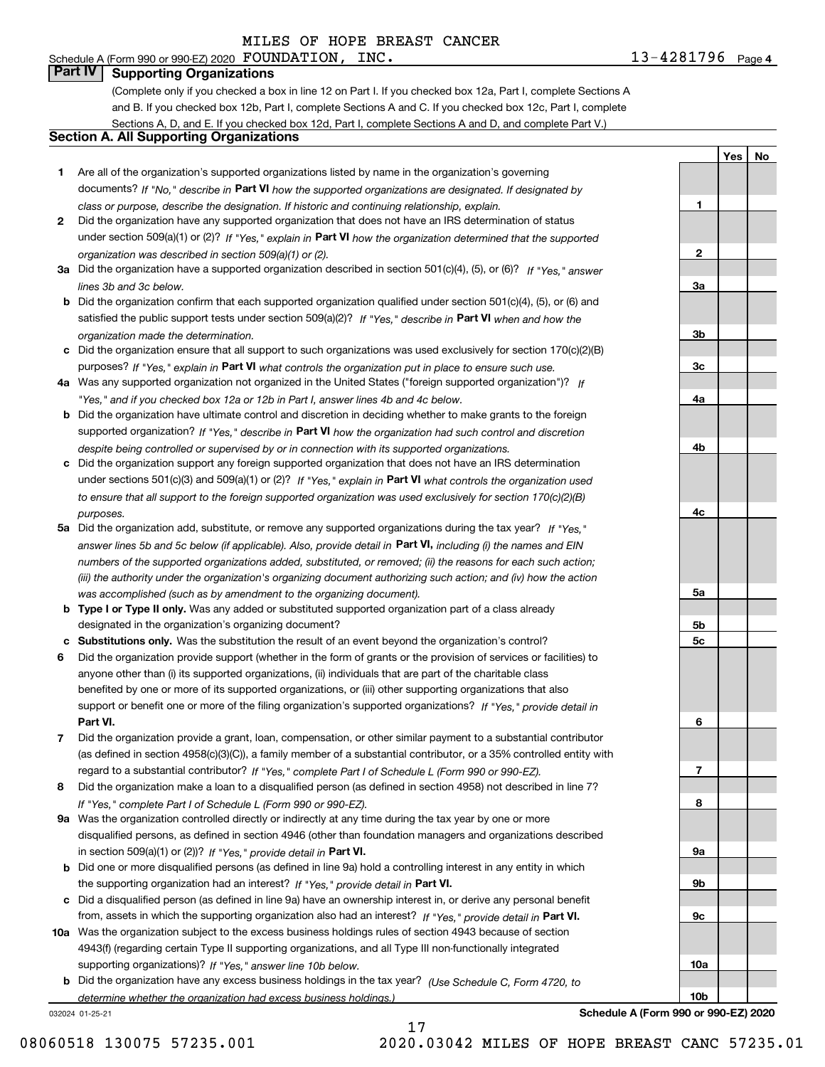**1**

**2**

**3a**

**3b**

**3c**

**4a**

**4b**

**4c**

**5a**

**5b5c**

**6**

**7**

**8**

**9a**

**9b**

**9c**

**10a**

**10b**

**YesNo**

# **Part IV Supporting Organizations**

(Complete only if you checked a box in line 12 on Part I. If you checked box 12a, Part I, complete Sections A and B. If you checked box 12b, Part I, complete Sections A and C. If you checked box 12c, Part I, complete Sections A, D, and E. If you checked box 12d, Part I, complete Sections A and D, and complete Part V.)

## **Section A. All Supporting Organizations**

- **1** Are all of the organization's supported organizations listed by name in the organization's governing documents? If "No," describe in **Part VI** how the supported organizations are designated. If designated by *class or purpose, describe the designation. If historic and continuing relationship, explain.*
- **2** Did the organization have any supported organization that does not have an IRS determination of status under section 509(a)(1) or (2)? If "Yes," explain in Part VI how the organization determined that the supported *organization was described in section 509(a)(1) or (2).*
- **3a** Did the organization have a supported organization described in section 501(c)(4), (5), or (6)? If "Yes," answer *lines 3b and 3c below.*
- **b** Did the organization confirm that each supported organization qualified under section 501(c)(4), (5), or (6) and satisfied the public support tests under section 509(a)(2)? If "Yes," describe in **Part VI** when and how the *organization made the determination.*
- **c**Did the organization ensure that all support to such organizations was used exclusively for section 170(c)(2)(B) purposes? If "Yes," explain in **Part VI** what controls the organization put in place to ensure such use.
- **4a***If* Was any supported organization not organized in the United States ("foreign supported organization")? *"Yes," and if you checked box 12a or 12b in Part I, answer lines 4b and 4c below.*
- **b** Did the organization have ultimate control and discretion in deciding whether to make grants to the foreign supported organization? If "Yes," describe in **Part VI** how the organization had such control and discretion *despite being controlled or supervised by or in connection with its supported organizations.*
- **c** Did the organization support any foreign supported organization that does not have an IRS determination under sections 501(c)(3) and 509(a)(1) or (2)? If "Yes," explain in **Part VI** what controls the organization used *to ensure that all support to the foreign supported organization was used exclusively for section 170(c)(2)(B) purposes.*
- **5a** Did the organization add, substitute, or remove any supported organizations during the tax year? If "Yes," answer lines 5b and 5c below (if applicable). Also, provide detail in **Part VI,** including (i) the names and EIN *numbers of the supported organizations added, substituted, or removed; (ii) the reasons for each such action; (iii) the authority under the organization's organizing document authorizing such action; and (iv) how the action was accomplished (such as by amendment to the organizing document).*
- **b** Type I or Type II only. Was any added or substituted supported organization part of a class already designated in the organization's organizing document?
- **cSubstitutions only.**  Was the substitution the result of an event beyond the organization's control?
- **6** Did the organization provide support (whether in the form of grants or the provision of services or facilities) to **Part VI.** *If "Yes," provide detail in* support or benefit one or more of the filing organization's supported organizations? anyone other than (i) its supported organizations, (ii) individuals that are part of the charitable class benefited by one or more of its supported organizations, or (iii) other supporting organizations that also
- **7**Did the organization provide a grant, loan, compensation, or other similar payment to a substantial contributor *If "Yes," complete Part I of Schedule L (Form 990 or 990-EZ).* regard to a substantial contributor? (as defined in section 4958(c)(3)(C)), a family member of a substantial contributor, or a 35% controlled entity with
- **8** Did the organization make a loan to a disqualified person (as defined in section 4958) not described in line 7? *If "Yes," complete Part I of Schedule L (Form 990 or 990-EZ).*
- **9a** Was the organization controlled directly or indirectly at any time during the tax year by one or more in section 509(a)(1) or (2))? If "Yes," *provide detail in* <code>Part VI.</code> disqualified persons, as defined in section 4946 (other than foundation managers and organizations described
- **b** Did one or more disqualified persons (as defined in line 9a) hold a controlling interest in any entity in which the supporting organization had an interest? If "Yes," provide detail in P**art VI**.
- **c**Did a disqualified person (as defined in line 9a) have an ownership interest in, or derive any personal benefit from, assets in which the supporting organization also had an interest? If "Yes," provide detail in P**art VI.**
- **10a** Was the organization subject to the excess business holdings rules of section 4943 because of section supporting organizations)? If "Yes," answer line 10b below. 4943(f) (regarding certain Type II supporting organizations, and all Type III non-functionally integrated
- **b** Did the organization have any excess business holdings in the tax year? (Use Schedule C, Form 4720, to *determine whether the organization had excess business holdings.)*

17

032024 01-25-21

**Schedule A (Form 990 or 990-EZ) 2020**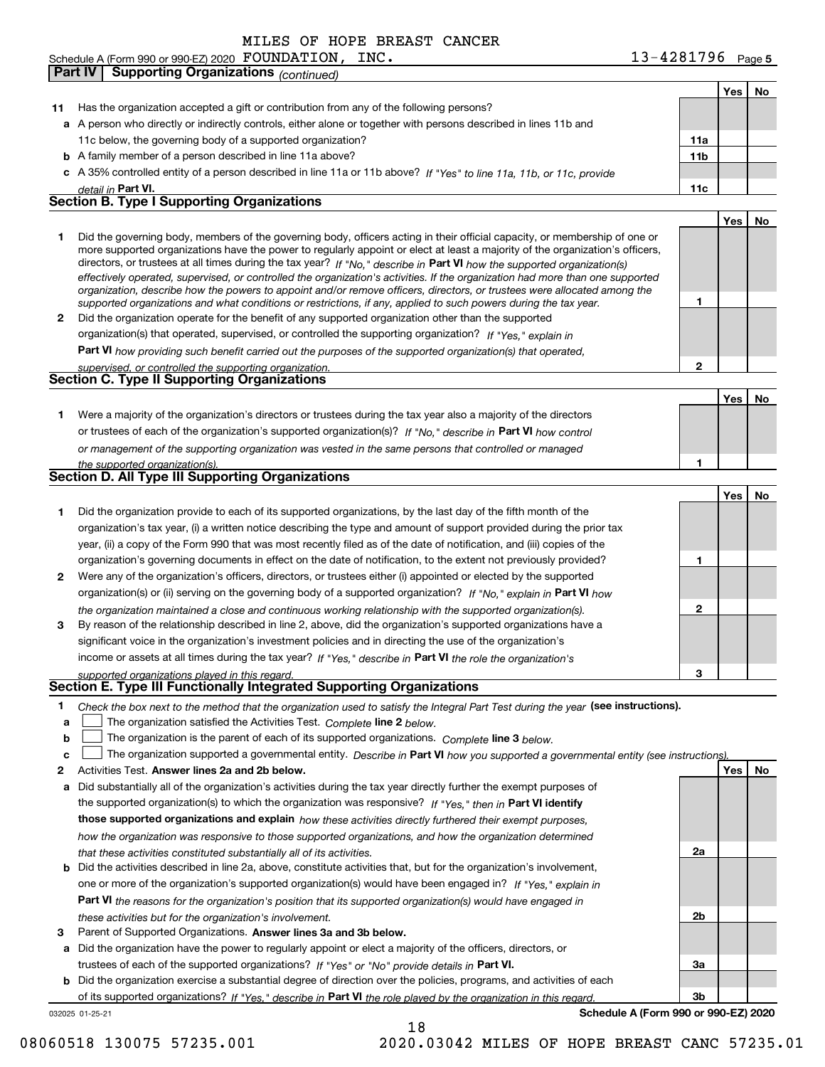**Part IV Supporting Organizations** *(continued)*

| Schedule A (Form 990 or 990-EZ) 2020 $\,$ $\rm \,FOUNDATION$ , | INC. | 13-4281796<br>Page 5 |
|----------------------------------------------------------------|------|----------------------|
|----------------------------------------------------------------|------|----------------------|

|    |                                                                                                                                   |                 | Yes | No |
|----|-----------------------------------------------------------------------------------------------------------------------------------|-----------------|-----|----|
| 11 | Has the organization accepted a gift or contribution from any of the following persons?                                           |                 |     |    |
|    | a A person who directly or indirectly controls, either alone or together with persons described in lines 11b and                  |                 |     |    |
|    | 11c below, the governing body of a supported organization?                                                                        | 11a             |     |    |
|    | <b>b</b> A family member of a person described in line 11a above?                                                                 | 11 <sub>b</sub> |     |    |
|    | c A 35% controlled entity of a person described in line 11a or 11b above? If "Yes" to line 11a, 11b, or 11c, provide              |                 |     |    |
|    | detail in Part VI.                                                                                                                | 11c             |     |    |
|    | <b>Section B. Type I Supporting Organizations</b>                                                                                 |                 |     |    |
|    |                                                                                                                                   |                 | Yes | No |
| 1  | Did the governing body, members of the governing body, officers acting in their official capacity, or membership of one or        |                 |     |    |
|    | more supported organizations have the power to regularly appoint or elect at least a majority of the organization's officers,     |                 |     |    |
|    | directors, or trustees at all times during the tax year? If "No," describe in Part VI how the supported organization(s)           |                 |     |    |
|    | effectively operated, supervised, or controlled the organization's activities. If the organization had more than one supported    |                 |     |    |
|    | organization, describe how the powers to appoint and/or remove officers, directors, or trustees were allocated among the          | 1               |     |    |
|    | supported organizations and what conditions or restrictions, if any, applied to such powers during the tax year.                  |                 |     |    |
| 2  | Did the organization operate for the benefit of any supported organization other than the supported                               |                 |     |    |
|    | organization(s) that operated, supervised, or controlled the supporting organization? If "Yes," explain in                        |                 |     |    |
|    | <b>Part VI</b> how providing such benefit carried out the purposes of the supported organization(s) that operated,                |                 |     |    |
|    | supervised, or controlled the supporting organization.                                                                            | $\mathbf{2}$    |     |    |
|    | <b>Section C. Type II Supporting Organizations</b>                                                                                |                 |     |    |
|    |                                                                                                                                   |                 | Yes | No |
| 1  | Were a majority of the organization's directors or trustees during the tax year also a majority of the directors                  |                 |     |    |
|    | or trustees of each of the organization's supported organization(s)? If "No," describe in Part VI how control                     |                 |     |    |
|    | or management of the supporting organization was vested in the same persons that controlled or managed                            |                 |     |    |
|    | the supported organization(s).                                                                                                    | 1               |     |    |
|    | <b>Section D. All Type III Supporting Organizations</b>                                                                           |                 |     |    |
|    |                                                                                                                                   |                 | Yes | No |
| 1  | Did the organization provide to each of its supported organizations, by the last day of the fifth month of the                    |                 |     |    |
|    | organization's tax year, (i) a written notice describing the type and amount of support provided during the prior tax             |                 |     |    |
|    | year, (ii) a copy of the Form 990 that was most recently filed as of the date of notification, and (iii) copies of the            |                 |     |    |
|    | organization's governing documents in effect on the date of notification, to the extent not previously provided?                  | 1               |     |    |
| 2  | Were any of the organization's officers, directors, or trustees either (i) appointed or elected by the supported                  |                 |     |    |
|    | organization(s) or (ii) serving on the governing body of a supported organization? If "No," explain in Part VI how                |                 |     |    |
|    | the organization maintained a close and continuous working relationship with the supported organization(s).                       | $\mathbf{2}$    |     |    |
| 3  | By reason of the relationship described in line 2, above, did the organization's supported organizations have a                   |                 |     |    |
|    | significant voice in the organization's investment policies and in directing the use of the organization's                        |                 |     |    |
|    | income or assets at all times during the tax year? If "Yes," describe in Part VI the role the organization's                      |                 |     |    |
|    |                                                                                                                                   | 3               |     |    |
|    | supported organizations played in this regard.<br>Section E. Type III Functionally Integrated Supporting Organizations            |                 |     |    |
|    |                                                                                                                                   |                 |     |    |
| 1  | Check the box next to the method that the organization used to satisfy the Integral Part Test during the year (see instructions). |                 |     |    |
| a  | The organization satisfied the Activities Test. Complete line 2 below.                                                            |                 |     |    |
| b  | The organization is the parent of each of its supported organizations. Complete line 3 below.                                     |                 |     |    |
| c  | The organization supported a governmental entity. Describe in Part VI how you supported a governmental entity (see instructions). |                 |     |    |
| 2  | Activities Test. Answer lines 2a and 2b below.                                                                                    |                 | Yes | No |
| a  | Did substantially all of the organization's activities during the tax year directly further the exempt purposes of                |                 |     |    |
|    | the supported organization(s) to which the organization was responsive? If "Yes," then in Part VI identify                        |                 |     |    |
|    | those supported organizations and explain how these activities directly furthered their exempt purposes,                          |                 |     |    |
|    | how the organization was responsive to those supported organizations, and how the organization determined                         |                 |     |    |
|    | that these activities constituted substantially all of its activities.                                                            | 2a              |     |    |
| b  | Did the activities described in line 2a, above, constitute activities that, but for the organization's involvement,               |                 |     |    |
|    | one or more of the organization's supported organization(s) would have been engaged in? If "Yes," explain in                      |                 |     |    |
|    | Part VI the reasons for the organization's position that its supported organization(s) would have engaged in                      |                 |     |    |
|    | these activities but for the organization's involvement.                                                                          | 2 <sub>b</sub>  |     |    |
| з  | Parent of Supported Organizations. Answer lines 3a and 3b below.                                                                  |                 |     |    |
| а  | Did the organization have the power to regularly appoint or elect a majority of the officers, directors, or                       |                 |     |    |
|    | trustees of each of the supported organizations? If "Yes" or "No" provide details in Part VI.                                     | 3a              |     |    |
| b  | Did the organization exercise a substantial degree of direction over the policies, programs, and activities of each               |                 |     |    |
|    | of its supported organizations? If "Yes." describe in Part VI the role played by the organization in this regard.                 | 3 <sub>b</sub>  |     |    |

18

032025 01-25-21

**Schedule A (Form 990 or 990-EZ) 2020**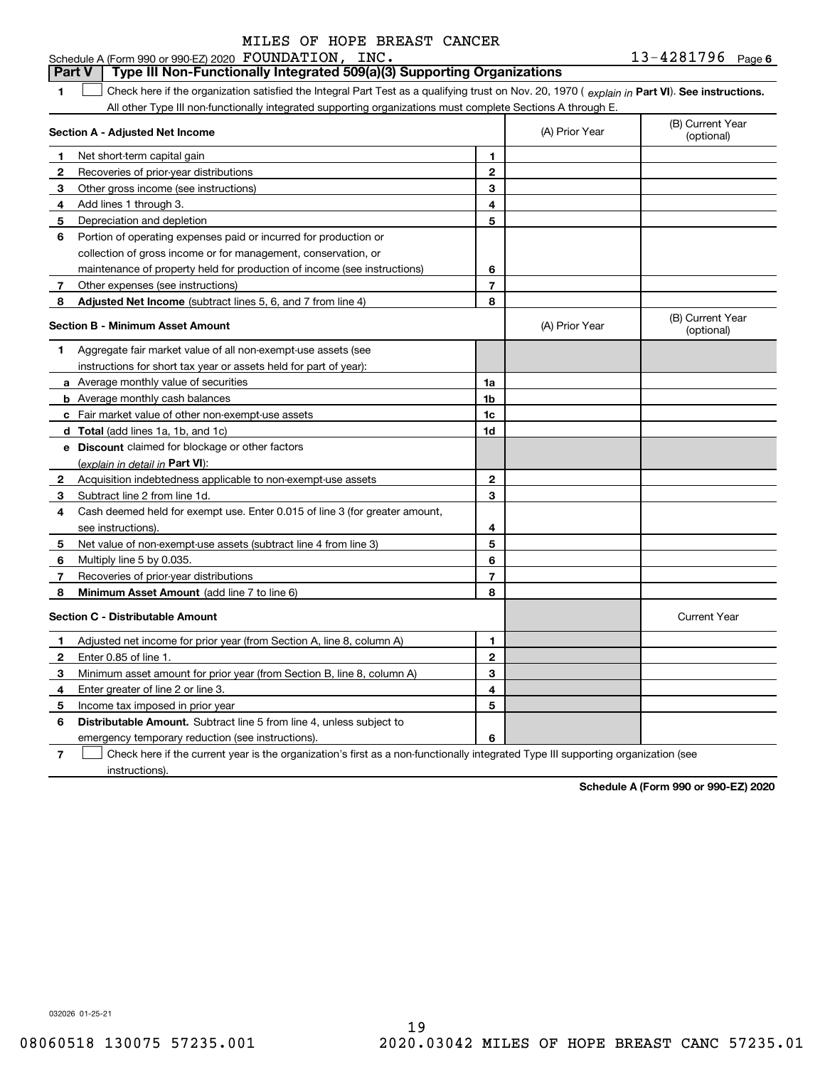#### **1Part VI** Check here if the organization satisfied the Integral Part Test as a qualifying trust on Nov. 20, 1970 ( explain in Part **VI**). See instructions. **Section A - Adjusted Net Income 123** Other gross income (see instructions) **456** Portion of operating expenses paid or incurred for production or **7** Other expenses (see instructions) **8** Adjusted Net Income (subtract lines 5, 6, and 7 from line 4) **8 8 1234567Section B - Minimum Asset Amount 1**Aggregate fair market value of all non-exempt-use assets (see **2**Acquisition indebtedness applicable to non-exempt-use assets **3** Subtract line 2 from line 1d. **4**Cash deemed held for exempt use. Enter 0.015 of line 3 (for greater amount, **5** Net value of non-exempt-use assets (subtract line 4 from line 3) **678a** Average monthly value of securities **b** Average monthly cash balances **c**Fair market value of other non-exempt-use assets **dTotal**  (add lines 1a, 1b, and 1c) **eDiscount** claimed for blockage or other factors **1a1b1c1d2345678**(explain in detail in Part VI): **Minimum Asset Amount**  (add line 7 to line 6) **Section C - Distributable Amount 12**Enter 0.85 of line 1. **345612345Distributable Amount.** Subtract line 5 from line 4, unless subject to Schedule A (Form 990 or 990-EZ) 2020 Page FOUNDATION, INC. 13-4281796 All other Type III non-functionally integrated supporting organizations must complete Sections A through E. (B) Current Year (optional)(A) Prior Year Net short-term capital gain Recoveries of prior-year distributions Add lines 1 through 3. Depreciation and depletion collection of gross income or for management, conservation, or maintenance of property held for production of income (see instructions) (B) Current Year (optional)(A) Prior Year instructions for short tax year or assets held for part of year): see instructions). Multiply line 5 by 0.035. Recoveries of prior-year distributions Current Year Adjusted net income for prior year (from Section A, line 8, column A) Minimum asset amount for prior year (from Section B, line 8, column A) Enter greater of line 2 or line 3. Income tax imposed in prior year **Part V Type III Non-Functionally Integrated 509(a)(3) Supporting Organizations**   $\mathcal{L}^{\text{max}}$

emergency temporary reduction (see instructions).

**7**Check here if the current year is the organization's first as a non-functionally integrated Type III supporting organization (see instructions). $\mathcal{L}^{\text{max}}$ 

**6**

**Schedule A (Form 990 or 990-EZ) 2020**

032026 01-25-21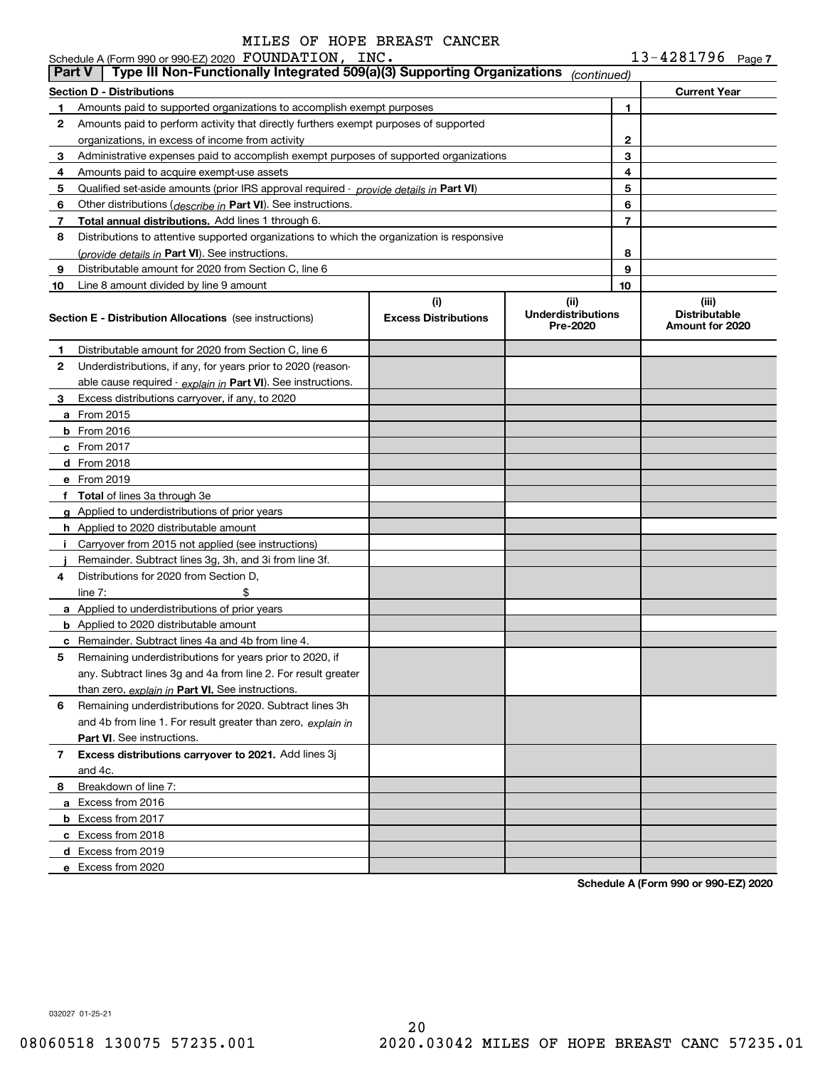|               | Schedule A (Form 990 or 990-EZ) 2020 FOUNDATION, INC.                                      |                                               |             |                                                  | $13 - 4281796$ Page 7 |  |
|---------------|--------------------------------------------------------------------------------------------|-----------------------------------------------|-------------|--------------------------------------------------|-----------------------|--|
| <b>Part V</b> | Type III Non-Functionally Integrated 509(a)(3) Supporting Organizations                    |                                               | (continued) |                                                  |                       |  |
|               | <b>Section D - Distributions</b>                                                           |                                               |             |                                                  | <b>Current Year</b>   |  |
| 1.            | Amounts paid to supported organizations to accomplish exempt purposes                      |                                               |             | 1                                                |                       |  |
| 2             | Amounts paid to perform activity that directly furthers exempt purposes of supported       |                                               |             |                                                  |                       |  |
|               | organizations, in excess of income from activity                                           |                                               |             | $\mathbf{2}$                                     |                       |  |
| 3             | Administrative expenses paid to accomplish exempt purposes of supported organizations      |                                               |             | 3                                                |                       |  |
| 4             | Amounts paid to acquire exempt-use assets                                                  |                                               |             | 4                                                |                       |  |
| 5             | Qualified set-aside amounts (prior IRS approval required - provide details in Part VI)     |                                               |             | 5                                                |                       |  |
| 6             | Other distributions ( <i>describe in</i> Part VI). See instructions.                       |                                               |             | 6                                                |                       |  |
| 7             | Total annual distributions. Add lines 1 through 6.                                         |                                               |             | 7                                                |                       |  |
| 8             | Distributions to attentive supported organizations to which the organization is responsive |                                               |             |                                                  |                       |  |
|               | (provide details in Part VI). See instructions.                                            |                                               |             | 8                                                |                       |  |
| 9             | Distributable amount for 2020 from Section C, line 6                                       |                                               |             | 9                                                |                       |  |
| 10            | Line 8 amount divided by line 9 amount                                                     |                                               |             | 10                                               |                       |  |
|               | <b>Section E - Distribution Allocations</b> (see instructions)                             | (ii)<br><b>Underdistributions</b><br>Pre-2020 |             | (iii)<br><b>Distributable</b><br>Amount for 2020 |                       |  |
| 1             | Distributable amount for 2020 from Section C, line 6                                       |                                               |             |                                                  |                       |  |
| 2             | Underdistributions, if any, for years prior to 2020 (reason-                               |                                               |             |                                                  |                       |  |
|               | able cause required - explain in Part VI). See instructions.                               |                                               |             |                                                  |                       |  |
| 3             | Excess distributions carryover, if any, to 2020                                            |                                               |             |                                                  |                       |  |
|               | <b>a</b> From 2015                                                                         |                                               |             |                                                  |                       |  |
|               | <b>b</b> From 2016                                                                         |                                               |             |                                                  |                       |  |
|               | <b>c</b> From 2017                                                                         |                                               |             |                                                  |                       |  |
|               | d From 2018                                                                                |                                               |             |                                                  |                       |  |
|               | e From 2019                                                                                |                                               |             |                                                  |                       |  |
|               | f Total of lines 3a through 3e                                                             |                                               |             |                                                  |                       |  |
|               | g Applied to underdistributions of prior years                                             |                                               |             |                                                  |                       |  |
|               | <b>h</b> Applied to 2020 distributable amount                                              |                                               |             |                                                  |                       |  |
| Ť.            | Carryover from 2015 not applied (see instructions)                                         |                                               |             |                                                  |                       |  |
|               | Remainder. Subtract lines 3g, 3h, and 3i from line 3f.                                     |                                               |             |                                                  |                       |  |
| 4             | Distributions for 2020 from Section D,                                                     |                                               |             |                                                  |                       |  |
|               | \$<br>line $7:$                                                                            |                                               |             |                                                  |                       |  |
|               | a Applied to underdistributions of prior years                                             |                                               |             |                                                  |                       |  |
|               | <b>b</b> Applied to 2020 distributable amount                                              |                                               |             |                                                  |                       |  |
|               | <b>c</b> Remainder. Subtract lines 4a and 4b from line 4.                                  |                                               |             |                                                  |                       |  |
|               | Remaining underdistributions for years prior to 2020, if                                   |                                               |             |                                                  |                       |  |
|               | any. Subtract lines 3g and 4a from line 2. For result greater                              |                                               |             |                                                  |                       |  |
|               | than zero, explain in Part VI. See instructions.                                           |                                               |             |                                                  |                       |  |
| 6             | Remaining underdistributions for 2020. Subtract lines 3h                                   |                                               |             |                                                  |                       |  |
|               | and 4b from line 1. For result greater than zero, explain in                               |                                               |             |                                                  |                       |  |
|               | Part VI. See instructions.                                                                 |                                               |             |                                                  |                       |  |
| 7             | Excess distributions carryover to 2021. Add lines 3j                                       |                                               |             |                                                  |                       |  |
|               | and 4c.                                                                                    |                                               |             |                                                  |                       |  |
| 8             | Breakdown of line 7:                                                                       |                                               |             |                                                  |                       |  |
|               | a Excess from 2016                                                                         |                                               |             |                                                  |                       |  |
|               | <b>b</b> Excess from 2017                                                                  |                                               |             |                                                  |                       |  |
|               | c Excess from 2018                                                                         |                                               |             |                                                  |                       |  |
|               | d Excess from 2019                                                                         |                                               |             |                                                  |                       |  |
|               | e Excess from 2020                                                                         |                                               |             |                                                  |                       |  |
|               |                                                                                            |                                               |             |                                                  | .000E20000            |  |

**Schedule A (Form 990 or 990-EZ) 2020**

032027 01-25-21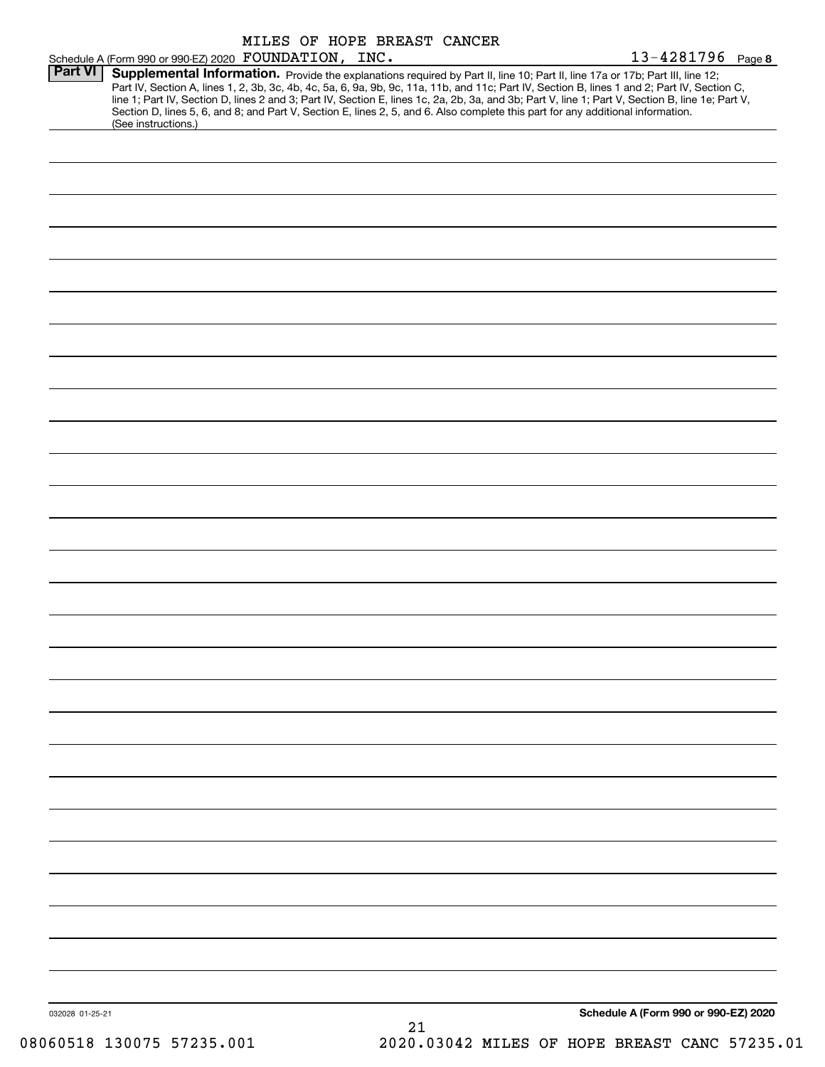|                 | Schedule A (Form 990 or 990-EZ) 2020 FOUNDATION, INC.                                                                                                                                                                                                                                                                                                                                                                                   | MILES OF HOPE BREAST CANCER |  |  |  | 13-4281796 Page 8                                                                                                                                |
|-----------------|-----------------------------------------------------------------------------------------------------------------------------------------------------------------------------------------------------------------------------------------------------------------------------------------------------------------------------------------------------------------------------------------------------------------------------------------|-----------------------------|--|--|--|--------------------------------------------------------------------------------------------------------------------------------------------------|
| <b>Part VI</b>  | Supplemental Information. Provide the explanations required by Part II, line 10; Part II, line 17a or 17b; Part III, line 12;<br>Part IV, Section A, lines 1, 2, 3b, 3c, 4b, 4c, 5a, 6, 9a, 9b, 9c, 11a, 11b, and 11c; Part IV, Section B, lines 1 and 2; Part IV, Section C,<br>Section D, lines 5, 6, and 8; and Part V, Section E, lines 2, 5, and 6. Also complete this part for any additional information.<br>(See instructions.) |                             |  |  |  | line 1; Part IV, Section D, lines 2 and 3; Part IV, Section E, lines 1c, 2a, 2b, 3a, and 3b; Part V, line 1; Part V, Section B, line 1e; Part V, |
|                 |                                                                                                                                                                                                                                                                                                                                                                                                                                         |                             |  |  |  |                                                                                                                                                  |
|                 |                                                                                                                                                                                                                                                                                                                                                                                                                                         |                             |  |  |  |                                                                                                                                                  |
|                 |                                                                                                                                                                                                                                                                                                                                                                                                                                         |                             |  |  |  |                                                                                                                                                  |
|                 |                                                                                                                                                                                                                                                                                                                                                                                                                                         |                             |  |  |  |                                                                                                                                                  |
|                 |                                                                                                                                                                                                                                                                                                                                                                                                                                         |                             |  |  |  |                                                                                                                                                  |
|                 |                                                                                                                                                                                                                                                                                                                                                                                                                                         |                             |  |  |  |                                                                                                                                                  |
|                 |                                                                                                                                                                                                                                                                                                                                                                                                                                         |                             |  |  |  |                                                                                                                                                  |
|                 |                                                                                                                                                                                                                                                                                                                                                                                                                                         |                             |  |  |  |                                                                                                                                                  |
|                 |                                                                                                                                                                                                                                                                                                                                                                                                                                         |                             |  |  |  |                                                                                                                                                  |
|                 |                                                                                                                                                                                                                                                                                                                                                                                                                                         |                             |  |  |  |                                                                                                                                                  |
|                 |                                                                                                                                                                                                                                                                                                                                                                                                                                         |                             |  |  |  |                                                                                                                                                  |
|                 |                                                                                                                                                                                                                                                                                                                                                                                                                                         |                             |  |  |  |                                                                                                                                                  |
|                 |                                                                                                                                                                                                                                                                                                                                                                                                                                         |                             |  |  |  |                                                                                                                                                  |
|                 |                                                                                                                                                                                                                                                                                                                                                                                                                                         |                             |  |  |  |                                                                                                                                                  |
|                 |                                                                                                                                                                                                                                                                                                                                                                                                                                         |                             |  |  |  |                                                                                                                                                  |
|                 |                                                                                                                                                                                                                                                                                                                                                                                                                                         |                             |  |  |  |                                                                                                                                                  |
|                 |                                                                                                                                                                                                                                                                                                                                                                                                                                         |                             |  |  |  |                                                                                                                                                  |
|                 |                                                                                                                                                                                                                                                                                                                                                                                                                                         |                             |  |  |  |                                                                                                                                                  |
|                 |                                                                                                                                                                                                                                                                                                                                                                                                                                         |                             |  |  |  |                                                                                                                                                  |
|                 |                                                                                                                                                                                                                                                                                                                                                                                                                                         |                             |  |  |  |                                                                                                                                                  |
|                 |                                                                                                                                                                                                                                                                                                                                                                                                                                         |                             |  |  |  |                                                                                                                                                  |
|                 |                                                                                                                                                                                                                                                                                                                                                                                                                                         |                             |  |  |  |                                                                                                                                                  |
|                 |                                                                                                                                                                                                                                                                                                                                                                                                                                         |                             |  |  |  |                                                                                                                                                  |
|                 |                                                                                                                                                                                                                                                                                                                                                                                                                                         |                             |  |  |  |                                                                                                                                                  |
|                 |                                                                                                                                                                                                                                                                                                                                                                                                                                         |                             |  |  |  |                                                                                                                                                  |
| 032028 01-25-21 |                                                                                                                                                                                                                                                                                                                                                                                                                                         |                             |  |  |  | Schedule A (Form 990 or 990-EZ) 2020                                                                                                             |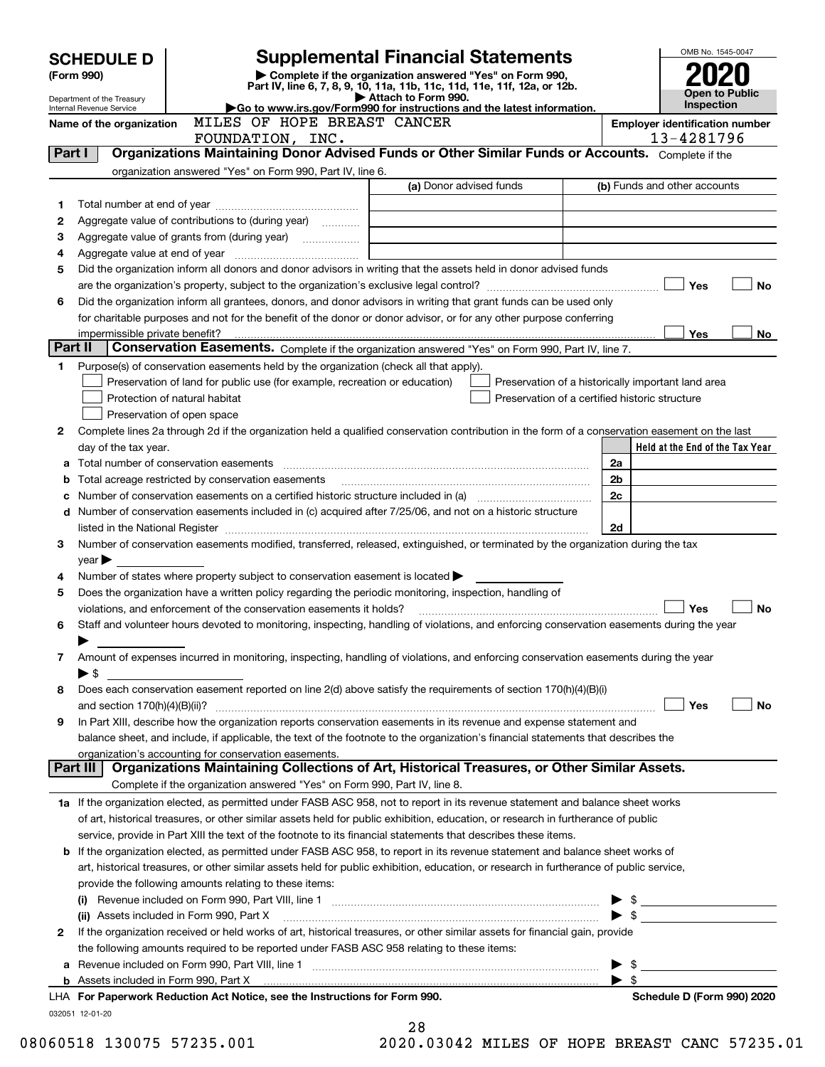|         | <b>SCHEDULE D</b>                                                                                                                       |                                                                                                        | <b>Supplemental Financial Statements</b>                                                                                                       |                          | OMB No. 1545-0047                                   |  |  |  |
|---------|-----------------------------------------------------------------------------------------------------------------------------------------|--------------------------------------------------------------------------------------------------------|------------------------------------------------------------------------------------------------------------------------------------------------|--------------------------|-----------------------------------------------------|--|--|--|
|         | (Form 990)                                                                                                                              |                                                                                                        | Complete if the organization answered "Yes" on Form 990,                                                                                       |                          |                                                     |  |  |  |
|         | Department of the Treasury                                                                                                              |                                                                                                        | Part IV, line 6, 7, 8, 9, 10, 11a, 11b, 11c, 11d, 11e, 11f, 12a, or 12b.<br>Attach to Form 990.                                                |                          | <b>Open to Public</b>                               |  |  |  |
|         | Internal Revenue Service                                                                                                                | MILES OF HOPE BREAST CANCER                                                                            | Go to www.irs.gov/Form990 for instructions and the latest information.                                                                         |                          | Inspection                                          |  |  |  |
|         | Name of the organization                                                                                                                | FOUNDATION, INC.                                                                                       |                                                                                                                                                |                          | <b>Employer identification number</b><br>13-4281796 |  |  |  |
| Part I  |                                                                                                                                         |                                                                                                        | Organizations Maintaining Donor Advised Funds or Other Similar Funds or Accounts. Complete if the                                              |                          |                                                     |  |  |  |
|         |                                                                                                                                         | organization answered "Yes" on Form 990, Part IV, line 6.                                              |                                                                                                                                                |                          |                                                     |  |  |  |
|         |                                                                                                                                         |                                                                                                        | (a) Donor advised funds                                                                                                                        |                          | (b) Funds and other accounts                        |  |  |  |
| 1       |                                                                                                                                         |                                                                                                        |                                                                                                                                                |                          |                                                     |  |  |  |
| 2       |                                                                                                                                         | Aggregate value of contributions to (during year)                                                      |                                                                                                                                                |                          |                                                     |  |  |  |
| з       |                                                                                                                                         |                                                                                                        |                                                                                                                                                |                          |                                                     |  |  |  |
| 4       |                                                                                                                                         |                                                                                                        |                                                                                                                                                |                          |                                                     |  |  |  |
| 5       |                                                                                                                                         |                                                                                                        | Did the organization inform all donors and donor advisors in writing that the assets held in donor advised funds                               |                          |                                                     |  |  |  |
|         |                                                                                                                                         |                                                                                                        |                                                                                                                                                |                          | Yes<br>No                                           |  |  |  |
| 6       |                                                                                                                                         |                                                                                                        | Did the organization inform all grantees, donors, and donor advisors in writing that grant funds can be used only                              |                          |                                                     |  |  |  |
|         |                                                                                                                                         |                                                                                                        | for charitable purposes and not for the benefit of the donor or donor advisor, or for any other purpose conferring                             |                          | Yes<br>No                                           |  |  |  |
| Part II |                                                                                                                                         |                                                                                                        | Conservation Easements. Complete if the organization answered "Yes" on Form 990, Part IV, line 7.                                              |                          |                                                     |  |  |  |
| 1.      |                                                                                                                                         | Purpose(s) of conservation easements held by the organization (check all that apply).                  |                                                                                                                                                |                          |                                                     |  |  |  |
|         |                                                                                                                                         | Preservation of land for public use (for example, recreation or education)                             | Preservation of a historically important land area                                                                                             |                          |                                                     |  |  |  |
|         |                                                                                                                                         | Protection of natural habitat                                                                          | Preservation of a certified historic structure                                                                                                 |                          |                                                     |  |  |  |
|         |                                                                                                                                         | Preservation of open space                                                                             |                                                                                                                                                |                          |                                                     |  |  |  |
| 2       |                                                                                                                                         |                                                                                                        | Complete lines 2a through 2d if the organization held a qualified conservation contribution in the form of a conservation easement on the last |                          |                                                     |  |  |  |
|         | day of the tax year.                                                                                                                    |                                                                                                        |                                                                                                                                                |                          | Held at the End of the Tax Year                     |  |  |  |
| а       |                                                                                                                                         |                                                                                                        |                                                                                                                                                | 2a                       |                                                     |  |  |  |
| b       |                                                                                                                                         |                                                                                                        |                                                                                                                                                | 2 <sub>b</sub>           |                                                     |  |  |  |
| с       |                                                                                                                                         |                                                                                                        |                                                                                                                                                | 2c                       |                                                     |  |  |  |
|         |                                                                                                                                         |                                                                                                        | d Number of conservation easements included in (c) acquired after 7/25/06, and not on a historic structure                                     |                          |                                                     |  |  |  |
|         |                                                                                                                                         |                                                                                                        |                                                                                                                                                | 2d                       |                                                     |  |  |  |
| 3       |                                                                                                                                         |                                                                                                        | Number of conservation easements modified, transferred, released, extinguished, or terminated by the organization during the tax               |                          |                                                     |  |  |  |
| 4       | $year \blacktriangleright$                                                                                                              | Number of states where property subject to conservation easement is located $\blacktriangleright$      |                                                                                                                                                |                          |                                                     |  |  |  |
| 5       |                                                                                                                                         | Does the organization have a written policy regarding the periodic monitoring, inspection, handling of |                                                                                                                                                |                          |                                                     |  |  |  |
|         |                                                                                                                                         | violations, and enforcement of the conservation easements it holds?                                    |                                                                                                                                                |                          | Yes<br>No                                           |  |  |  |
| 6       |                                                                                                                                         |                                                                                                        | Staff and volunteer hours devoted to monitoring, inspecting, handling of violations, and enforcing conservation easements during the year      |                          |                                                     |  |  |  |
|         |                                                                                                                                         |                                                                                                        |                                                                                                                                                |                          |                                                     |  |  |  |
| 7       |                                                                                                                                         |                                                                                                        | Amount of expenses incurred in monitoring, inspecting, handling of violations, and enforcing conservation easements during the year            |                          |                                                     |  |  |  |
|         | ▶ \$                                                                                                                                    |                                                                                                        |                                                                                                                                                |                          |                                                     |  |  |  |
| 8       |                                                                                                                                         |                                                                                                        | Does each conservation easement reported on line 2(d) above satisfy the requirements of section 170(h)(4)(B)(i)                                |                          |                                                     |  |  |  |
|         |                                                                                                                                         |                                                                                                        |                                                                                                                                                |                          | Yes<br>No                                           |  |  |  |
| 9       |                                                                                                                                         |                                                                                                        | In Part XIII, describe how the organization reports conservation easements in its revenue and expense statement and                            |                          |                                                     |  |  |  |
|         |                                                                                                                                         |                                                                                                        | balance sheet, and include, if applicable, the text of the footnote to the organization's financial statements that describes the              |                          |                                                     |  |  |  |
|         | Part III                                                                                                                                | organization's accounting for conservation easements.                                                  | Organizations Maintaining Collections of Art, Historical Treasures, or Other Similar Assets.                                                   |                          |                                                     |  |  |  |
|         |                                                                                                                                         | Complete if the organization answered "Yes" on Form 990, Part IV, line 8.                              |                                                                                                                                                |                          |                                                     |  |  |  |
|         |                                                                                                                                         |                                                                                                        | 1a If the organization elected, as permitted under FASB ASC 958, not to report in its revenue statement and balance sheet works                |                          |                                                     |  |  |  |
|         |                                                                                                                                         |                                                                                                        | of art, historical treasures, or other similar assets held for public exhibition, education, or research in furtherance of public              |                          |                                                     |  |  |  |
|         |                                                                                                                                         |                                                                                                        | service, provide in Part XIII the text of the footnote to its financial statements that describes these items.                                 |                          |                                                     |  |  |  |
|         |                                                                                                                                         |                                                                                                        | <b>b</b> If the organization elected, as permitted under FASB ASC 958, to report in its revenue statement and balance sheet works of           |                          |                                                     |  |  |  |
|         | art, historical treasures, or other similar assets held for public exhibition, education, or research in furtherance of public service, |                                                                                                        |                                                                                                                                                |                          |                                                     |  |  |  |
|         | provide the following amounts relating to these items:                                                                                  |                                                                                                        |                                                                                                                                                |                          |                                                     |  |  |  |
|         |                                                                                                                                         |                                                                                                        |                                                                                                                                                | $\blacktriangleright$ \$ |                                                     |  |  |  |
|         | (ii) Assets included in Form 990, Part X                                                                                                | $\blacktriangleright$ \$                                                                               |                                                                                                                                                |                          |                                                     |  |  |  |
| 2       | If the organization received or held works of art, historical treasures, or other similar assets for financial gain, provide            |                                                                                                        |                                                                                                                                                |                          |                                                     |  |  |  |
|         |                                                                                                                                         | the following amounts required to be reported under FASB ASC 958 relating to these items:              |                                                                                                                                                |                          |                                                     |  |  |  |
|         |                                                                                                                                         |                                                                                                        |                                                                                                                                                | - \$                     |                                                     |  |  |  |
|         |                                                                                                                                         |                                                                                                        |                                                                                                                                                | $\blacktriangleright$ \$ |                                                     |  |  |  |
|         |                                                                                                                                         | LHA For Paperwork Reduction Act Notice, see the Instructions for Form 990.                             |                                                                                                                                                |                          | Schedule D (Form 990) 2020                          |  |  |  |
|         | 032051 12-01-20                                                                                                                         |                                                                                                        | 28                                                                                                                                             |                          |                                                     |  |  |  |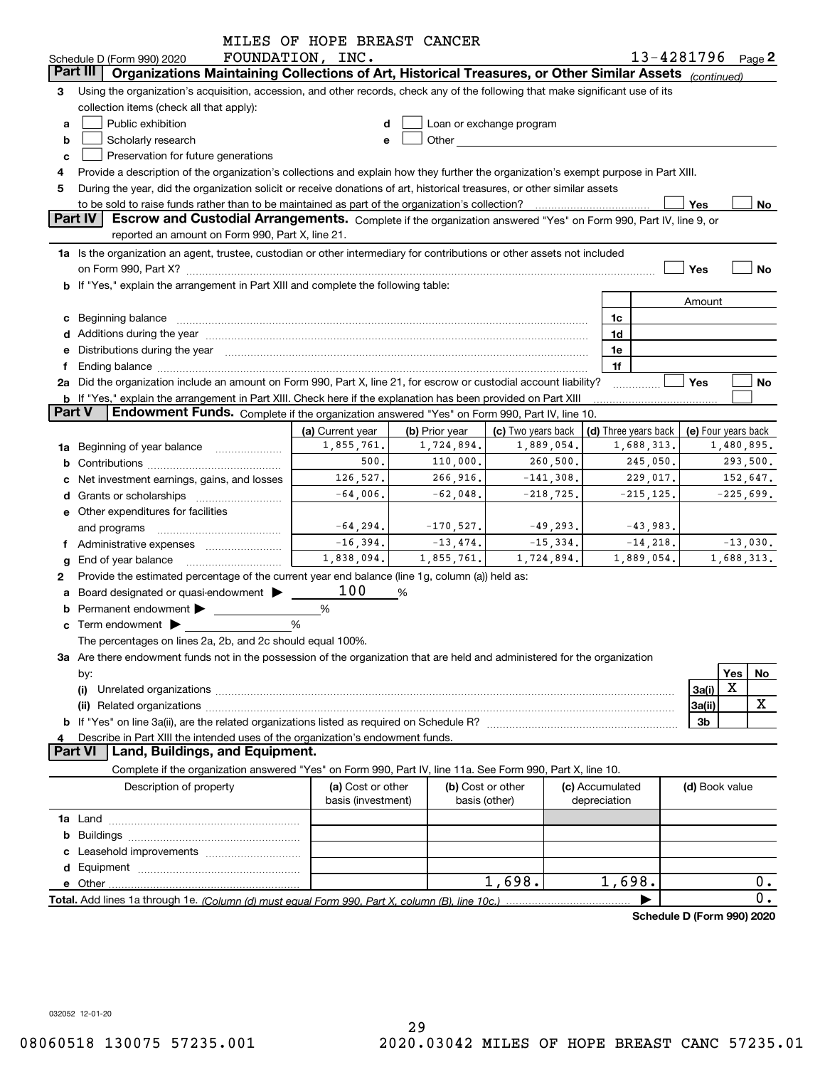|               |                                                                                                                                                                                                                                | MILES OF HOPE BREAST CANCER             |                |                                                                                                                                                                                                                               |              |                 |                      |                |                              |
|---------------|--------------------------------------------------------------------------------------------------------------------------------------------------------------------------------------------------------------------------------|-----------------------------------------|----------------|-------------------------------------------------------------------------------------------------------------------------------------------------------------------------------------------------------------------------------|--------------|-----------------|----------------------|----------------|------------------------------|
|               | Schedule D (Form 990) 2020                                                                                                                                                                                                     | FOUNDATION, INC.                        |                |                                                                                                                                                                                                                               |              |                 |                      |                | 13-4281796 <sub>Page</sub> 2 |
|               | Part III<br>Organizations Maintaining Collections of Art, Historical Treasures, or Other Similar Assets (continued)                                                                                                            |                                         |                |                                                                                                                                                                                                                               |              |                 |                      |                |                              |
| 3             | Using the organization's acquisition, accession, and other records, check any of the following that make significant use of its                                                                                                |                                         |                |                                                                                                                                                                                                                               |              |                 |                      |                |                              |
|               | collection items (check all that apply):                                                                                                                                                                                       |                                         |                |                                                                                                                                                                                                                               |              |                 |                      |                |                              |
| a             | Public exhibition                                                                                                                                                                                                              |                                         |                | Loan or exchange program                                                                                                                                                                                                      |              |                 |                      |                |                              |
| b             | Scholarly research                                                                                                                                                                                                             |                                         |                | Other and the contract of the contract of the contract of the contract of the contract of the contract of the contract of the contract of the contract of the contract of the contract of the contract of the contract of the |              |                 |                      |                |                              |
| c             | Preservation for future generations                                                                                                                                                                                            |                                         |                |                                                                                                                                                                                                                               |              |                 |                      |                |                              |
|               | Provide a description of the organization's collections and explain how they further the organization's exempt purpose in Part XIII.                                                                                           |                                         |                |                                                                                                                                                                                                                               |              |                 |                      |                |                              |
| 5             | During the year, did the organization solicit or receive donations of art, historical treasures, or other similar assets                                                                                                       |                                         |                |                                                                                                                                                                                                                               |              |                 |                      |                |                              |
|               | to be sold to raise funds rather than to be maintained as part of the organization's collection?                                                                                                                               |                                         |                |                                                                                                                                                                                                                               |              |                 |                      | Yes            | No                           |
|               | <b>Part IV</b><br>Escrow and Custodial Arrangements. Complete if the organization answered "Yes" on Form 990, Part IV, line 9, or                                                                                              |                                         |                |                                                                                                                                                                                                                               |              |                 |                      |                |                              |
|               | reported an amount on Form 990, Part X, line 21.                                                                                                                                                                               |                                         |                |                                                                                                                                                                                                                               |              |                 |                      |                |                              |
|               | 1a Is the organization an agent, trustee, custodian or other intermediary for contributions or other assets not included                                                                                                       |                                         |                |                                                                                                                                                                                                                               |              |                 |                      |                |                              |
|               |                                                                                                                                                                                                                                |                                         |                |                                                                                                                                                                                                                               |              |                 |                      | Yes            | <b>No</b>                    |
|               | b If "Yes," explain the arrangement in Part XIII and complete the following table:                                                                                                                                             |                                         |                |                                                                                                                                                                                                                               |              |                 |                      |                |                              |
|               |                                                                                                                                                                                                                                |                                         |                |                                                                                                                                                                                                                               |              |                 |                      | Amount         |                              |
|               | c Beginning balance entrance and contain the set of the set of the set of the set of the set of the set of the set of the set of the set of the set of the set of the set of the set of the set of the set of the set of the s |                                         |                |                                                                                                                                                                                                                               |              | 1c              |                      |                |                              |
|               |                                                                                                                                                                                                                                |                                         |                |                                                                                                                                                                                                                               |              | 1d              |                      |                |                              |
|               | e Distributions during the year manufactured and contained and contained and contained and contained and contained and contained and contained and contained and contained and contained and contained and contained and conta |                                         |                |                                                                                                                                                                                                                               |              | 1e              |                      |                |                              |
| Ť.            | Ending balance manufactured and contract and contract of the contract of the contract of the contract of the contract of the contract of the contract of the contract of the contract of the contract of the contract of the c |                                         |                |                                                                                                                                                                                                                               |              | 1f              |                      |                |                              |
|               | 2a Did the organization include an amount on Form 990, Part X, line 21, for escrow or custodial account liability?                                                                                                             |                                         |                |                                                                                                                                                                                                                               |              |                 |                      | Yes            | No                           |
|               | <b>b</b> If "Yes," explain the arrangement in Part XIII. Check here if the explanation has been provided on Part XIII                                                                                                          |                                         |                |                                                                                                                                                                                                                               |              |                 |                      |                |                              |
| <b>Part V</b> | Endowment Funds. Complete if the organization answered "Yes" on Form 990, Part IV, line 10.                                                                                                                                    |                                         |                |                                                                                                                                                                                                                               |              |                 |                      |                |                              |
|               |                                                                                                                                                                                                                                | (a) Current year                        | (b) Prior year | (c) Two years back                                                                                                                                                                                                            |              |                 | (d) Three years back |                | (e) Four years back          |
|               | 1a Beginning of year balance                                                                                                                                                                                                   | 1,855,761.                              | 1,724,894.     | 1,889,054.                                                                                                                                                                                                                    |              |                 | 1,688,313.           |                | 1,480,895.                   |
|               |                                                                                                                                                                                                                                | 500.                                    | 110,000.       | 260,500.                                                                                                                                                                                                                      |              |                 | 245,050.             |                | 293,500.                     |
|               | c Net investment earnings, gains, and losses                                                                                                                                                                                   | 126,527.                                | 266,916.       | $-141,308$ .                                                                                                                                                                                                                  |              |                 | 229,017.             |                | 152,647.                     |
|               |                                                                                                                                                                                                                                | $-64,006$ .                             | $-62,048$ .    | $-218, 725.$                                                                                                                                                                                                                  |              |                 | $-215, 125.$         |                | $-225,699.$                  |
|               | e Other expenditures for facilities                                                                                                                                                                                            |                                         |                |                                                                                                                                                                                                                               |              |                 |                      |                |                              |
|               | and programs                                                                                                                                                                                                                   | $-64, 294.$                             | $-170,527.$    | $-49,293.$                                                                                                                                                                                                                    |              |                 | $-43,983.$           |                |                              |
|               | f Administrative expenses <i></i>                                                                                                                                                                                              | $-16,394.$                              | $-13,474.$     | $-15,334.$                                                                                                                                                                                                                    |              |                 | $-14, 218.$          |                | $-13,030.$                   |
|               | g End of year balance                                                                                                                                                                                                          | 1,838,094.                              | 1,855,761.     | 1,724,894.                                                                                                                                                                                                                    |              |                 | 1,889,054.           |                | 1,688,313.                   |
| 2             | Provide the estimated percentage of the current year end balance (line 1g, column (a)) held as:                                                                                                                                |                                         |                |                                                                                                                                                                                                                               |              |                 |                      |                |                              |
|               | a Board designated or quasi-endowment >                                                                                                                                                                                        | 100                                     | %              |                                                                                                                                                                                                                               |              |                 |                      |                |                              |
|               | Permanent endowment >                                                                                                                                                                                                          | %                                       |                |                                                                                                                                                                                                                               |              |                 |                      |                |                              |
|               | $\mathbf c$ Term endowment $\blacktriangleright$                                                                                                                                                                               | %                                       |                |                                                                                                                                                                                                                               |              |                 |                      |                |                              |
|               | The percentages on lines 2a, 2b, and 2c should equal 100%.                                                                                                                                                                     |                                         |                |                                                                                                                                                                                                                               |              |                 |                      |                |                              |
|               | 3a Are there endowment funds not in the possession of the organization that are held and administered for the organization                                                                                                     |                                         |                |                                                                                                                                                                                                                               |              |                 |                      |                |                              |
|               | by:                                                                                                                                                                                                                            |                                         |                |                                                                                                                                                                                                                               |              |                 |                      |                | Yes<br>No                    |
|               | (i)                                                                                                                                                                                                                            |                                         |                |                                                                                                                                                                                                                               |              |                 |                      | 3a(i)          | X                            |
|               |                                                                                                                                                                                                                                |                                         |                |                                                                                                                                                                                                                               |              |                 |                      | 3a(ii)         | x                            |
|               |                                                                                                                                                                                                                                |                                         |                |                                                                                                                                                                                                                               |              |                 |                      | 3b             |                              |
|               | Describe in Part XIII the intended uses of the organization's endowment funds.                                                                                                                                                 |                                         |                |                                                                                                                                                                                                                               |              |                 |                      |                |                              |
|               | <b>Part VI</b><br>Land, Buildings, and Equipment.                                                                                                                                                                              |                                         |                |                                                                                                                                                                                                                               |              |                 |                      |                |                              |
|               | Complete if the organization answered "Yes" on Form 990, Part IV, line 11a. See Form 990, Part X, line 10.                                                                                                                     |                                         |                |                                                                                                                                                                                                                               |              |                 |                      |                |                              |
|               | Description of property                                                                                                                                                                                                        | (a) Cost or other<br>basis (investment) |                | (b) Cost or other<br>basis (other)                                                                                                                                                                                            | depreciation | (c) Accumulated |                      | (d) Book value |                              |
|               |                                                                                                                                                                                                                                |                                         |                |                                                                                                                                                                                                                               |              |                 |                      |                |                              |
|               |                                                                                                                                                                                                                                |                                         |                |                                                                                                                                                                                                                               |              |                 |                      |                |                              |
|               |                                                                                                                                                                                                                                |                                         |                |                                                                                                                                                                                                                               |              |                 |                      |                |                              |
|               |                                                                                                                                                                                                                                |                                         |                |                                                                                                                                                                                                                               |              |                 |                      |                |                              |
|               |                                                                                                                                                                                                                                |                                         |                | 1,698.                                                                                                                                                                                                                        |              | 1,698.          |                      |                | $0$ .                        |
|               | Total. Add lines 1a through 1e. (Column (d) must equal Form 990. Part X, column (B), line 10c.)                                                                                                                                |                                         |                |                                                                                                                                                                                                                               |              |                 |                      |                | $0$ .                        |

**Schedule D (Form 990) 2020**

032052 12-01-20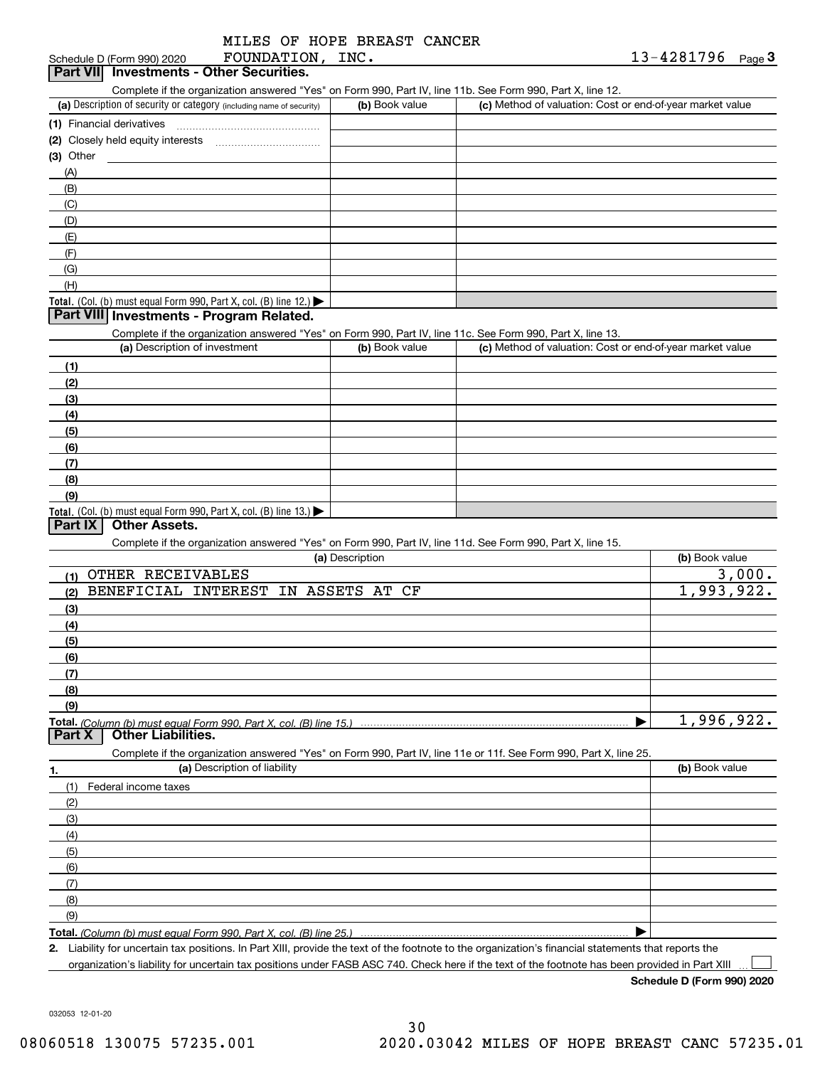|  | MILES OF HOPE BREAST CANCER |  |
|--|-----------------------------|--|
|  |                             |  |

#### (a) Description of security or category (including name of security)  $\vert$  (b) Book value  $\vert$  (c) Total. (Col. (b) must equal Form 990, Part X, col. (B) line 12.) Total. (Col. (b) must equal Form 990, Part X, col. (B) line 13.) **(1)** Financial derivatives ~~~~~~~~~~~~~~~ **(2)** Closely held equity interests ~~~~~~~~~~~ **(3)** Other (a) Description of investment **b (b)** Book value **(1)(2) (3)(4) (5)(6)(7) (8)(9)** Schedule D (Form 990) 2020  ${\bf F}$ OUNDATION , INC  $\bullet$  1 3  $4\,2\,8\,1\,7\,9\,6$  Page Complete if the organization answered "Yes" on Form 990, Part IV, line 11b. See Form 990, Part X, line 12.  $(b)$  Book value  $\vert$  (c) Method of valuation: Cost or end-of-year market value (A)(B)(C)(D)(E)(F)(G)(H)Complete if the organization answered "Yes" on Form 990, Part IV, line 11c. See Form 990, Part X, line 13. (c) Method of valuation: Cost or end-of-year market value Complete if the organization answered "Yes" on Form 990, Part IV, line 11d. See Form 990, Part X, line 15. Schedule D (Form 990) 2020 FOUNDATION, INC<br>**Part VII Investments - Other Securities. Part VIII Investments - Program Related. Part IX Other Assets.** FOUNDATION

| (a) Description                                                                                                   | (b) Book value |
|-------------------------------------------------------------------------------------------------------------------|----------------|
| OTHER RECEIVABLES<br>(1)                                                                                          | 3,000.         |
| BENEFICIAL INTEREST<br>IN ASSETS AT CF<br>(2)                                                                     | 1,993,922.     |
| (3)                                                                                                               |                |
| (4)                                                                                                               |                |
| (5)                                                                                                               |                |
| (6)                                                                                                               |                |
| (7)                                                                                                               |                |
| (8)                                                                                                               |                |
| (9)                                                                                                               |                |
|                                                                                                                   | 1,996,922.     |
| <b>Other Liabilities.</b><br>Part X                                                                               |                |
| Complete if the organization answered "Yes" on Form 990, Part IV, line 11e or 11f. See Form 990, Part X, line 25. |                |
| (a) Description of liability<br>1.                                                                                | (b) Book value |
| (1)<br>Federal income taxes                                                                                       |                |
| (2)                                                                                                               |                |
| (3)                                                                                                               |                |
| (4)                                                                                                               |                |
| (5)                                                                                                               |                |
| (6)                                                                                                               |                |
| (7)                                                                                                               |                |
| (8)                                                                                                               |                |
|                                                                                                                   |                |
| (9)                                                                                                               |                |

**2.** Liability for uncertain tax positions. In Part XIII, provide the text of the footnote to the organization's financial statements that reports the organization's liability for uncertain tax positions under FASB ASC 740. Check here if the text of the footnote has been provided in Part XIII

**Schedule D (Form 990) 2020**

 $\mathcal{L}^{\text{max}}$ 

032053 12-01-20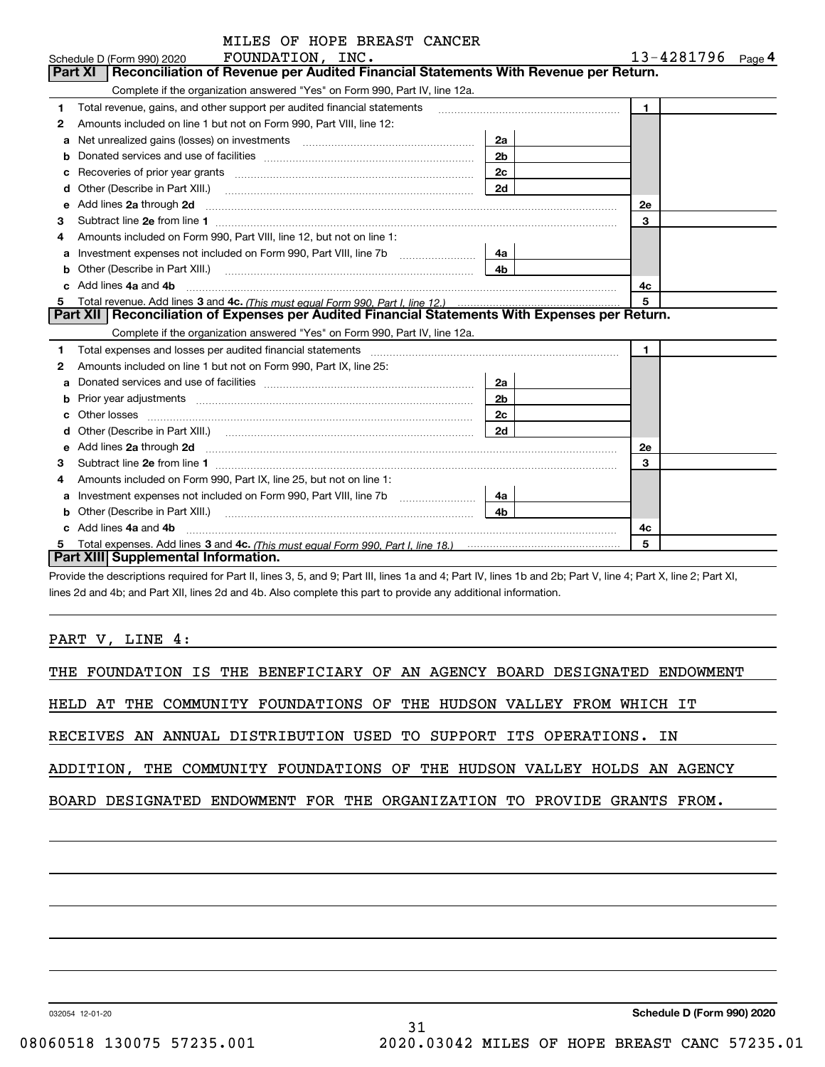|   | MILES OF HOPE BREAST CANCER                                                                                           |                |                   |
|---|-----------------------------------------------------------------------------------------------------------------------|----------------|-------------------|
|   | FOUNDATION, INC.<br>Schedule D (Form 990) 2020                                                                        |                | 13-4281796 Page 4 |
|   | Reconciliation of Revenue per Audited Financial Statements With Revenue per Return.<br>Part XI                        |                |                   |
|   | Complete if the organization answered "Yes" on Form 990, Part IV, line 12a.                                           |                |                   |
| 1 | Total revenue, gains, and other support per audited financial statements                                              |                | 1.                |
| 2 | Amounts included on line 1 but not on Form 990, Part VIII, line 12:                                                   |                |                   |
| a |                                                                                                                       | 2a             |                   |
| b |                                                                                                                       | 2 <sub>b</sub> |                   |
|   |                                                                                                                       | 2c             |                   |
| d | Other (Describe in Part XIII.) <b>Construction Contract Construction</b> Chern Construction Construction Construction | 2d             |                   |
| е | Add lines 2a through 2d                                                                                               |                | 2e                |
| З |                                                                                                                       |                | 3                 |
| 4 | Amounts included on Form 990, Part VIII, line 12, but not on line 1:                                                  |                |                   |
| a |                                                                                                                       | 4a             |                   |
| b |                                                                                                                       | 4h             |                   |
|   | Add lines 4a and 4b                                                                                                   |                | 4с                |
| 5 |                                                                                                                       |                | 5                 |
|   | Part XII   Reconciliation of Expenses per Audited Financial Statements With Expenses per Return.                      |                |                   |
|   | Complete if the organization answered "Yes" on Form 990, Part IV, line 12a.                                           |                |                   |
| 1 |                                                                                                                       |                | $\mathbf{1}$      |
| 2 | Amounts included on line 1 but not on Form 990, Part IX, line 25:                                                     |                |                   |
| a |                                                                                                                       | 2a             |                   |
|   |                                                                                                                       | 2 <sub>b</sub> |                   |
|   |                                                                                                                       | 2c             |                   |
| d |                                                                                                                       | 2d             |                   |
| е | Add lines 2a through 2d <b>[10]</b> [10] <b>Adding the Second Lines</b> 2a through 2d <b>[10] html</b>                |                | 2e                |
| 3 | Subtract line 2e from line 1                                                                                          |                | 3                 |
| 4 | Amounts included on Form 990, Part IX, line 25, but not on line 1:                                                    |                |                   |
| a |                                                                                                                       | 4a             |                   |
|   |                                                                                                                       | 4 <sub>b</sub> |                   |
|   | Add lines 4a and 4b                                                                                                   |                | 4c                |
| 5 |                                                                                                                       |                | 5                 |
|   | Part XIII Supplemental Information.                                                                                   |                |                   |

Provide the descriptions required for Part II, lines 3, 5, and 9; Part III, lines 1a and 4; Part IV, lines 1b and 2b; Part V, line 4; Part X, line 2; Part XI, lines 2d and 4b; and Part XII, lines 2d and 4b. Also complete this part to provide any additional information.

PART V, LINE 4:

|  |  | THE FOUNDATION IS THE BENEFICIARY OF AN AGENCY BOARD DESIGNATED ENDOWMENT |  |  |  |
|--|--|---------------------------------------------------------------------------|--|--|--|
|  |  |                                                                           |  |  |  |

HELD AT THE COMMUNITY FOUNDATIONS OF THE HUDSON VALLEY FROM WHICH IT

RECEIVES AN ANNUAL DISTRIBUTION USED TO SUPPORT ITS OPERATIONS. IN

ADDITION, THE COMMUNITY FOUNDATIONS OF THE HUDSON VALLEY HOLDS AN AGENCY

31

BOARD DESIGNATED ENDOWMENT FOR THE ORGANIZATION TO PROVIDE GRANTS FROM.

032054 12-01-20

**Schedule D (Form 990) 2020**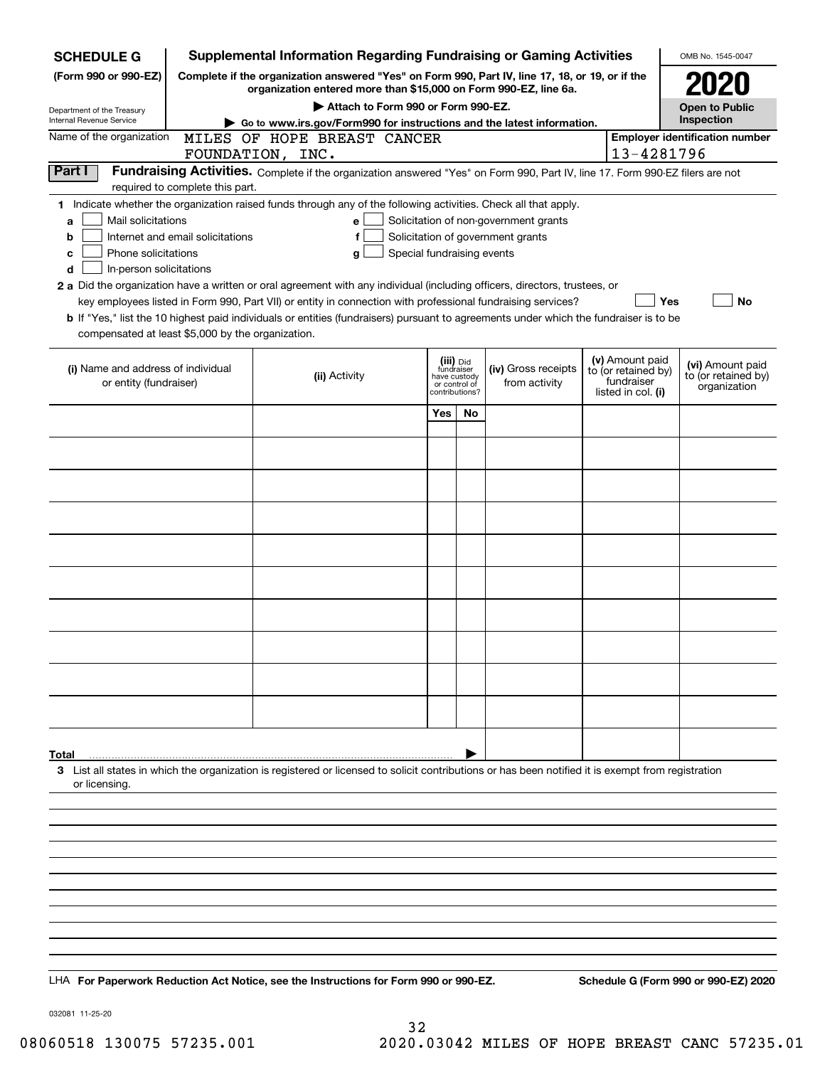| <b>SCHEDULE G</b>                                            |                                  | <b>Supplemental Information Regarding Fundraising or Gaming Activities</b>                                                                                          |                               |    |                                       |                                   | OMB No. 1545-0047                     |
|--------------------------------------------------------------|----------------------------------|---------------------------------------------------------------------------------------------------------------------------------------------------------------------|-------------------------------|----|---------------------------------------|-----------------------------------|---------------------------------------|
| (Form 990 or 990-EZ)                                         |                                  | Complete if the organization answered "Yes" on Form 990, Part IV, line 17, 18, or 19, or if the<br>organization entered more than \$15,000 on Form 990-EZ, line 6a. |                               |    |                                       |                                   |                                       |
|                                                              |                                  | Attach to Form 990 or Form 990-EZ.                                                                                                                                  |                               |    |                                       |                                   | <b>Open to Public</b>                 |
| Department of the Treasury<br>Internal Revenue Service       |                                  | Go to www.irs.gov/Form990 for instructions and the latest information.                                                                                              |                               |    |                                       |                                   | Inspection                            |
| Name of the organization                                     |                                  | MILES OF HOPE BREAST CANCER<br>FOUNDATION, INC.                                                                                                                     |                               |    |                                       | 13-4281796                        | <b>Employer identification number</b> |
| Part I                                                       |                                  | Fundraising Activities. Complete if the organization answered "Yes" on Form 990, Part IV, line 17. Form 990-EZ filers are not                                       |                               |    |                                       |                                   |                                       |
|                                                              | required to complete this part.  | 1 Indicate whether the organization raised funds through any of the following activities. Check all that apply.                                                     |                               |    |                                       |                                   |                                       |
| Mail solicitations<br>a                                      |                                  | e                                                                                                                                                                   |                               |    | Solicitation of non-government grants |                                   |                                       |
| b                                                            | Internet and email solicitations | f                                                                                                                                                                   |                               |    | Solicitation of government grants     |                                   |                                       |
| Phone solicitations<br>с                                     |                                  | Special fundraising events<br>g                                                                                                                                     |                               |    |                                       |                                   |                                       |
| In-person solicitations<br>d                                 |                                  | 2 a Did the organization have a written or oral agreement with any individual (including officers, directors, trustees, or                                          |                               |    |                                       |                                   |                                       |
|                                                              |                                  | key employees listed in Form 990, Part VII) or entity in connection with professional fundraising services?                                                         |                               |    |                                       | Yes                               | <b>No</b>                             |
|                                                              |                                  | b If "Yes," list the 10 highest paid individuals or entities (fundraisers) pursuant to agreements under which the fundraiser is to be                               |                               |    |                                       |                                   |                                       |
| compensated at least \$5,000 by the organization.            |                                  |                                                                                                                                                                     |                               |    |                                       |                                   |                                       |
|                                                              |                                  |                                                                                                                                                                     | (iii) Did<br>fundraiser       |    |                                       | (v) Amount paid                   | (vi) Amount paid                      |
| (i) Name and address of individual<br>or entity (fundraiser) |                                  | (ii) Activity                                                                                                                                                       | have custody<br>or control of |    | (iv) Gross receipts<br>from activity  | to (or retained by)<br>fundraiser | to (or retained by)                   |
|                                                              |                                  |                                                                                                                                                                     | contributions?                |    |                                       | listed in col. (i)                | organization                          |
|                                                              |                                  |                                                                                                                                                                     | Yes                           | No |                                       |                                   |                                       |
|                                                              |                                  |                                                                                                                                                                     |                               |    |                                       |                                   |                                       |
|                                                              |                                  |                                                                                                                                                                     |                               |    |                                       |                                   |                                       |
|                                                              |                                  |                                                                                                                                                                     |                               |    |                                       |                                   |                                       |
|                                                              |                                  |                                                                                                                                                                     |                               |    |                                       |                                   |                                       |
|                                                              |                                  |                                                                                                                                                                     |                               |    |                                       |                                   |                                       |
|                                                              |                                  |                                                                                                                                                                     |                               |    |                                       |                                   |                                       |
|                                                              |                                  |                                                                                                                                                                     |                               |    |                                       |                                   |                                       |
|                                                              |                                  |                                                                                                                                                                     |                               |    |                                       |                                   |                                       |
|                                                              |                                  |                                                                                                                                                                     |                               |    |                                       |                                   |                                       |
|                                                              |                                  |                                                                                                                                                                     |                               |    |                                       |                                   |                                       |
|                                                              |                                  |                                                                                                                                                                     |                               |    |                                       |                                   |                                       |
|                                                              |                                  |                                                                                                                                                                     |                               |    |                                       |                                   |                                       |
| Total                                                        |                                  | 3 List all states in which the organization is registered or licensed to solicit contributions or has been notified it is exempt from registration                  |                               |    |                                       |                                   |                                       |
| or licensing.                                                |                                  |                                                                                                                                                                     |                               |    |                                       |                                   |                                       |
|                                                              |                                  |                                                                                                                                                                     |                               |    |                                       |                                   |                                       |
|                                                              |                                  |                                                                                                                                                                     |                               |    |                                       |                                   |                                       |
|                                                              |                                  |                                                                                                                                                                     |                               |    |                                       |                                   |                                       |
|                                                              |                                  |                                                                                                                                                                     |                               |    |                                       |                                   |                                       |
|                                                              |                                  |                                                                                                                                                                     |                               |    |                                       |                                   |                                       |
|                                                              |                                  |                                                                                                                                                                     |                               |    |                                       |                                   |                                       |
|                                                              |                                  |                                                                                                                                                                     |                               |    |                                       |                                   |                                       |
|                                                              |                                  |                                                                                                                                                                     |                               |    |                                       |                                   |                                       |
|                                                              |                                  | LHA For Paperwork Reduction Act Notice, see the Instructions for Form 990 or 990-EZ.                                                                                |                               |    |                                       |                                   | Schedule G (Form 990 or 990-EZ) 2020  |
|                                                              |                                  |                                                                                                                                                                     |                               |    |                                       |                                   |                                       |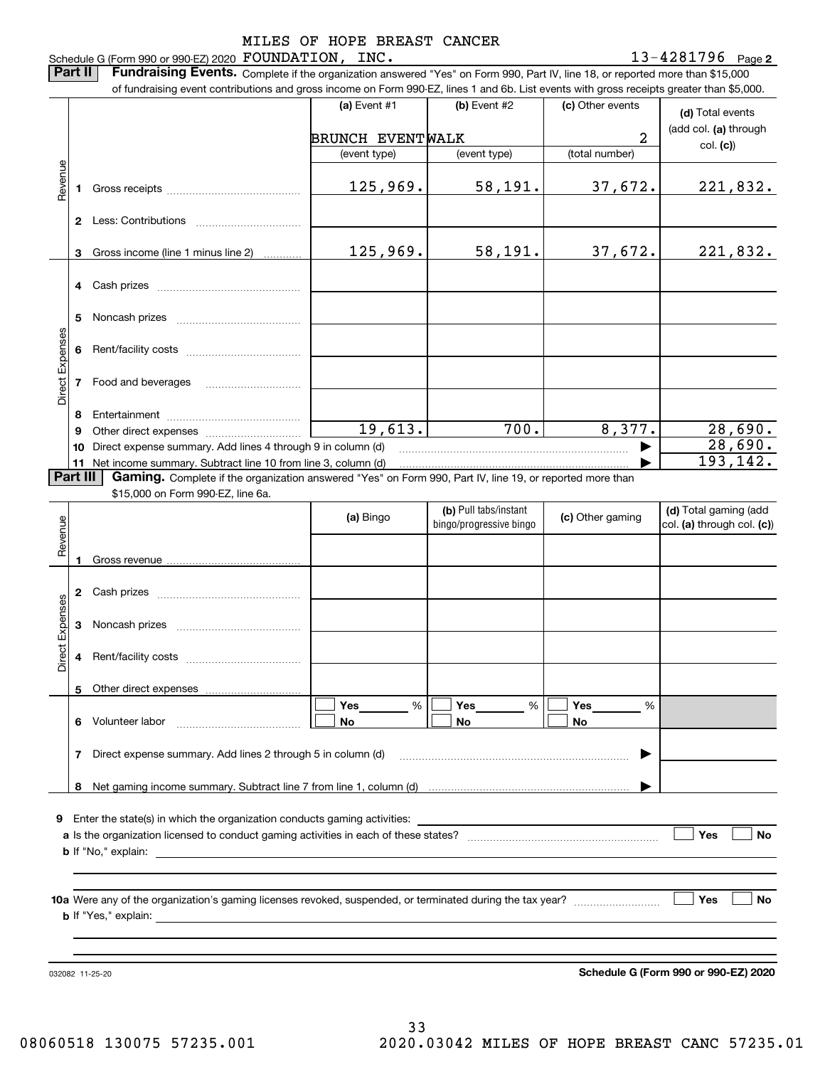|                 | Part II  | Schedule G (Form 990 or 990-EZ) 2020 FOUNDATION, INC.<br>Fundraising Events. Complete if the organization answered "Yes" on Form 990, Part IV, line 18, or reported more than \$15,000                                                   | MILES OF HOPE BREAST CANCER                               |                                                  |                                                      | $13 - 4281796$ Page 2                                 |
|-----------------|----------|------------------------------------------------------------------------------------------------------------------------------------------------------------------------------------------------------------------------------------------|-----------------------------------------------------------|--------------------------------------------------|------------------------------------------------------|-------------------------------------------------------|
|                 |          | of fundraising event contributions and gross income on Form 990-EZ, lines 1 and 6b. List events with gross receipts greater than \$5,000.                                                                                                |                                                           |                                                  |                                                      |                                                       |
|                 |          |                                                                                                                                                                                                                                          | (a) Event $#1$<br><b>BRUNCH EVENTWALK</b><br>(event type) | $(b)$ Event #2<br>(event type)                   | (c) Other events<br>$\overline{a}$<br>(total number) | (d) Total events<br>(add col. (a) through<br>col. (c) |
|                 |          |                                                                                                                                                                                                                                          |                                                           |                                                  |                                                      |                                                       |
| Revenue         |          |                                                                                                                                                                                                                                          | 125,969.                                                  | 58,191.                                          | 37,672.                                              | 221,832.                                              |
|                 |          |                                                                                                                                                                                                                                          |                                                           |                                                  |                                                      |                                                       |
|                 |          |                                                                                                                                                                                                                                          |                                                           |                                                  |                                                      |                                                       |
|                 | 3        | Gross income (line 1 minus line 2)                                                                                                                                                                                                       | 125,969.                                                  | 58,191.                                          | 37,672.                                              | 221,832.                                              |
|                 |          |                                                                                                                                                                                                                                          |                                                           |                                                  |                                                      |                                                       |
|                 | 5        |                                                                                                                                                                                                                                          |                                                           |                                                  |                                                      |                                                       |
|                 | 6        |                                                                                                                                                                                                                                          |                                                           |                                                  |                                                      |                                                       |
| Direct Expenses |          | 7 Food and beverages                                                                                                                                                                                                                     |                                                           |                                                  |                                                      |                                                       |
|                 | 8        |                                                                                                                                                                                                                                          |                                                           |                                                  |                                                      |                                                       |
|                 | 9        |                                                                                                                                                                                                                                          | 19,613.                                                   | 700.                                             | 8,377.                                               | 28,690.                                               |
|                 |          | 10 Direct expense summary. Add lines 4 through 9 in column (d)                                                                                                                                                                           |                                                           |                                                  | ▶                                                    | 28,690.                                               |
|                 | Part III | 11 Net income summary. Subtract line 10 from line 3, column (d)                                                                                                                                                                          |                                                           |                                                  |                                                      | 193,142.                                              |
|                 |          | <b>Gaming.</b> Complete if the organization answered "Yes" on Form 990, Part IV, line 19, or reported more than<br>\$15,000 on Form 990-EZ, line 6a.                                                                                     |                                                           |                                                  |                                                      |                                                       |
| Revenue         |          |                                                                                                                                                                                                                                          | (a) Bingo                                                 | (b) Pull tabs/instant<br>bingo/progressive bingo | (c) Other gaming                                     | (d) Total gaming (add<br>col. (a) through col. (c))   |
|                 |          |                                                                                                                                                                                                                                          |                                                           |                                                  |                                                      |                                                       |
| ses             |          |                                                                                                                                                                                                                                          |                                                           |                                                  |                                                      |                                                       |
|                 | 3        |                                                                                                                                                                                                                                          |                                                           |                                                  |                                                      |                                                       |
| Direct Exper    | 4        |                                                                                                                                                                                                                                          |                                                           |                                                  |                                                      |                                                       |
|                 | 5        |                                                                                                                                                                                                                                          |                                                           |                                                  |                                                      |                                                       |
|                 |          | 6 Volunteer labor                                                                                                                                                                                                                        | Yes<br>%<br>No                                            | Yes %<br>No                                      | Yes<br>%<br>No.                                      |                                                       |
|                 | 7        | Direct expense summary. Add lines 2 through 5 in column (d)                                                                                                                                                                              |                                                           |                                                  | ▶                                                    |                                                       |
|                 |          |                                                                                                                                                                                                                                          |                                                           |                                                  |                                                      |                                                       |
|                 |          |                                                                                                                                                                                                                                          |                                                           |                                                  |                                                      |                                                       |
| 9               |          |                                                                                                                                                                                                                                          |                                                           |                                                  |                                                      | Yes<br>No                                             |
|                 |          | <b>b</b> If "No," explain: <u>example</u> and the set of the set of the set of the set of the set of the set of the set of the set of the set of the set of the set of the set of the set of the set of the set of the set of the set of |                                                           |                                                  |                                                      |                                                       |
|                 |          |                                                                                                                                                                                                                                          |                                                           |                                                  |                                                      | Yes<br>No                                             |
|                 |          |                                                                                                                                                                                                                                          |                                                           |                                                  |                                                      |                                                       |
|                 |          | 032082 11-25-20                                                                                                                                                                                                                          |                                                           |                                                  |                                                      | Schedule G (Form 990 or 990-EZ) 2020                  |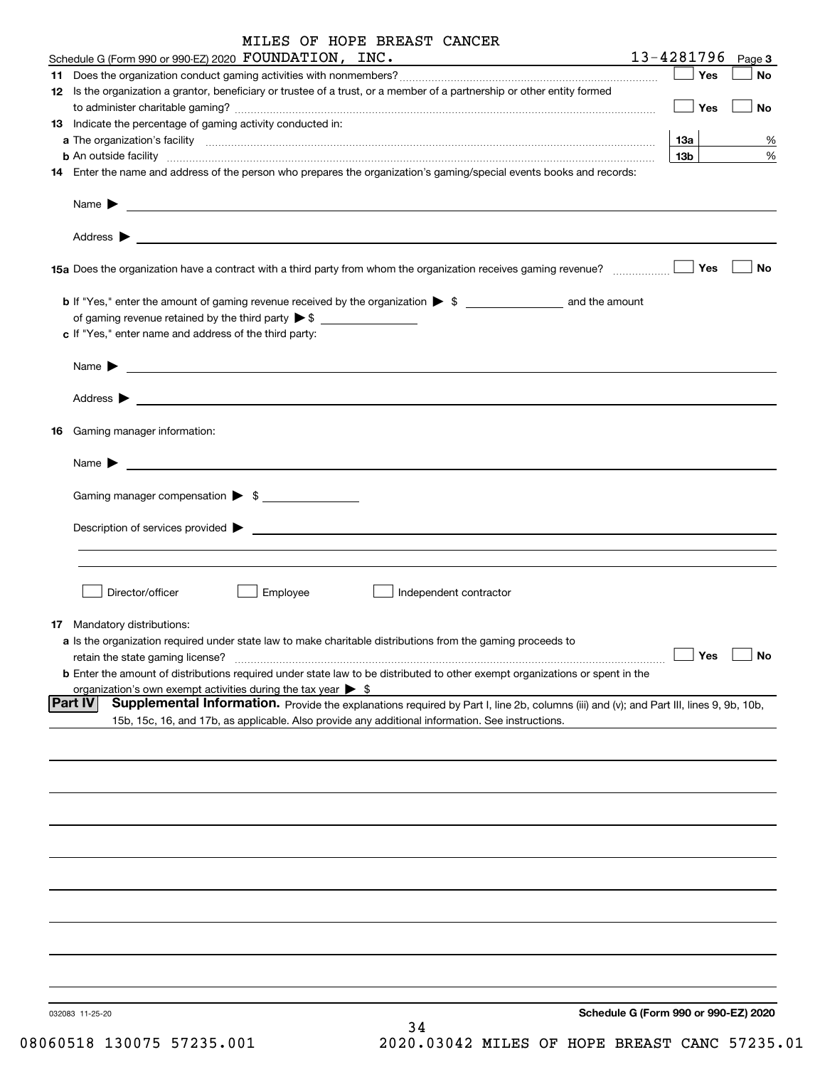|                                                                                                                                                                                                                                           | MILES OF HOPE BREAST CANCER                                                                                                            |                                      |                 |        |
|-------------------------------------------------------------------------------------------------------------------------------------------------------------------------------------------------------------------------------------------|----------------------------------------------------------------------------------------------------------------------------------------|--------------------------------------|-----------------|--------|
| Schedule G (Form 990 or 990-EZ) 2020 FOUNDATION, INC.                                                                                                                                                                                     |                                                                                                                                        |                                      | 13-4281796      | Page 3 |
| 11                                                                                                                                                                                                                                        |                                                                                                                                        |                                      | Yes             | No     |
| 12 Is the organization a grantor, beneficiary or trustee of a trust, or a member of a partnership or other entity formed                                                                                                                  |                                                                                                                                        |                                      |                 |        |
| 13 Indicate the percentage of gaming activity conducted in:                                                                                                                                                                               |                                                                                                                                        |                                      | Yes             | No     |
|                                                                                                                                                                                                                                           |                                                                                                                                        |                                      | <b>13a</b>      | %      |
| <b>b</b> An outside facility <b>contract and the contract of the contract of the contract of the contract of the contract of the contract of the contract of the contract of the contract of the contract of the contract of the cont</b> |                                                                                                                                        |                                      | 13 <sub>b</sub> | %      |
| 14 Enter the name and address of the person who prepares the organization's gaming/special events books and records:                                                                                                                      |                                                                                                                                        |                                      |                 |        |
|                                                                                                                                                                                                                                           |                                                                                                                                        |                                      |                 |        |
|                                                                                                                                                                                                                                           |                                                                                                                                        |                                      |                 |        |
|                                                                                                                                                                                                                                           |                                                                                                                                        |                                      | Yes             | No     |
| of gaming revenue retained by the third party $\triangleright$ \$                                                                                                                                                                         |                                                                                                                                        |                                      |                 |        |
| c If "Yes," enter name and address of the third party:                                                                                                                                                                                    |                                                                                                                                        |                                      |                 |        |
| Name $\blacktriangleright$ $\lrcorner$                                                                                                                                                                                                    |                                                                                                                                        |                                      |                 |        |
|                                                                                                                                                                                                                                           |                                                                                                                                        |                                      |                 |        |
| Gaming manager information:<br>16                                                                                                                                                                                                         |                                                                                                                                        |                                      |                 |        |
| Name $\blacktriangleright$ $\lrcorner$                                                                                                                                                                                                    |                                                                                                                                        |                                      |                 |        |
| Gaming manager compensation > \$                                                                                                                                                                                                          |                                                                                                                                        |                                      |                 |        |
|                                                                                                                                                                                                                                           |                                                                                                                                        |                                      |                 |        |
|                                                                                                                                                                                                                                           |                                                                                                                                        |                                      |                 |        |
|                                                                                                                                                                                                                                           |                                                                                                                                        |                                      |                 |        |
| Director/officer<br>Employee                                                                                                                                                                                                              | Independent contractor                                                                                                                 |                                      |                 |        |
| <b>17</b> Mandatory distributions:                                                                                                                                                                                                        |                                                                                                                                        |                                      |                 |        |
| a Is the organization required under state law to make charitable distributions from the gaming proceeds to                                                                                                                               |                                                                                                                                        |                                      |                 |        |
| retain the state gaming license?                                                                                                                                                                                                          |                                                                                                                                        |                                      | Yes             | No     |
| <b>b</b> Enter the amount of distributions required under state law to be distributed to other exempt organizations or spent in the<br>organization's own exempt activities during the tax year $\triangleright$ \$                       |                                                                                                                                        |                                      |                 |        |
| Part IV                                                                                                                                                                                                                                   | Supplemental Information. Provide the explanations required by Part I, line 2b, columns (iii) and (v); and Part III, lines 9, 9b, 10b, |                                      |                 |        |
| 15b, 15c, 16, and 17b, as applicable. Also provide any additional information. See instructions.                                                                                                                                          |                                                                                                                                        |                                      |                 |        |
|                                                                                                                                                                                                                                           |                                                                                                                                        |                                      |                 |        |
|                                                                                                                                                                                                                                           |                                                                                                                                        |                                      |                 |        |
|                                                                                                                                                                                                                                           |                                                                                                                                        |                                      |                 |        |
|                                                                                                                                                                                                                                           |                                                                                                                                        |                                      |                 |        |
|                                                                                                                                                                                                                                           |                                                                                                                                        |                                      |                 |        |
|                                                                                                                                                                                                                                           |                                                                                                                                        |                                      |                 |        |
|                                                                                                                                                                                                                                           |                                                                                                                                        |                                      |                 |        |
|                                                                                                                                                                                                                                           |                                                                                                                                        |                                      |                 |        |
|                                                                                                                                                                                                                                           |                                                                                                                                        |                                      |                 |        |
| 032083 11-25-20                                                                                                                                                                                                                           |                                                                                                                                        | Schedule G (Form 990 or 990-EZ) 2020 |                 |        |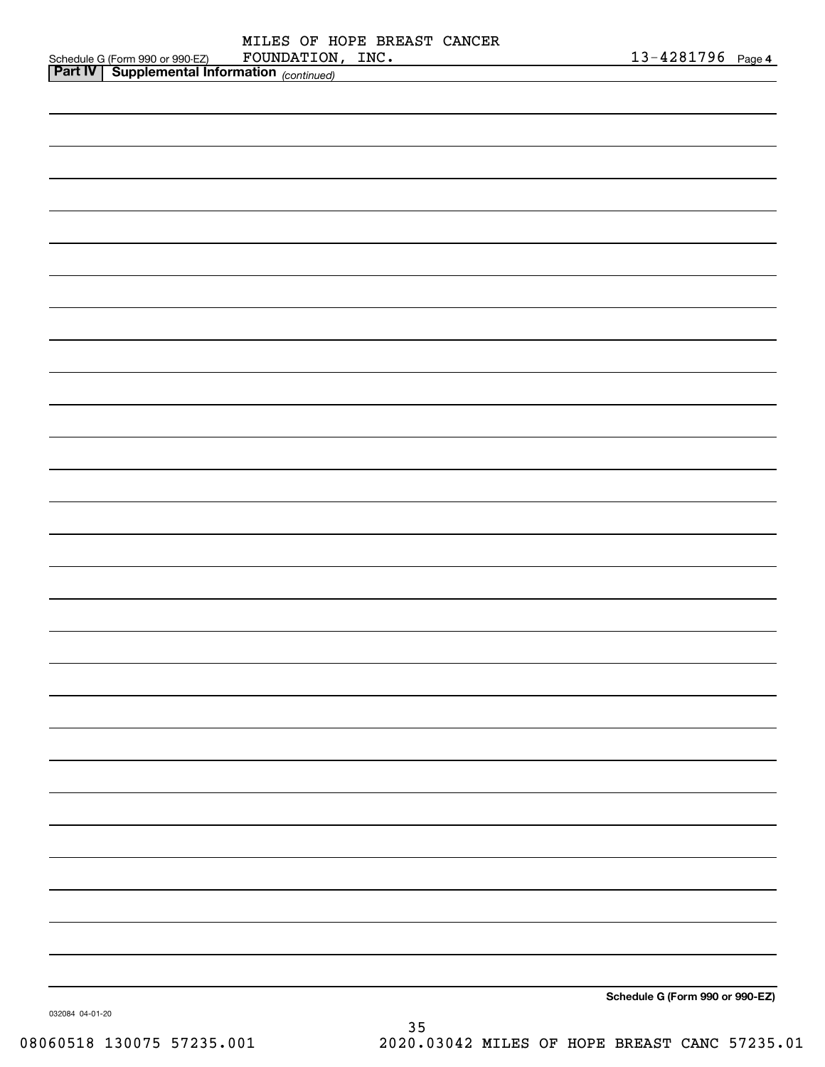|                                       | MILES OF HOPE BREAST CANCER |                       |
|---------------------------------------|-----------------------------|-----------------------|
| Schedule G (Form 990 or 990-EZ)       | FOUNDATION, INC.            | $13 - 4281796$ Page 4 |
| $Part IV$ $C$ unplamontol Information |                             |                       |

| Part IV | Supplemental Information (continued) |
|---------|--------------------------------------|
|         |                                      |
|         |                                      |
|         |                                      |
|         |                                      |
|         |                                      |
|         |                                      |
|         |                                      |
|         |                                      |
|         |                                      |
|         |                                      |
|         |                                      |
|         |                                      |
|         |                                      |
|         |                                      |
|         |                                      |
|         |                                      |
|         |                                      |
|         |                                      |
|         |                                      |
|         |                                      |
|         |                                      |
|         |                                      |
|         |                                      |
|         |                                      |
|         |                                      |
|         |                                      |
|         |                                      |
|         |                                      |
|         |                                      |
|         |                                      |
|         | Schedule G (Form 990 or 990-EZ)      |

032084 04-01-20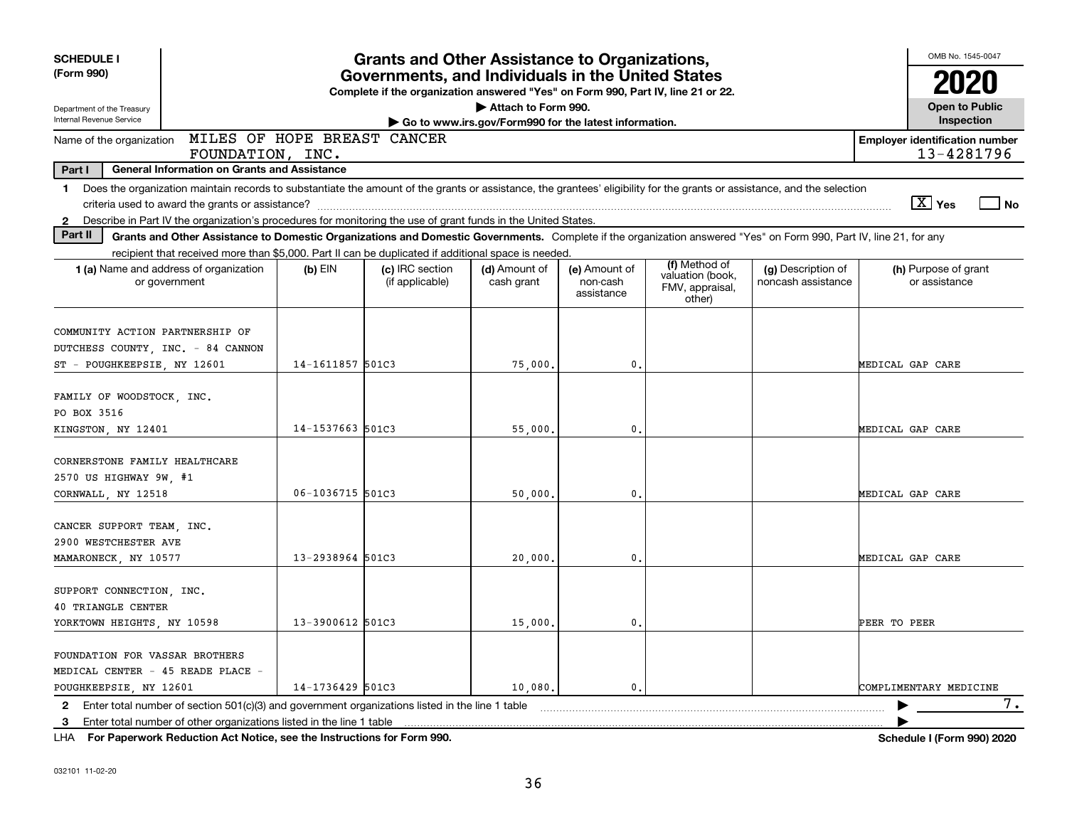| <b>SCHEDULE I</b>                 |                                                                                                                                                                          |                  | <b>Grants and Other Assistance to Organizations,</b>                                                                                  |                                                       |                        |                                               |                    |                     | OMB No. 1545-0047                                   |      |
|-----------------------------------|--------------------------------------------------------------------------------------------------------------------------------------------------------------------------|------------------|---------------------------------------------------------------------------------------------------------------------------------------|-------------------------------------------------------|------------------------|-----------------------------------------------|--------------------|---------------------|-----------------------------------------------------|------|
| (Form 990)                        |                                                                                                                                                                          |                  | Governments, and Individuals in the United States<br>Complete if the organization answered "Yes" on Form 990, Part IV, line 21 or 22. |                                                       |                        |                                               |                    |                     |                                                     |      |
| Department of the Treasury        |                                                                                                                                                                          |                  |                                                                                                                                       | Attach to Form 990.                                   |                        |                                               |                    |                     | <b>Open to Public</b>                               |      |
| Internal Revenue Service          |                                                                                                                                                                          |                  |                                                                                                                                       | Go to www.irs.gov/Form990 for the latest information. |                        |                                               |                    |                     | Inspection                                          |      |
| Name of the organization          | MILES OF HOPE BREAST CANCER<br>FOUNDATION, INC.                                                                                                                          |                  |                                                                                                                                       |                                                       |                        |                                               |                    |                     | <b>Employer identification number</b><br>13-4281796 |      |
| Part I                            | <b>General Information on Grants and Assistance</b>                                                                                                                      |                  |                                                                                                                                       |                                                       |                        |                                               |                    |                     |                                                     |      |
| 1.                                | Does the organization maintain records to substantiate the amount of the grants or assistance, the grantees' eligibility for the grants or assistance, and the selection |                  |                                                                                                                                       |                                                       |                        |                                               |                    |                     | $\boxed{\text{X}}$ Yes                              | l No |
| $\mathbf{2}$                      | Describe in Part IV the organization's procedures for monitoring the use of grant funds in the United States.                                                            |                  |                                                                                                                                       |                                                       |                        |                                               |                    |                     |                                                     |      |
| Part II                           | Grants and Other Assistance to Domestic Organizations and Domestic Governments. Complete if the organization answered "Yes" on Form 990, Part IV, line 21, for any       |                  |                                                                                                                                       |                                                       |                        |                                               |                    |                     |                                                     |      |
|                                   | recipient that received more than \$5,000. Part II can be duplicated if additional space is needed.<br>1 (a) Name and address of organization                            | $(b)$ EIN        | (c) IRC section                                                                                                                       | (d) Amount of                                         | (e) Amount of          | (f) Method of                                 | (g) Description of |                     | (h) Purpose of grant                                |      |
|                                   | or government                                                                                                                                                            |                  | (if applicable)                                                                                                                       | cash grant                                            | non-cash<br>assistance | valuation (book,<br>FMV, appraisal,<br>other) | noncash assistance |                     | or assistance                                       |      |
| COMMUNITY ACTION PARTNERSHIP OF   |                                                                                                                                                                          |                  |                                                                                                                                       |                                                       |                        |                                               |                    |                     |                                                     |      |
| DUTCHESS COUNTY, INC. - 84 CANNON |                                                                                                                                                                          |                  |                                                                                                                                       |                                                       |                        |                                               |                    |                     |                                                     |      |
| ST - POUGHKEEPSIE, NY 12601       |                                                                                                                                                                          | 14-1611857 501C3 |                                                                                                                                       | 75,000.                                               | $\mathbf{0}$ .         |                                               |                    | MEDICAL GAP CARE    |                                                     |      |
|                                   |                                                                                                                                                                          |                  |                                                                                                                                       |                                                       |                        |                                               |                    |                     |                                                     |      |
| FAMILY OF WOODSTOCK, INC.         |                                                                                                                                                                          |                  |                                                                                                                                       |                                                       |                        |                                               |                    |                     |                                                     |      |
| PO BOX 3516                       |                                                                                                                                                                          |                  |                                                                                                                                       |                                                       |                        |                                               |                    |                     |                                                     |      |
| KINGSTON, NY 12401                |                                                                                                                                                                          | 14-1537663 501C3 |                                                                                                                                       | 55,000.                                               | 0.                     |                                               |                    | MEDICAL GAP CARE    |                                                     |      |
| CORNERSTONE FAMILY HEALTHCARE     |                                                                                                                                                                          |                  |                                                                                                                                       |                                                       |                        |                                               |                    |                     |                                                     |      |
| 2570 US HIGHWAY 9W, #1            |                                                                                                                                                                          |                  |                                                                                                                                       |                                                       |                        |                                               |                    |                     |                                                     |      |
| CORNWALL, NY 12518                |                                                                                                                                                                          | 06-1036715 501C3 |                                                                                                                                       | 50,000.                                               | 0.                     |                                               |                    | MEDICAL GAP CARE    |                                                     |      |
|                                   |                                                                                                                                                                          |                  |                                                                                                                                       |                                                       |                        |                                               |                    |                     |                                                     |      |
| CANCER SUPPORT TEAM, INC.         |                                                                                                                                                                          |                  |                                                                                                                                       |                                                       |                        |                                               |                    |                     |                                                     |      |
| 2900 WESTCHESTER AVE              |                                                                                                                                                                          |                  |                                                                                                                                       |                                                       |                        |                                               |                    |                     |                                                     |      |
| MAMARONECK, NY 10577              |                                                                                                                                                                          | 13-2938964 501C3 |                                                                                                                                       | 20,000                                                | 0.                     |                                               |                    | MEDICAL GAP CARE    |                                                     |      |
| SUPPORT CONNECTION, INC.          |                                                                                                                                                                          |                  |                                                                                                                                       |                                                       |                        |                                               |                    |                     |                                                     |      |
| 40 TRIANGLE CENTER                |                                                                                                                                                                          |                  |                                                                                                                                       |                                                       |                        |                                               |                    |                     |                                                     |      |
| YORKTOWN HEIGHTS, NY 10598        |                                                                                                                                                                          | 13-3900612 501C3 |                                                                                                                                       | 15,000.                                               | 0.                     |                                               |                    | <b>PEER TO PEER</b> |                                                     |      |
|                                   |                                                                                                                                                                          |                  |                                                                                                                                       |                                                       |                        |                                               |                    |                     |                                                     |      |
| FOUNDATION FOR VASSAR BROTHERS    |                                                                                                                                                                          |                  |                                                                                                                                       |                                                       |                        |                                               |                    |                     |                                                     |      |
| MEDICAL CENTER - 45 READE PLACE - |                                                                                                                                                                          |                  |                                                                                                                                       |                                                       |                        |                                               |                    |                     |                                                     |      |
| POUGHKEEPSIE, NY 12601            |                                                                                                                                                                          | 14-1736429 501C3 |                                                                                                                                       | 10,080.                                               | 0.                     |                                               |                    |                     | COMPLIMENTARY MEDICINE                              |      |
|                                   | 2 Enter total number of section 501(c)(3) and government organizations listed in the line 1 table                                                                        |                  |                                                                                                                                       |                                                       |                        |                                               |                    |                     |                                                     | 7.   |
| 3                                 | Enter total number of other organizations listed in the line 1 table                                                                                                     |                  |                                                                                                                                       |                                                       |                        |                                               |                    |                     |                                                     |      |

**For Paperwork Reduction Act Notice, see the Instructions for Form 990. Schedule I (Form 990) 2020** LHA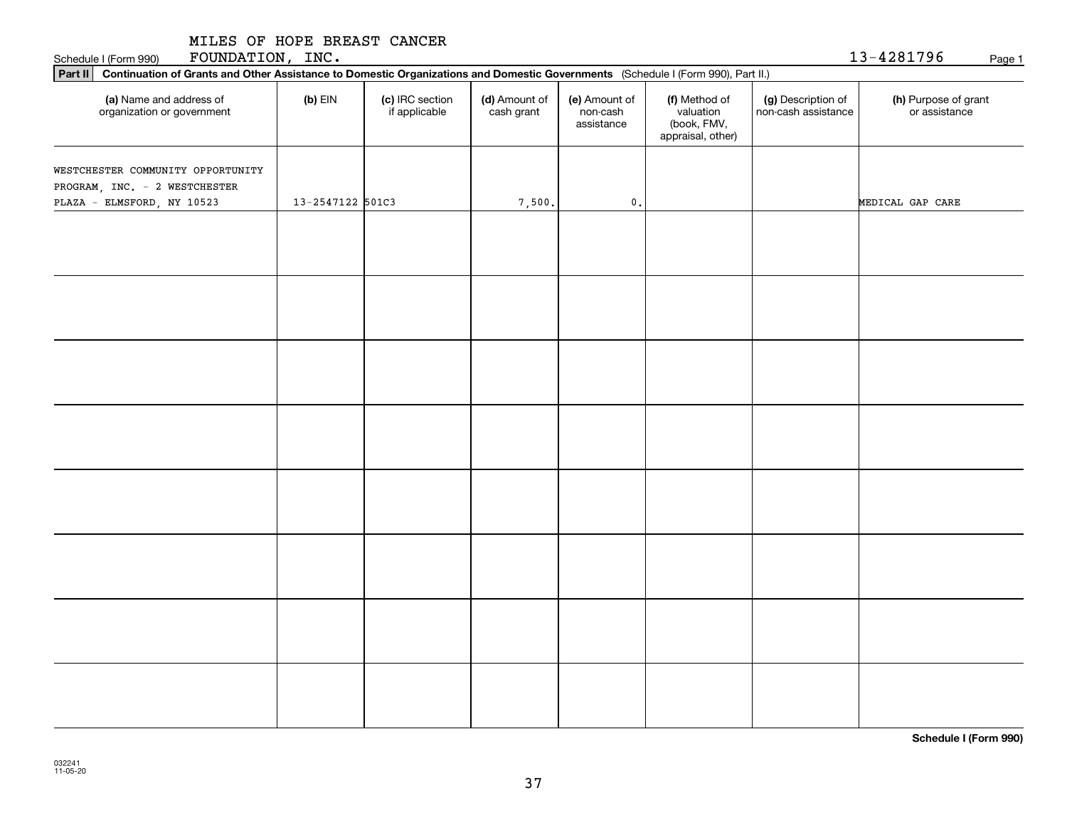| MILES OF HOPE BREAST CANCER |  |  |  |  |  |
|-----------------------------|--|--|--|--|--|
|-----------------------------|--|--|--|--|--|

Schedule I (Form 990) Page 1 FOUNDATION, INC.

| Continuation of Grants and Other Assistance to Domestic Organizations and Domestic Governments (Schedule I (Form 990), Part II.)<br>Part II |                  |                                  |                             |                                         |                                                                |                                           |                                       |  |  |  |  |
|---------------------------------------------------------------------------------------------------------------------------------------------|------------------|----------------------------------|-----------------------------|-----------------------------------------|----------------------------------------------------------------|-------------------------------------------|---------------------------------------|--|--|--|--|
| (a) Name and address of<br>organization or government                                                                                       | $(b)$ EIN        | (c) IRC section<br>if applicable | (d) Amount of<br>cash grant | (e) Amount of<br>non-cash<br>assistance | (f) Method of<br>valuation<br>(book, FMV,<br>appraisal, other) | (g) Description of<br>non-cash assistance | (h) Purpose of grant<br>or assistance |  |  |  |  |
| WESTCHESTER COMMUNITY OPPORTUNITY<br>PROGRAM, INC. - 2 WESTCHESTER                                                                          |                  |                                  |                             |                                         |                                                                |                                           |                                       |  |  |  |  |
| PLAZA - ELMSFORD, NY 10523                                                                                                                  | 13-2547122 501C3 |                                  | 7,500.                      | $\mathfrak o$ .                         |                                                                |                                           | MEDICAL GAP CARE                      |  |  |  |  |
|                                                                                                                                             |                  |                                  |                             |                                         |                                                                |                                           |                                       |  |  |  |  |
|                                                                                                                                             |                  |                                  |                             |                                         |                                                                |                                           |                                       |  |  |  |  |
|                                                                                                                                             |                  |                                  |                             |                                         |                                                                |                                           |                                       |  |  |  |  |
|                                                                                                                                             |                  |                                  |                             |                                         |                                                                |                                           |                                       |  |  |  |  |
|                                                                                                                                             |                  |                                  |                             |                                         |                                                                |                                           |                                       |  |  |  |  |
|                                                                                                                                             |                  |                                  |                             |                                         |                                                                |                                           |                                       |  |  |  |  |
|                                                                                                                                             |                  |                                  |                             |                                         |                                                                |                                           |                                       |  |  |  |  |

**Schedule I (Form 990)**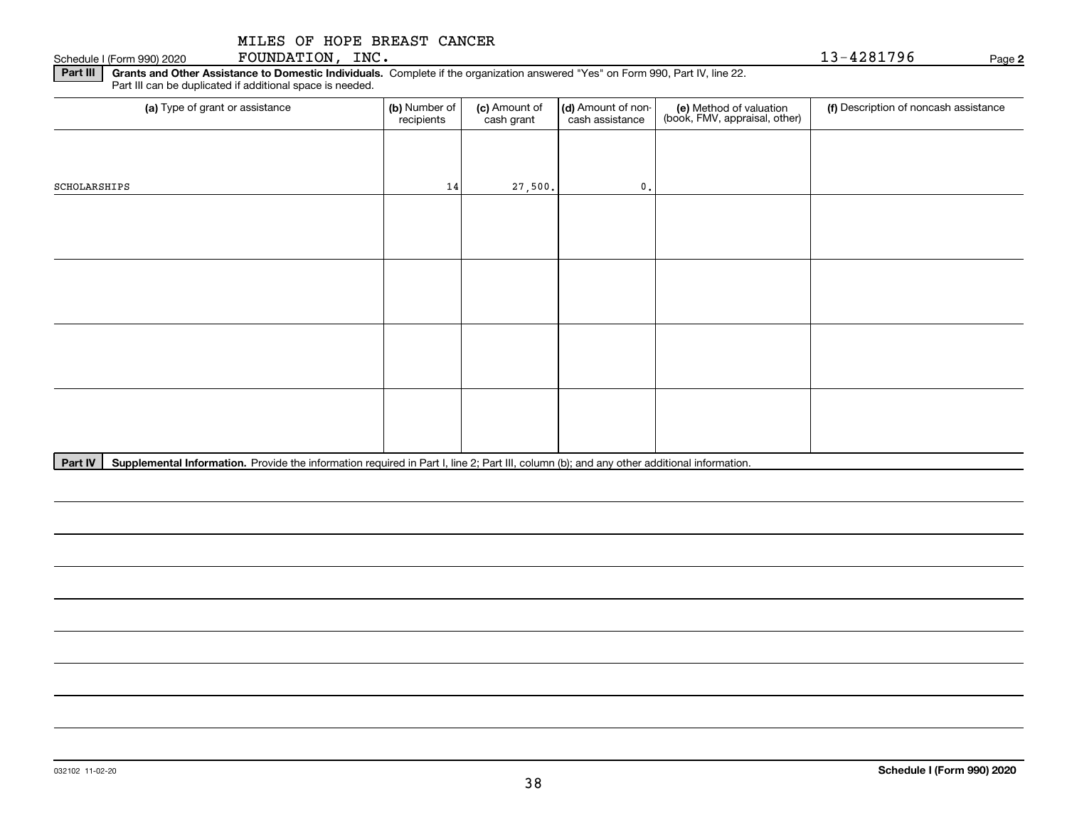Schedule I (Form 990) 2020  ${\bf F}$ OUNDATION,  ${\bf inc.}$ 

**2**

**Part III** | Grants and Other Assistance to Domestic Individuals. Complete if the organization answered "Yes" on Form 990, Part IV, line 22. Part III can be duplicated if additional space is needed.

| (a) Type of grant or assistance | (b) Number of<br>recipients | (c) Amount of<br>cash grant | (d) Amount of non-<br>cash assistance | (e) Method of valuation<br>(book, FMV, appraisal, other) | (f) Description of noncash assistance |
|---------------------------------|-----------------------------|-----------------------------|---------------------------------------|----------------------------------------------------------|---------------------------------------|
|                                 |                             |                             |                                       |                                                          |                                       |
| SCHOLARSHIPS                    | 14                          | 27,500.                     | $\mathbf{0}$ .                        |                                                          |                                       |
|                                 |                             |                             |                                       |                                                          |                                       |
|                                 |                             |                             |                                       |                                                          |                                       |
|                                 |                             |                             |                                       |                                                          |                                       |
|                                 |                             |                             |                                       |                                                          |                                       |
|                                 |                             |                             |                                       |                                                          |                                       |
|                                 |                             |                             |                                       |                                                          |                                       |
|                                 |                             |                             |                                       |                                                          |                                       |
|                                 |                             |                             |                                       |                                                          |                                       |

Part IV | Supplemental Information. Provide the information required in Part I, line 2; Part III, column (b); and any other additional information.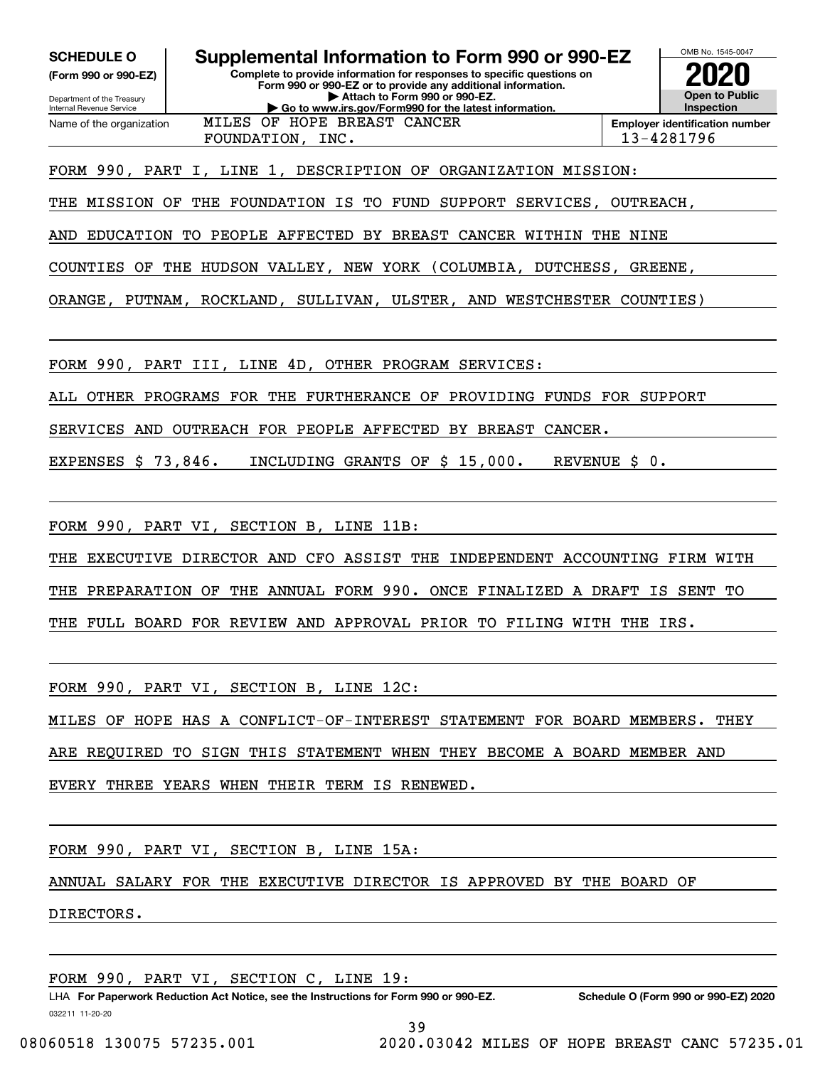**(Form 990 or 990-EZ)**

Department of the Treasury Internal Revenue Service Name of the organization

#### **Complete to provide information for responses to specific questions on Form 990 or 990-EZ or to provide any additional information. | Attach to Form 990 or 990-EZ. SCHEDULE O Supplemental Information to Form 990 or 990-EZ**

**| Go to www.irs.gov/Form990 for the latest information.**



OMB No. 1545-0047

FOUNDATION, INC. 13-4281796

FORM 990, PART I, LINE 1, DESCRIPTION OF ORGANIZATION MISSION:

MILES OF HOPE BREAST CANCER

THE MISSION OF THE FOUNDATION IS TO FUND SUPPORT SERVICES, OUTREACH,

AND EDUCATION TO PEOPLE AFFECTED BY BREAST CANCER WITHIN THE NINE

COUNTIES OF THE HUDSON VALLEY, NEW YORK (COLUMBIA, DUTCHESS, GREENE,

ORANGE, PUTNAM, ROCKLAND, SULLIVAN, ULSTER, AND WESTCHESTER COUNTIES)

FORM 990, PART III, LINE 4D, OTHER PROGRAM SERVICES:

ALL OTHER PROGRAMS FOR THE FURTHERANCE OF PROVIDING FUNDS FOR SUPPORT

SERVICES AND OUTREACH FOR PEOPLE AFFECTED BY BREAST CANCER.

EXPENSES \$ 73,846. INCLUDING GRANTS OF \$ 15,000. REVENUE \$ 0.

FORM 990, PART VI, SECTION B, LINE 11B:

THE EXECUTIVE DIRECTOR AND CFO ASSIST THE INDEPENDENT ACCOUNTING FIRM WITH

THE PREPARATION OF THE ANNUAL FORM 990. ONCE FINALIZED A DRAFT IS SENT TO

THE FULL BOARD FOR REVIEW AND APPROVAL PRIOR TO FILING WITH THE IRS.

FORM 990, PART VI, SECTION B, LINE 12C:

MILES OF HOPE HAS A CONFLICT-OF-INTEREST STATEMENT FOR BOARD MEMBERS. THEY

ARE REQUIRED TO SIGN THIS STATEMENT WHEN THEY BECOME A BOARD MEMBER AND

EVERY THREE YEARS WHEN THEIR TERM IS RENEWED.

FORM 990, PART VI, SECTION B, LINE 15A:

ANNUAL SALARY FOR THE EXECUTIVE DIRECTOR IS APPROVED BY THE BOARD OF

DIRECTORS.

FORM 990, PART VI, SECTION C, LINE 19:

032211 11-20-20 LHA For Paperwork Reduction Act Notice, see the Instructions for Form 990 or 990-EZ. Schedule O (Form 990 or 990-EZ) 2020 39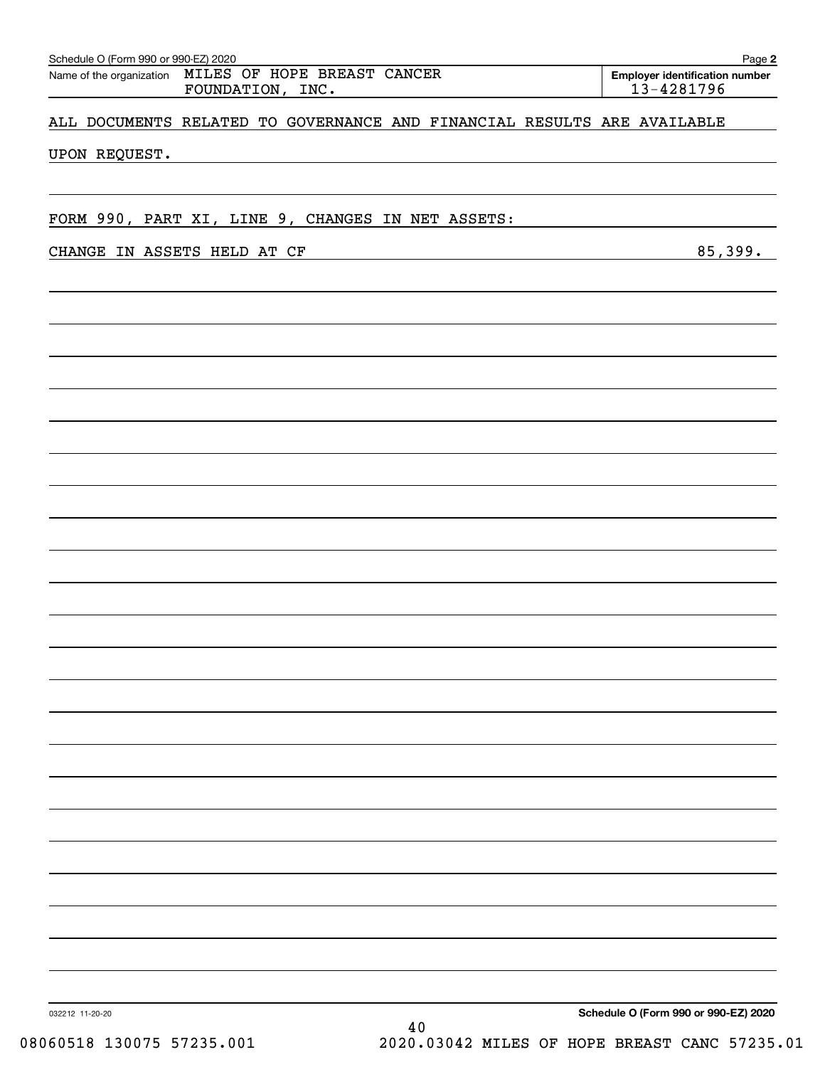|                 | Name of the organization MILES OF HOPE BREAST CANCER<br>FOUNDATION, INC. | <b>Employer identification number</b><br>13-4281796 |
|-----------------|--------------------------------------------------------------------------|-----------------------------------------------------|
|                 | ALL DOCUMENTS RELATED TO GOVERNANCE AND FINANCIAL RESULTS ARE AVAILABLE  |                                                     |
| UPON REQUEST.   |                                                                          |                                                     |
|                 |                                                                          |                                                     |
|                 |                                                                          |                                                     |
|                 | FORM 990, PART XI, LINE 9, CHANGES IN NET ASSETS:                        |                                                     |
|                 | CHANGE IN ASSETS HELD AT CF                                              | 85,399.                                             |
|                 |                                                                          |                                                     |
|                 |                                                                          |                                                     |
|                 |                                                                          |                                                     |
|                 |                                                                          |                                                     |
|                 |                                                                          |                                                     |
|                 |                                                                          |                                                     |
|                 |                                                                          |                                                     |
|                 |                                                                          |                                                     |
|                 |                                                                          |                                                     |
|                 |                                                                          |                                                     |
|                 |                                                                          |                                                     |
|                 |                                                                          |                                                     |
|                 |                                                                          |                                                     |
|                 |                                                                          |                                                     |
|                 |                                                                          |                                                     |
|                 |                                                                          |                                                     |
|                 |                                                                          |                                                     |
|                 |                                                                          |                                                     |
|                 |                                                                          |                                                     |
|                 |                                                                          |                                                     |
|                 |                                                                          |                                                     |
|                 |                                                                          |                                                     |
|                 |                                                                          |                                                     |
|                 |                                                                          |                                                     |
|                 |                                                                          |                                                     |
|                 |                                                                          |                                                     |
|                 |                                                                          |                                                     |
|                 |                                                                          |                                                     |
| 032212 11-20-20 |                                                                          | Schedule O (Form 990 or 990-EZ) 2020                |